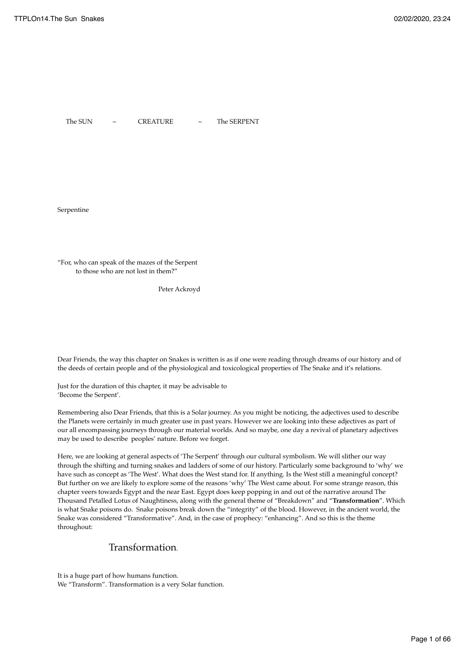The SUN  $\sim$  CREATURE  $\sim$  The SERPENT

Serpentine

"For, who can speak of the mazes of the Serpent to those who are not lost in them?"

Peter Ackroyd

Dear Friends, the way this chapter on Snakes is written is as if one were reading through dreams of our history and of the deeds of certain people and of the physiological and toxicological properties of The Snake and it's relations.

Just for the duration of this chapter, it may be advisable to 'Become the Serpent'.

Remembering also Dear Friends, that this is a Solar journey. As you might be noticing, the adjectives used to describe the Planets were certainly in much greater use in past years. However we are looking into these adjectives as part of our all encompassing journeys through our material worlds. And so maybe, one day a revival of planetary adjectives may be used to describe peoples' nature. Before we forget.

Here, we are looking at general aspects of 'The Serpent' through our cultural symbolism. We will slither our way through the shifting and turning snakes and ladders of some of our history. Particularly some background to 'why' we have such as concept as 'The West'. What does the West stand for. If anything. Is the West still a meaningful concept? But further on we are likely to explore some of the reasons 'why' The West came about. For some strange reason, this chapter veers towards Egypt and the near East. Egypt does keep popping in and out of the narrative around The Thousand Petalled Lotus of Naughtiness, along with the general theme of "Breakdown" and "**Transformation**". Which is what Snake poisons do. Snake poisons break down the "integrity" of the blood. However, in the ancient world, the Snake was considered "Transformative". And, in the case of prophecy: "enhancing". And so this is the theme throughout:

## Transformation.

It is a huge part of how humans function. We "Transform". Transformation is a very Solar function.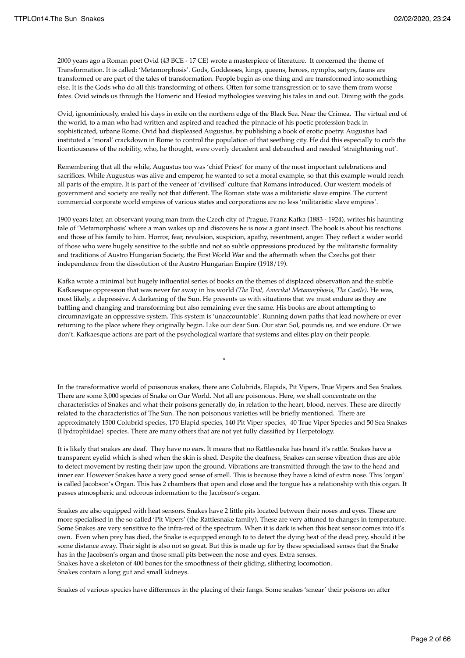2000 years ago a Roman poet Ovid (43 BCE - 17 CE) wrote a masterpiece of literature. It concerned the theme of Transformation. It is called: 'Metamorphosis'. Gods, Goddesses, kings, queens, heroes, nymphs, satyrs, fauns are transformed or are part of the tales of transformation. People begin as one thing and are transformed into something else. It is the Gods who do all this transforming of others. Often for some transgression or to save them from worse fates. Ovid winds us through the Homeric and Hesiod mythologies weaving his tales in and out. Dining with the gods.

Ovid, ignominiously, ended his days in exile on the northern edge of the Black Sea. Near the Crimea. The virtual end of the world, to a man who had written and aspired and reached the pinnacle of his poetic profession back in sophisticated, urbane Rome. Ovid had displeased Augustus, by publishing a book of erotic poetry. Augustus had instituted a 'moral' crackdown in Rome to control the population of that seething city. He did this especially to curb the licentiousness of the nobility, who, he thought, were overly decadent and debauched and needed 'straightening out'.

Remembering that all the while, Augustus too was 'chief Priest' for many of the most important celebrations and sacrifices. While Augustus was alive and emperor, he wanted to set a moral example, so that this example would reach all parts of the empire. It is part of the veneer of 'civilised' culture that Romans introduced. Our western models of government and society are really not that different. The Roman state was a militaristic slave empire. The current commercial corporate world empires of various states and corporations are no less 'militaristic slave empires'.

1900 years later, an observant young man from the Czech city of Prague, Franz Kafka (1883 - 1924), writes his haunting tale of 'Metamorphosis' where a man wakes up and discovers he is now a giant insect. The book is about his reactions and those of his family to him. Horror, fear, revulsion, suspicion, apathy, resentment, anger. They reflect a wider world of those who were hugely sensitive to the subtle and not so subtle oppressions produced by the militaristic formality and traditions of Austro Hungarian Society, the First World War and the aftermath when the Czechs got their independence from the dissolution of the Austro Hungarian Empire (1918/19).

Kafka wrote a minimal but hugely influential series of books on the themes of displaced observation and the subtle Kafkaesque oppression that was never far away in his world *(The Trial, Amerika! Metamorphosis, The Castle)*. He was, most likely, a depressive. A darkening of the Sun. He presents us with situations that we must endure as they are baffling and changing and transforming but also remaining ever the same. His books are about attempting to circumnavigate an oppressive system. This system is 'unaccountable'. Running down paths that lead nowhere or ever returning to the place where they originally begin. Like our dear Sun. Our star: Sol, pounds us, and we endure. Or we don't. Kafkaesque actions are part of the psychological warfare that systems and elites play on their people.

In the transformative world of poisonous snakes, there are: Colubrids, Elapids, Pit Vipers, True Vipers and Sea Snakes. There are some 3,000 species of Snake on Our World. Not all are poisonous. Here, we shall concentrate on the characteristics of Snakes and what their poisons generally do, in relation to the heart, blood, nerves. These are directly related to the characteristics of The Sun. The non poisonous varieties will be briefly mentioned. There are approximately 1500 Colubrid species, 170 Elapid species, 140 Pit Viper species, 40 True Viper Species and 50 Sea Snakes (Hydrophiidae) species. There are many others that are not yet fully classified by Herpetology.

It is likely that snakes are deaf. They have no ears. It means that no Rattlesnake has heard it's rattle. Snakes have a transparent eyelid which is shed when the skin is shed. Despite the deafness, Snakes can sense vibration thus are able to detect movement by resting their jaw upon the ground. Vibrations are transmitted through the jaw to the head and inner ear. However Snakes have a very good sense of smell. This is because they have a kind of extra nose. This 'organ' is called Jacobson's Organ. This has 2 chambers that open and close and the tongue has a relationship with this organ. It passes atmospheric and odorous information to the Jacobson's organ.

Snakes are also equipped with heat sensors. Snakes have 2 little pits located between their noses and eyes. These are more specialised in the so called 'Pit Vipers' (the Rattlesnake family). These are very attuned to changes in temperature. Some Snakes are very sensitive to the infra-red of the spectrum. When it is dark is when this heat sensor comes into it's own. Even when prey has died, the Snake is equipped enough to to detect the dying heat of the dead prey, should it be some distance away. Their sight is also not so great. But this is made up for by these specialised senses that the Snake has in the Jacobson's organ and those small pits between the nose and eyes. Extra senses. Snakes have a skeleton of 400 bones for the smoothness of their gliding, slithering locomotion.

Snakes contain a long gut and small kidneys.

\*

Snakes of various species have differences in the placing of their fangs. Some snakes 'smear' their poisons on after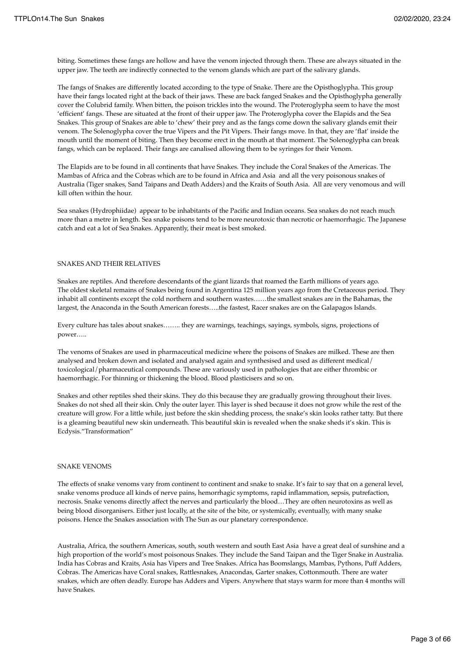biting. Sometimes these fangs are hollow and have the venom injected through them. These are always situated in the upper jaw. The teeth are indirectly connected to the venom glands which are part of the salivary glands.

The fangs of Snakes are differently located according to the type of Snake. There are the Opisthoglypha. This group have their fangs located right at the back of their jaws. These are back fanged Snakes and the Opisthoglypha generally cover the Colubrid family. When bitten, the poison trickles into the wound. The Proteroglypha seem to have the most 'efficient' fangs. These are situated at the front of their upper jaw. The Proteroglypha cover the Elapids and the Sea Snakes. This group of Snakes are able to 'chew' their prey and as the fangs come down the salivary glands emit their venom. The Solenoglypha cover the true Vipers and the Pit Vipers. Their fangs move. In that, they are 'flat' inside the mouth until the moment of biting. Then they become erect in the mouth at that moment. The Solenoglypha can break fangs, which can be replaced. Their fangs are canalised allowing them to be syringes for their Venom.

The Elapids are to be found in all continents that have Snakes. They include the Coral Snakes of the Americas. The Mambas of Africa and the Cobras which are to be found in Africa and Asia and all the very poisonous snakes of Australia (Tiger snakes, Sand Taipans and Death Adders) and the Kraits of South Asia. All are very venomous and will kill often within the hour.

Sea snakes (Hydrophiidae) appear to be inhabitants of the Pacific and Indian oceans. Sea snakes do not reach much more than a metre in length. Sea snake poisons tend to be more neurotoxic than necrotic or haemorrhagic. The Japanese catch and eat a lot of Sea Snakes. Apparently, their meat is best smoked.

#### SNAKES AND THEIR RELATIVES

Snakes are reptiles. And therefore descendants of the giant lizards that roamed the Earth millions of years ago. The oldest skeletal remains of Snakes being found in Argentina 125 million years ago from the Cretaceous period. They inhabit all continents except the cold northern and southern wastes……the smallest snakes are in the Bahamas, the largest, the Anaconda in the South American forests…..the fastest, Racer snakes are on the Galapagos Islands.

Every culture has tales about snakes…….. they are warnings, teachings, sayings, symbols, signs, projections of power…..

The venoms of Snakes are used in pharmaceutical medicine where the poisons of Snakes are milked. These are then analysed and broken down and isolated and analysed again and synthesised and used as different medical/ toxicological/pharmaceutical compounds. These are variously used in pathologies that are either thrombic or haemorrhagic. For thinning or thickening the blood. Blood plasticisers and so on.

Snakes and other reptiles shed their skins. They do this because they are gradually growing throughout their lives. Snakes do not shed all their skin. Only the outer layer. This layer is shed because it does not grow while the rest of the creature will grow. For a little while, just before the skin shedding process, the snake's skin looks rather tatty. But there is a gleaming beautiful new skin underneath. This beautiful skin is revealed when the snake sheds it's skin. This is Ecdysis."Transformation"

### SNAKE VENOMS

The effects of snake venoms vary from continent to continent and snake to snake. It's fair to say that on a general level, snake venoms produce all kinds of nerve pains, hemorrhagic symptoms, rapid inflammation, sepsis, putrefaction, necrosis. Snake venoms directly affect the nerves and particularly the blood…They are often neurotoxins as well as being blood disorganisers. Either just locally, at the site of the bite, or systemically, eventually, with many snake poisons. Hence the Snakes association with The Sun as our planetary correspondence.

Australia, Africa, the southern Americas, south, south western and south East Asia have a great deal of sunshine and a high proportion of the world's most poisonous Snakes. They include the Sand Taipan and the Tiger Snake in Australia. India has Cobras and Kraits, Asia has Vipers and Tree Snakes. Africa has Boomslangs, Mambas, Pythons, Puff Adders, Cobras. The Americas have Coral snakes, Rattlesnakes, Anacondas, Garter snakes, Cottonmouth. There are water snakes, which are often deadly. Europe has Adders and Vipers. Anywhere that stays warm for more than 4 months will have Snakes.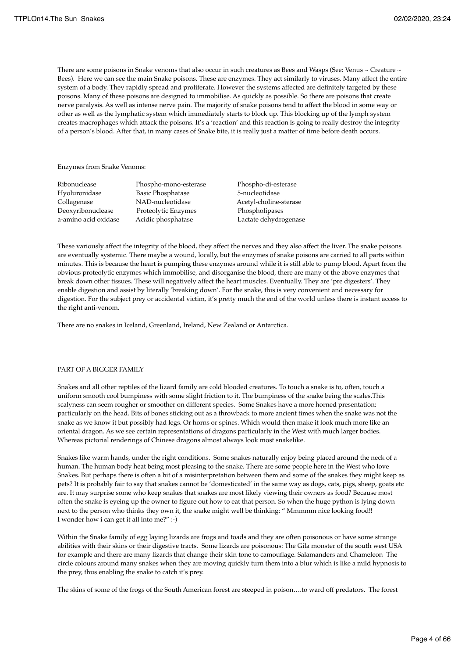There are some poisons in Snake venoms that also occur in such creatures as Bees and Wasps (See: Venus ~ Creature ~ Bees). Here we can see the main Snake poisons. These are enzymes. They act similarly to viruses. Many affect the entire system of a body. They rapidly spread and proliferate. However the systems affected are definitely targeted by these poisons. Many of these poisons are designed to immobilise. As quickly as possible. So there are poisons that create nerve paralysis. As well as intense nerve pain. The majority of snake poisons tend to affect the blood in some way or other as well as the lymphatic system which immediately starts to block up. This blocking up of the lymph system creates macrophages which attack the poisons. It's a 'reaction' and this reaction is going to really destroy the integrity of a person's blood. After that, in many cases of Snake bite, it is really just a matter of time before death occurs.

Enzymes from Snake Venoms:

| Ribonuclease         |
|----------------------|
| Hyoluronidase        |
| Collagenase          |
| Deoxyribonuclease    |
| a-amino acid oxidase |

Phospho-mono-esterase Phospho-di-esterase Basic Phosphatase 5-nucleotidase NAD-nucleotidase Acetyl-choline-sterase Proteolytic Enzymes Phospholipases Acidic phosphatase **Lactate dehydrogenase** 

These variously affect the integrity of the blood, they affect the nerves and they also affect the liver. The snake poisons are eventually systemic. There maybe a wound, locally, but the enzymes of snake poisons are carried to all parts within minutes. This is because the heart is pumping these enzymes around while it is still able to pump blood. Apart from the obvious proteolytic enzymes which immobilise, and disorganise the blood, there are many of the above enzymes that break down other tissues. These will negatively affect the heart muscles. Eventually. They are 'pre digesters'. They enable digestion and assist by literally 'breaking down'. For the snake, this is very convenient and necessary for digestion. For the subject prey or accidental victim, it's pretty much the end of the world unless there is instant access to the right anti-venom.

There are no snakes in Iceland, Greenland, Ireland, New Zealand or Antarctica.

### PART OF A BIGGER FAMILY

Snakes and all other reptiles of the lizard family are cold blooded creatures. To touch a snake is to, often, touch a uniform smooth cool bumpiness with some slight friction to it. The bumpiness of the snake being the scales.This scalyness can seem rougher or smoother on different species. Some Snakes have a more horned presentation: particularly on the head. Bits of bones sticking out as a throwback to more ancient times when the snake was not the snake as we know it but possibly had legs. Or horns or spines. Which would then make it look much more like an oriental dragon. As we see certain representations of dragons particularly in the West with much larger bodies. Whereas pictorial renderings of Chinese dragons almost always look most snakelike.

Snakes like warm hands, under the right conditions. Some snakes naturally enjoy being placed around the neck of a human. The human body heat being most pleasing to the snake. There are some people here in the West who love Snakes. But perhaps there is often a bit of a misinterpretation between them and some of the snakes they might keep as pets? It is probably fair to say that snakes cannot be 'domesticated' in the same way as dogs, cats, pigs, sheep, goats etc are. It may surprise some who keep snakes that snakes are most likely viewing their owners as food? Because most often the snake is eyeing up the owner to figure out how to eat that person. So when the huge python is lying down next to the person who thinks they own it, the snake might well be thinking: " Mmmmm nice looking food!! I wonder how i can get it all into me?" :-)

Within the Snake family of egg laying lizards are frogs and toads and they are often poisonous or have some strange abilities with their skins or their digestive tracts. Some lizards are poisonous: The Gila monster of the south west USA for example and there are many lizards that change their skin tone to camouflage. Salamanders and Chameleon The circle colours around many snakes when they are moving quickly turn them into a blur which is like a mild hypnosis to the prey, thus enabling the snake to catch it's prey.

The skins of some of the frogs of the South American forest are steeped in poison….to ward off predators. The forest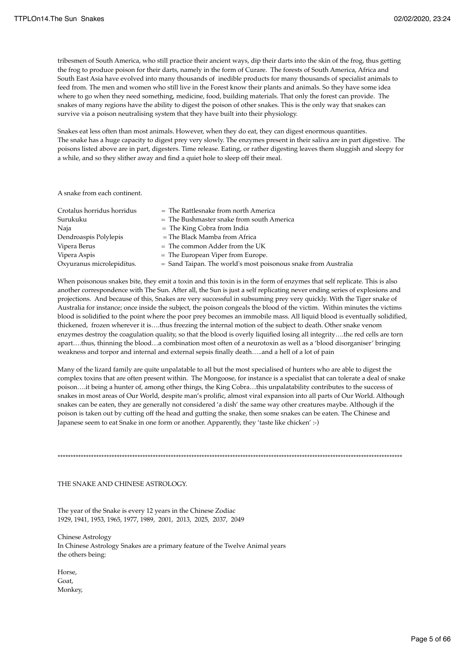tribesmen of South America, who still practice their ancient ways, dip their darts into the skin of the frog, thus getting the frog to produce poison for their darts, namely in the form of Curare. The forests of South America, Africa and South East Asia have evolved into many thousands of inedible products for many thousands of specialist animals to feed from. The men and women who still live in the Forest know their plants and animals. So they have some idea where to go when they need something, medicine, food, building materials. That only the forest can provide. The snakes of many regions have the ability to digest the poison of other snakes. This is the only way that snakes can survive via a poison neutralising system that they have built into their physiology.

Snakes eat less often than most animals. However, when they do eat, they can digest enormous quantities. The snake has a huge capacity to digest prey very slowly. The enzymes present in their saliva are in part digestive. The poisons listed above are in part, digesters. Time release. Eating, or rather digesting leaves them sluggish and sleepy for a while, and so they slither away and find a quiet hole to sleep off their meal.

A snake from each continent.

| Crotalus horridus horridus | $=$ The Rattlesnake from north America                           |
|----------------------------|------------------------------------------------------------------|
| Surukuku                   | $=$ The Bushmaster snake from south America                      |
| Naja                       | $=$ The King Cobra from India                                    |
| Dendroaspis Polylepis      | $=$ The Black Mamba from Africa                                  |
| Vipera Berus               | $=$ The common Adder from the UK                                 |
| Vipera Aspis               | $=$ The European Viper from Europe.                              |
| Oxyuranus microlepiditus.  | $=$ Sand Taipan. The world's most poisonous snake from Australia |

When poisonous snakes bite, they emit a toxin and this toxin is in the form of enzymes that self replicate. This is also another correspondence with The Sun. After all, the Sun is just a self replicating never ending series of explosions and projections. And because of this, Snakes are very successful in subsuming prey very quickly. With the Tiger snake of Australia for instance; once inside the subject, the poison congeals the blood of the victim. Within minutes the victims blood is solidified to the point where the poor prey becomes an immobile mass. All liquid blood is eventually solidified, thickened, frozen wherever it is….thus freezing the internal motion of the subject to death. Other snake venom enzymes destroy the coagulation quality, so that the blood is overly liquified losing all integrity….the red cells are torn apart….thus, thinning the blood…a combination most often of a neurotoxin as well as a 'blood disorganiser' bringing weakness and torpor and internal and external sepsis finally death…..and a hell of a lot of pain

Many of the lizard family are quite unpalatable to all but the most specialised of hunters who are able to digest the complex toxins that are often present within. The Mongoose, for instance is a specialist that can tolerate a deal of snake poison….it being a hunter of, among other things, the King Cobra…this unpalatability contributes to the success of snakes in most areas of Our World, despite man's prolific, almost viral expansion into all parts of Our World. Although snakes can be eaten, they are generally not considered 'a dish' the same way other creatures maybe. Although if the poison is taken out by cutting off the head and gutting the snake, then some snakes can be eaten. The Chinese and Japanese seem to eat Snake in one form or another. Apparently, they 'taste like chicken' :-)

\*\*\*\*\*\*\*\*\*\*\*\*\*\*\*\*\*\*\*\*\*\*\*\*\*\*\*\*\*\*\*\*\*\*\*\*\*\*\*\*\*\*\*\*\*\*\*\*\*\*\*\*\*\*\*\*\*\*\*\*\*\*\*\*\*\*\*\*\*\*\*\*\*\*\*\*\*\*\*\*\*\*\*\*\*\*\*\*\*\*\*\*\*\*\*\*\*\*\*\*\*\*\*\*\*\*\*\*\*\*\*\*\*\*\*\*\*\*\*\*\*\*\*\*\*\*\*\*\*\*\*\*\*\*

THE SNAKE AND CHINESE ASTROLOGY.

The year of the Snake is every 12 years in the Chinese Zodiac 1929, 1941, 1953, 1965, 1977, 1989, 2001, 2013, 2025, 2037, 2049

Chinese Astrology In Chinese Astrology Snakes are a primary feature of the Twelve Animal years the others being:

Horse, Goat, Monkey,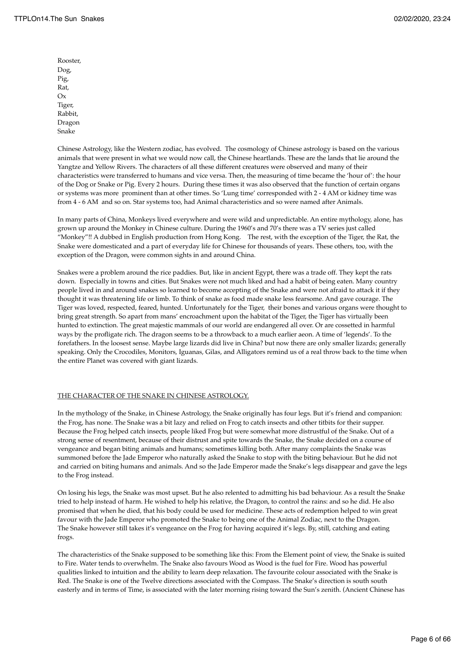Rooster, Dog, Pig, Rat, Ox Tiger, Rabbit, Dragon Snake

Chinese Astrology, like the Western zodiac, has evolved. The cosmology of Chinese astrology is based on the various animals that were present in what we would now call, the Chinese heartlands. These are the lands that lie around the Yangtze and Yellow Rivers. The characters of all these different creatures were observed and many of their characteristics were transferred to humans and vice versa. Then, the measuring of time became the 'hour of': the hour of the Dog or Snake or Pig. Every 2 hours. During these times it was also observed that the function of certain organs or systems was more prominent than at other times. So 'Lung time' corresponded with 2 - 4 AM or kidney time was from 4 - 6 AM and so on. Star systems too, had Animal characteristics and so were named after Animals.

In many parts of China, Monkeys lived everywhere and were wild and unpredictable. An entire mythology, alone, has grown up around the Monkey in Chinese culture. During the 1960's and 70's there was a TV series just called "Monkey"!! A dubbed in English production from Hong Kong. The rest, with the exception of the Tiger, the Rat, the Snake were domesticated and a part of everyday life for Chinese for thousands of years. These others, too, with the exception of the Dragon, were common sights in and around China.

Snakes were a problem around the rice paddies. But, like in ancient Egypt, there was a trade off. They kept the rats down. Especially in towns and cities. But Snakes were not much liked and had a habit of being eaten. Many country people lived in and around snakes so learned to become accepting of the Snake and were not afraid to attack it if they thought it was threatening life or limb. To think of snake as food made snake less fearsome. And gave courage. The Tiger was loved, respected, feared, hunted. Unfortunately for the Tiger, their bones and various organs were thought to bring great strength. So apart from mans' encroachment upon the habitat of the Tiger, the Tiger has virtually been hunted to extinction. The great majestic mammals of our world are endangered all over. Or are cossetted in harmful ways by the profligate rich. The dragon seems to be a throwback to a much earlier aeon. A time of 'legends'. To the forefathers. In the loosest sense. Maybe large lizards did live in China? but now there are only smaller lizards; generally speaking. Only the Crocodiles, Monitors, Iguanas, Gilas, and Alligators remind us of a real throw back to the time when the entire Planet was covered with giant lizards.

### THE CHARACTER OF THE SNAKE IN CHINESE ASTROLOGY.

In the mythology of the Snake, in Chinese Astrology, the Snake originally has four legs. But it's friend and companion: the Frog, has none. The Snake was a bit lazy and relied on Frog to catch insects and other titbits for their supper. Because the Frog helped catch insects, people liked Frog but were somewhat more distrustful of the Snake. Out of a strong sense of resentment, because of their distrust and spite towards the Snake, the Snake decided on a course of vengeance and began biting animals and humans; sometimes killing both. After many complaints the Snake was summoned before the Jade Emperor who naturally asked the Snake to stop with the biting behaviour. But he did not and carried on biting humans and animals. And so the Jade Emperor made the Snake's legs disappear and gave the legs to the Frog instead.

On losing his legs, the Snake was most upset. But he also relented to admitting his bad behaviour. As a result the Snake tried to help instead of harm. He wished to help his relative, the Dragon, to control the rains: and so he did. He also promised that when he died, that his body could be used for medicine. These acts of redemption helped to win great favour with the Jade Emperor who promoted the Snake to being one of the Animal Zodiac, next to the Dragon. The Snake however still takes it's vengeance on the Frog for having acquired it's legs. By, still, catching and eating frogs.

The characteristics of the Snake supposed to be something like this: From the Element point of view, the Snake is suited to Fire. Water tends to overwhelm. The Snake also favours Wood as Wood is the fuel for Fire. Wood has powerful qualities linked to intuition and the ability to learn deep relaxation. The favourite colour associated with the Snake is Red. The Snake is one of the Twelve directions associated with the Compass. The Snake's direction is south south easterly and in terms of Time, is associated with the later morning rising toward the Sun's zenith. (Ancient Chinese has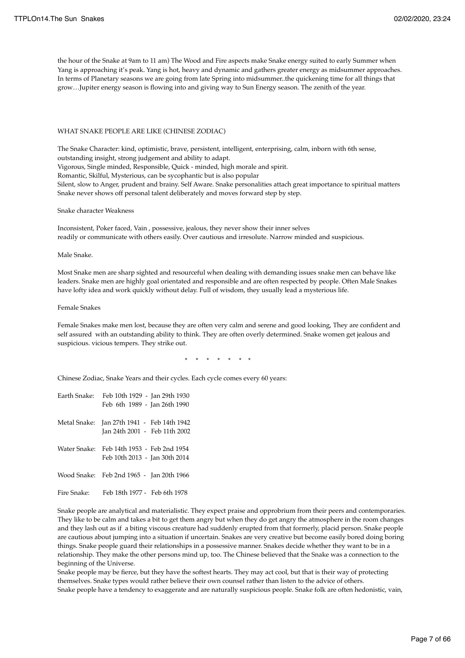the hour of the Snake at 9am to 11 am) The Wood and Fire aspects make Snake energy suited to early Summer when Yang is approaching it's peak. Yang is hot, heavy and dynamic and gathers greater energy as midsummer approaches. In terms of Planetary seasons we are going from late Spring into midsummer..the quickening time for all things that grow…Jupiter energy season is flowing into and giving way to Sun Energy season. The zenith of the year.

#### WHAT SNAKE PEOPLE ARE LIKE (CHINESE ZODIAC)

The Snake Character: kind, optimistic, brave, persistent, intelligent, enterprising, calm, inborn with 6th sense, outstanding insight, strong judgement and ability to adapt. Vigorous, Single minded, Responsible, Quick - minded, high morale and spirit. Romantic, Skilful, Mysterious, can be sycophantic but is also popular Silent, slow to Anger, prudent and brainy. Self Aware. Snake personalities attach great importance to spiritual matters Snake never shows off personal talent deliberately and moves forward step by step.

Snake character Weakness

Inconsistent, Poker faced, Vain , possessive, jealous, they never show their inner selves readily or communicate with others easily. Over cautious and irresolute. Narrow minded and suspicious.

Male Snake.

Most Snake men are sharp sighted and resourceful when dealing with demanding issues snake men can behave like leaders. Snake men are highly goal orientated and responsible and are often respected by people. Often Male Snakes have lofty idea and work quickly without delay. Full of wisdom, they usually lead a mysterious life.

Female Snakes

Female Snakes make men lost, because they are often very calm and serene and good looking, They are confident and self assured with an outstanding ability to think. They are often overly determined. Snake women get jealous and suspicious. vicious tempers. They strike out.

\* \* \* \* \* \* \*

Chinese Zodiac, Snake Years and their cycles. Each cycle comes every 60 years:

|              | Earth Snake: Feb 10th 1929 - Jan 29th 1930<br>Feb 6th 1989 - Jan 26th 1990  |
|--------------|-----------------------------------------------------------------------------|
|              | Metal Snake: Jan 27th 1941 - Feb 14th 1942<br>Jan 24th 2001 - Feb 11th 2002 |
| Water Snake: | Feb 14th 1953 - Feb 2nd 1954<br>Feb 10th 2013 - Jan 30th 2014               |
|              | Wood Snake: Feb 2nd 1965 - Jan 20th 1966                                    |
| Fire Snake:  | Feb 18th 1977 - Feb 6th 1978                                                |

Snake people are analytical and materialistic. They expect praise and opprobrium from their peers and contemporaries. They like to be calm and takes a bit to get them angry but when they do get angry the atmosphere in the room changes and they lash out as if a biting viscous creature had suddenly erupted from that formerly, placid person. Snake people are cautious about jumping into a situation if uncertain. Snakes are very creative but become easily bored doing boring things. Snake people guard their relationships in a possessive manner. Snakes decide whether they want to be in a relationship. They make the other persons mind up, too. The Chinese believed that the Snake was a connection to the beginning of the Universe.

Snake people may be fierce, but they have the softest hearts. They may act cool, but that is their way of protecting themselves. Snake types would rather believe their own counsel rather than listen to the advice of others. Snake people have a tendency to exaggerate and are naturally suspicious people. Snake folk are often hedonistic, vain,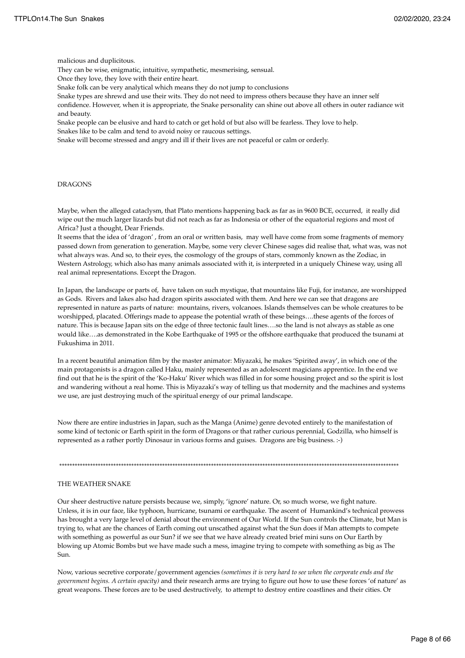malicious and duplicitous.

They can be wise, enigmatic, intuitive, sympathetic, mesmerising, sensual.

Once they love, they love with their entire heart.

Snake folk can be very analytical which means they do not jump to conclusions

Snake types are shrewd and use their wits. They do not need to impress others because they have an inner self confidence. However, when it is appropriate, the Snake personality can shine out above all others in outer radiance wit and beauty.

Snake people can be elusive and hard to catch or get hold of but also will be fearless. They love to help. Snakes like to be calm and tend to avoid noisy or raucous settings.

Snake will become stressed and angry and ill if their lives are not peaceful or calm or orderly.

#### DRAGONS

Maybe, when the alleged cataclysm, that Plato mentions happening back as far as in 9600 BCE, occurred, it really did wipe out the much larger lizards but did not reach as far as Indonesia or other of the equatorial regions and most of Africa? Just a thought, Dear Friends.

It seems that the idea of 'dragon' , from an oral or written basis, may well have come from some fragments of memory passed down from generation to generation. Maybe, some very clever Chinese sages did realise that, what was, was not what always was. And so, to their eyes, the cosmology of the groups of stars, commonly known as the Zodiac, in Western Astrology, which also has many animals associated with it, is interpreted in a uniquely Chinese way, using all real animal representations. Except the Dragon.

In Japan, the landscape or parts of, have taken on such mystique, that mountains like Fuji, for instance, are worshipped as Gods. Rivers and lakes also had dragon spirits associated with them. And here we can see that dragons are represented in nature as parts of nature: mountains, rivers, volcanoes. Islands themselves can be whole creatures to be worshipped, placated. Offerings made to appease the potential wrath of these beings….these agents of the forces of nature. This is because Japan sits on the edge of three tectonic fault lines….so the land is not always as stable as one would like….as demonstrated in the Kobe Earthquake of 1995 or the offshore earthquake that produced the tsunami at Fukushima in 2011.

In a recent beautiful animation film by the master animator: Miyazaki, he makes 'Spirited away', in which one of the main protagonists is a dragon called Haku, mainly represented as an adolescent magicians apprentice. In the end we find out that he is the spirit of the 'Ko-Haku' River which was filled in for some housing project and so the spirit is lost and wandering without a real home. This is Miyazaki's way of telling us that modernity and the machines and systems we use, are just destroying much of the spiritual energy of our primal landscape.

Now there are entire industries in Japan, such as the Manga (Anime) genre devoted entirely to the manifestation of some kind of tectonic or Earth spirit in the form of Dragons or that rather curious perennial, Godzilla, who himself is represented as a rather portly Dinosaur in various forms and guises. Dragons are big business. :-)

\*\*\*\*\*\*\*\*\*\*\*\*\*\*\*\*\*\*\*\*\*\*\*\*\*\*\*\*\*\*\*\*\*\*\*\*\*\*\*\*\*\*\*\*\*\*\*\*\*\*\*\*\*\*\*\*\*\*\*\*\*\*\*\*\*\*\*\*\*\*\*\*\*\*\*\*\*\*\*\*\*\*\*\*\*\*\*\*\*\*\*\*\*\*\*\*\*\*\*\*\*\*\*\*\*\*\*\*\*\*\*\*\*\*\*\*\*\*\*\*\*\*\*\*\*\*\*\*\*\*\*\*

#### THE WEATHER SNAKE

Our sheer destructive nature persists because we, simply, 'ignore' nature. Or, so much worse, we fight nature. Unless, it is in our face, like typhoon, hurricane, tsunami or earthquake. The ascent of Humankind's technical prowess has brought a very large level of denial about the environment of Our World. If the Sun controls the Climate, but Man is trying to, what are the chances of Earth coming out unscathed against what the Sun does if Man attempts to compete with something as powerful as our Sun? if we see that we have already created brief mini suns on Our Earth by blowing up Atomic Bombs but we have made such a mess, imagine trying to compete with something as big as The Sun.

Now, various secretive corporate/government agencies *(sometimes it is very hard to see when the corporate ends and the government begins. A certain opacity)* and their research arms are trying to figure out how to use these forces 'of nature' as great weapons. These forces are to be used destructively, to attempt to destroy entire coastlines and their cities. Or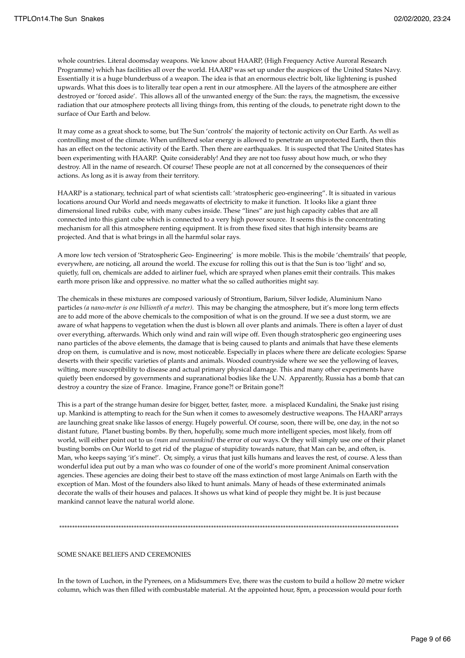whole countries. Literal doomsday weapons. We know about HAARP, (High Frequency Active Auroral Research Programme) which has facilities all over the world. HAARP was set up under the auspices of the United States Navy. Essentially it is a huge blunderbuss of a weapon. The idea is that an enormous electric bolt, like lightening is pushed upwards. What this does is to literally tear open a rent in our atmosphere. All the layers of the atmosphere are either destroyed or 'forced aside'. This allows all of the unwanted energy of the Sun: the rays, the magnetism, the excessive radiation that our atmosphere protects all living things from, this renting of the clouds, to penetrate right down to the surface of Our Earth and below.

It may come as a great shock to some, but The Sun 'controls' the majority of tectonic activity on Our Earth. As well as controlling most of the climate. When unfiltered solar energy is allowed to penetrate an unprotected Earth, then this has an effect on the tectonic activity of the Earth. Then there are earthquakes. It is suspected that The United States has been experimenting with HAARP. Quite considerably! And they are not too fussy about how much, or who they destroy. All in the name of research. Of course! These people are not at all concerned by the consequences of their actions. As long as it is away from their territory.

HAARP is a stationary, technical part of what scientists call: 'stratospheric geo-engineering". It is situated in various locations around Our World and needs megawatts of electricity to make it function. It looks like a giant three dimensional lined rubiks cube, with many cubes inside. These "lines" are just high capacity cables that are all connected into this giant cube which is connected to a very high power source. It seems this is the concentrating mechanism for all this atmosphere renting equipment. It is from these fixed sites that high intensity beams are projected. And that is what brings in all the harmful solar rays.

A more low tech version of 'Stratospheric Geo- Engineering' is more mobile. This is the mobile 'chemtrails' that people, everywhere, are noticing, all around the world. The excuse for rolling this out is that the Sun is too 'light' and so, quietly, full on, chemicals are added to airliner fuel, which are sprayed when planes emit their contrails. This makes earth more prison like and oppressive. no matter what the so called authorities might say.

The chemicals in these mixtures are composed variously of Strontium, Barium, Silver Iodide, Aluminium Nano particles *(a nano-meter is one billionth of a meter)*. This may be changing the atmosphere, but it's more long term effects are to add more of the above chemicals to the composition of what is on the ground. If we see a dust storm, we are aware of what happens to vegetation when the dust is blown all over plants and animals. There is often a layer of dust over everything, afterwards. Which only wind and rain will wipe off. Even though stratospheric geo engineering uses nano particles of the above elements, the damage that is being caused to plants and animals that have these elements drop on them, is cumulative and is now, most noticeable. Especially in places where there are delicate ecologies: Sparse deserts with their specific varieties of plants and animals. Wooded countryside where we see the yellowing of leaves, wilting, more susceptibility to disease and actual primary physical damage. This and many other experiments have quietly been endorsed by governments and supranational bodies like the U.N. Apparently, Russia has a bomb that can destroy a country the size of France. Imagine, France gone?! or Britain gone?!

This is a part of the strange human desire for bigger, better, faster, more. a misplaced Kundalini, the Snake just rising up. Mankind is attempting to reach for the Sun when it comes to awesomely destructive weapons. The HAARP arrays are launching great snake like lassos of energy. Hugely powerful. Of course, soon, there will be, one day, in the not so distant future, Planet busting bombs. By then, hopefully, some much more intelligent species, most likely, from off world, will either point out to us *(man and womankind)* the error of our ways. Or they will simply use one of their planet busting bombs on Our World to get rid of the plague of stupidity towards nature, that Man can be, and often, is. Man, who keeps saying 'it's mine!'. Or, simply, a virus that just kills humans and leaves the rest, of course. A less than wonderful idea put out by a man who was co founder of one of the world's more prominent Animal conservation agencies. These agencies are doing their best to stave off the mass extinction of most large Animals on Earth with the exception of Man. Most of the founders also liked to hunt animals. Many of heads of these exterminated animals decorate the walls of their houses and palaces. It shows us what kind of people they might be. It is just because mankind cannot leave the natural world alone.

\*\*\*\*\*\*\*\*\*\*\*\*\*\*\*\*\*\*\*\*\*\*\*\*\*\*\*\*\*\*\*\*\*\*\*\*\*\*\*\*\*\*\*\*\*\*\*\*\*\*\*\*\*\*\*\*\*\*\*\*\*\*\*\*\*\*\*\*\*\*\*\*\*\*\*\*\*\*\*\*\*\*\*\*\*\*\*\*\*\*\*\*\*\*\*\*\*\*\*\*\*\*\*\*\*\*\*\*\*\*\*\*\*\*\*\*\*\*\*\*\*\*\*\*\*\*\*\*\*\*\*\*

## SOME SNAKE BELIEFS AND CEREMONIES

In the town of Luchon, in the Pyrenees, on a Midsummers Eve, there was the custom to build a hollow 20 metre wicker column, which was then filled with combustable material. At the appointed hour, 8pm, a procession would pour forth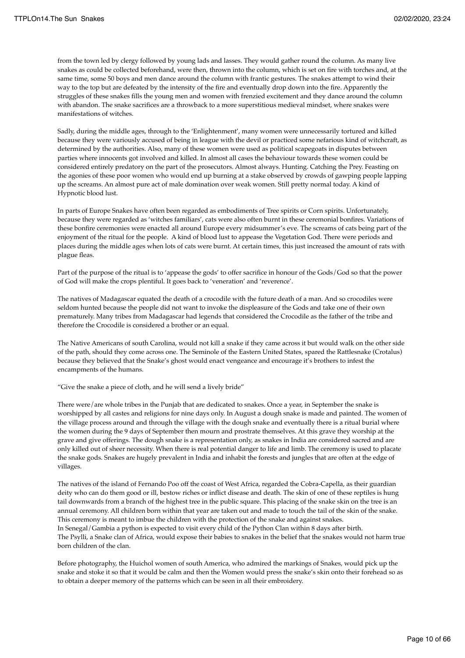from the town led by clergy followed by young lads and lasses. They would gather round the column. As many live snakes as could be collected beforehand, were then, thrown into the column, which is set on fire with torches and, at the same time, some 50 boys and men dance around the column with frantic gestures. The snakes attempt to wind their way to the top but are defeated by the intensity of the fire and eventually drop down into the fire. Apparently the struggles of these snakes fills the young men and women with frenzied excitement and they dance around the column with abandon. The snake sacrifices are a throwback to a more superstitious medieval mindset, where snakes were manifestations of witches.

Sadly, during the middle ages, through to the 'Enlightenment', many women were unnecessarily tortured and killed because they were variously accused of being in league with the devil or practiced some nefarious kind of witchcraft, as determined by the authorities. Also, many of these women were used as political scapegoats in disputes between parties where innocents got involved and killed. In almost all cases the behaviour towards these women could be considered entirely predatory on the part of the prosecutors. Almost always. Hunting. Catching the Prey. Feasting on the agonies of these poor women who would end up burning at a stake observed by crowds of gawping people lapping up the screams. An almost pure act of male domination over weak women. Still pretty normal today. A kind of Hypnotic blood lust.

In parts of Europe Snakes have often been regarded as embodiments of Tree spirits or Corn spirits. Unfortunately, because they were regarded as 'witches familiars', cats were also often burnt in these ceremonial bonfires. Variations of these bonfire ceremonies were enacted all around Europe every midsummer's eve. The screams of cats being part of the enjoyment of the ritual for the people. A kind of blood lust to appease the Vegetation God. There were periods and places during the middle ages when lots of cats were burnt. At certain times, this just increased the amount of rats with plague fleas.

Part of the purpose of the ritual is to 'appease the gods' to offer sacrifice in honour of the Gods/God so that the power of God will make the crops plentiful. It goes back to 'veneration' and 'reverence'.

The natives of Madagascar equated the death of a crocodile with the future death of a man. And so crocodiles were seldom hunted because the people did not want to invoke the displeasure of the Gods and take one of their own prematurely. Many tribes from Madagascar had legends that considered the Crocodile as the father of the tribe and therefore the Crocodile is considered a brother or an equal.

The Native Americans of south Carolina, would not kill a snake if they came across it but would walk on the other side of the path, should they come across one. The Seminole of the Eastern United States, spared the Rattlesnake (Crotalus) because they believed that the Snake's ghost would enact vengeance and encourage it's brothers to infest the encampments of the humans.

"Give the snake a piece of cloth, and he will send a lively bride"

There were/are whole tribes in the Punjab that are dedicated to snakes. Once a year, in September the snake is worshipped by all castes and religions for nine days only. In August a dough snake is made and painted. The women of the village process around and through the village with the dough snake and eventually there is a ritual burial where the women during the 9 days of September then mourn and prostrate themselves. At this grave they worship at the grave and give offerings. The dough snake is a representation only, as snakes in India are considered sacred and are only killed out of sheer necessity. When there is real potential danger to life and limb. The ceremony is used to placate the snake gods. Snakes are hugely prevalent in India and inhabit the forests and jungles that are often at the edge of villages.

The natives of the island of Fernando Poo off the coast of West Africa, regarded the Cobra-Capella, as their guardian deity who can do them good or ill, bestow riches or inflict disease and death. The skin of one of these reptiles is hung tail downwards from a branch of the highest tree in the public square. This placing of the snake skin on the tree is an annual ceremony. All children born within that year are taken out and made to touch the tail of the skin of the snake. This ceremony is meant to imbue the children with the protection of the snake and against snakes. In Senegal/Gambia a python is expected to visit every child of the Python Clan within 8 days after birth. The Psylli, a Snake clan of Africa, would expose their babies to snakes in the belief that the snakes would not harm true born children of the clan.

Before photography, the Huichol women of south America, who admired the markings of Snakes, would pick up the snake and stoke it so that it would be calm and then the Women would press the snake's skin onto their forehead so as to obtain a deeper memory of the patterns which can be seen in all their embroidery.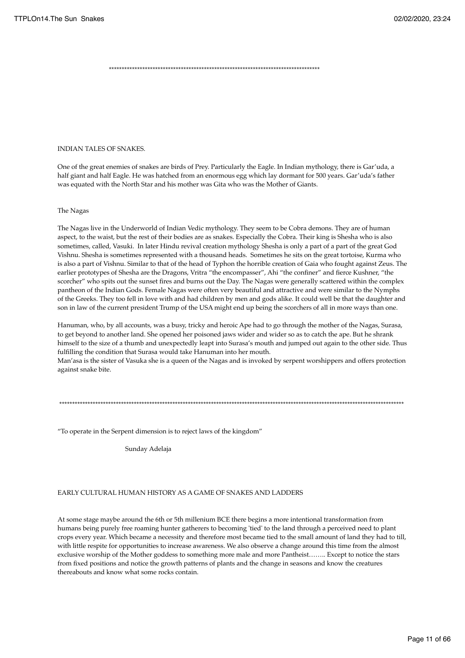\*\*\*\*\*\*\*\*\*\*\*\*\*\*\*\*\*\*\*\*\*\*\*\*\*\*\*\*\*\*\*\*\*\*\*\*\*\*\*\*\*\*\*\*\*\*\*\*\*\*\*\*\*\*\*\*\*\*\*\*\*\*\*\*\*\*\*\*\*\*\*\*\*\*\*\*\*\*\*\*\*\*

#### INDIAN TALES OF SNAKES.

One of the great enemies of snakes are birds of Prey. Particularly the Eagle. In Indian mythology, there is Gar'uda, a half giant and half Eagle. He was hatched from an enormous egg which lay dormant for 500 years. Gar'uda's father was equated with the North Star and his mother was Gita who was the Mother of Giants.

#### The Nagas

The Nagas live in the Underworld of Indian Vedic mythology. They seem to be Cobra demons. They are of human aspect, to the waist, but the rest of their bodies are as snakes. Especially the Cobra. Their king is Shesha who is also sometimes, called, Vasuki. In later Hindu revival creation mythology Shesha is only a part of a part of the great God Vishnu. Shesha is sometimes represented with a thousand heads. Sometimes he sits on the great tortoise, Kurma who is also a part of Vishnu. Similar to that of the head of Typhon the horrible creation of Gaia who fought against Zeus. The earlier prototypes of Shesha are the Dragons, Vritra "the encompasser", Ahi "the confiner" and fierce Kushner, "the scorcher" who spits out the sunset fires and burns out the Day. The Nagas were generally scattered within the complex pantheon of the Indian Gods. Female Nagas were often very beautiful and attractive and were similar to the Nymphs of the Greeks. They too fell in love with and had children by men and gods alike. It could well be that the daughter and son in law of the current president Trump of the USA might end up being the scorchers of all in more ways than one.

Hanuman, who, by all accounts, was a busy, tricky and heroic Ape had to go through the mother of the Nagas, Surasa, to get beyond to another land. She opened her poisoned jaws wider and wider so as to catch the ape. But he shrank himself to the size of a thumb and unexpectedly leapt into Surasa's mouth and jumped out again to the other side. Thus fulfilling the condition that Surasa would take Hanuman into her mouth.

Man'asa is the sister of Vasuka she is a queen of the Nagas and is invoked by serpent worshippers and offers protection against snake bite.

\*\*\*\*\*\*\*\*\*\*\*\*\*\*\*\*\*\*\*\*\*\*\*\*\*\*\*\*\*\*\*\*\*\*\*\*\*\*\*\*\*\*\*\*\*\*\*\*\*\*\*\*\*\*\*\*\*\*\*\*\*\*\*\*\*\*\*\*\*\*\*\*\*\*\*\*\*\*\*\*\*\*\*\*\*\*\*\*\*\*\*\*\*\*\*\*\*\*\*\*\*\*\*\*\*\*\*\*\*\*\*\*\*\*\*\*\*\*\*\*\*\*\*\*\*\*\*\*\*\*\*\*\*\*

"To operate in the Serpent dimension is to reject laws of the kingdom"

Sunday Adelaja

#### EARLY CULTURAL HUMAN HISTORY AS A GAME OF SNAKES AND LADDERS

At some stage maybe around the 6th or 5th millenium BCE there begins a more intentional transformation from humans being purely free roaming hunter gatherers to becoming 'tied' to the land through a perceived need to plant crops every year. Which became a necessity and therefore most became tied to the small amount of land they had to till, with little respite for opportunities to increase awareness. We also observe a change around this time from the almost exclusive worship of the Mother goddess to something more male and more Pantheist…….. Except to notice the stars from fixed positions and notice the growth patterns of plants and the change in seasons and know the creatures thereabouts and know what some rocks contain.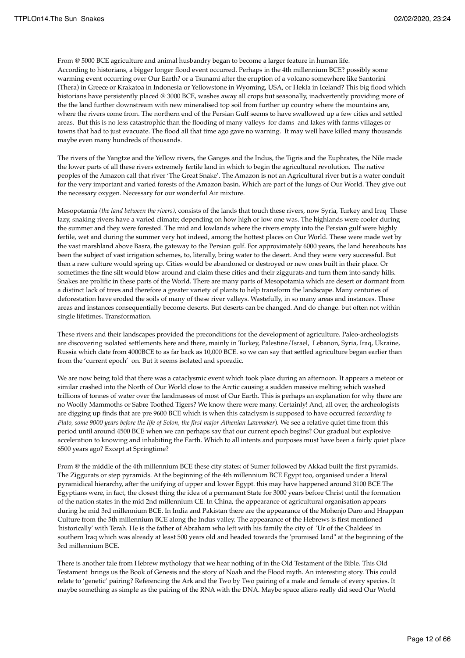From @ 5000 BCE agriculture and animal husbandry began to become a larger feature in human life. According to historians, a bigger longer flood event occurred. Perhaps in the 4th millennium BCE? possibly some warming event occurring over Our Earth? or a Tsunami after the eruption of a volcano somewhere like Santorini (Thera) in Greece or Krakatoa in Indonesia or Yellowstone in Wyoming, USA, or Hekla in Iceland? This big flood which historians have persistently placed @ 3000 BCE, washes away all crops but seasonally, inadvertently providing more of the the land further downstream with new mineralised top soil from further up country where the mountains are, where the rivers come from. The northern end of the Persian Gulf seems to have swallowed up a few cities and settled areas. But this is no less catastrophic than the flooding of many valleys for dams and lakes with farms villages or towns that had to just evacuate. The flood all that time ago gave no warning. It may well have killed many thousands maybe even many hundreds of thousands.

The rivers of the Yangtze and the Yellow rivers, the Ganges and the Indus, the Tigris and the Euphrates, the Nile made the lower parts of all these rivers extremely fertile land in which to begin the agricultural revolution. The native peoples of the Amazon call that river 'The Great Snake'. The Amazon is not an Agricultural river but is a water conduit for the very important and varied forests of the Amazon basin. Which are part of the lungs of Our World. They give out the necessary oxygen. Necessary for our wonderful Air mixture.

Mesopotamia *(the land between the rivers)*, consists of the lands that touch these rivers, now Syria, Turkey and Iraq These lazy, snaking rivers have a varied climate; depending on how high or low one was. The highlands were cooler during the summer and they were forested. The mid and lowlands where the rivers empty into the Persian gulf were highly fertile, wet and during the summer very hot indeed, among the hottest places on Our World. These were made wet by the vast marshland above Basra, the gateway to the Persian gulf. For approximately 6000 years, the land hereabouts has been the subject of vast irrigation schemes, to, literally, bring water to the desert. And they were very successful. But then a new culture would spring up. Cities would be abandoned or destroyed or new ones built in their place. Or sometimes the fine silt would blow around and claim these cities and their ziggurats and turn them into sandy hills. Snakes are prolific in these parts of the World. There are many parts of Mesopotamia which are desert or dormant from a distinct lack of trees and therefore a greater variety of plants to help transform the landscape. Many centuries of deforestation have eroded the soils of many of these river valleys. Wastefully, in so many areas and instances. These areas and instances consequentially become deserts. But deserts can be changed. And do change. but often not within single lifetimes. Transformation.

These rivers and their landscapes provided the preconditions for the development of agriculture. Paleo-archeologists are discovering isolated settlements here and there, mainly in Turkey, Palestine/Israel, Lebanon, Syria, Iraq, Ukraine, Russia which date from 4000BCE to as far back as 10,000 BCE. so we can say that settled agriculture began earlier than from the 'current epoch' on. But it seems isolated and sporadic.

We are now being told that there was a cataclysmic event which took place during an afternoon. It appears a meteor or similar crashed into the North of Our World close to the Arctic causing a sudden massive melting which washed trillions of tonnes of water over the landmasses of most of Our Earth. This is perhaps an explanation for why there are no Woolly Mammoths or Sabre Toothed Tigers? We know there were many. Certainly! And, all over, the archeologists are digging up finds that are pre 9600 BCE which is when this cataclysm is supposed to have occurred *(according to Plato, some 9000 years before the life of Solon, the first major Athenian Lawmaker*). We see a relative quiet time from this period until around 4500 BCE when we can perhaps say that our current epoch begins? Our gradual but explosive acceleration to knowing and inhabiting the Earth. Which to all intents and purposes must have been a fairly quiet place 6500 years ago? Except at Springtime?

From @ the middle of the 4th millennium BCE these city states: of Sumer followed by Akkad built the first pyramids. The Ziggurats or step pyramids. At the beginning of the 4th millennium BCE Egypt too, organised under a literal pyramidical hierarchy, after the unifying of upper and lower Egypt. this may have happened around 3100 BCE The Egyptians were, in fact, the closest thing the idea of a permanent State for 3000 years before Christ until the formation of the nation states in the mid 2nd millennium CE. In China, the appearance of agricultural organisation appears during he mid 3rd millennium BCE. In India and Pakistan there are the appearance of the Mohenjo Daro and Hrappan Culture from the 5th millennium BCE along the Indus valley. The appearance of the Hebrews is first mentioned 'historically' with Terah. He is the father of Abraham who left with his family the city of 'Ur of the Chaldees' in southern Iraq which was already at least 500 years old and headed towards the 'promised land" at the beginning of the 3rd millennium BCE.

There is another tale from Hebrew mythology that we hear nothing of in the Old Testament of the Bible. This Old Testament brings us the Book of Genesis and the story of Noah and the Flood myth. An interesting story. This could relate to 'genetic' pairing? Referencing the Ark and the Two by Two pairing of a male and female of every species. It maybe something as simple as the pairing of the RNA with the DNA. Maybe space aliens really did seed Our World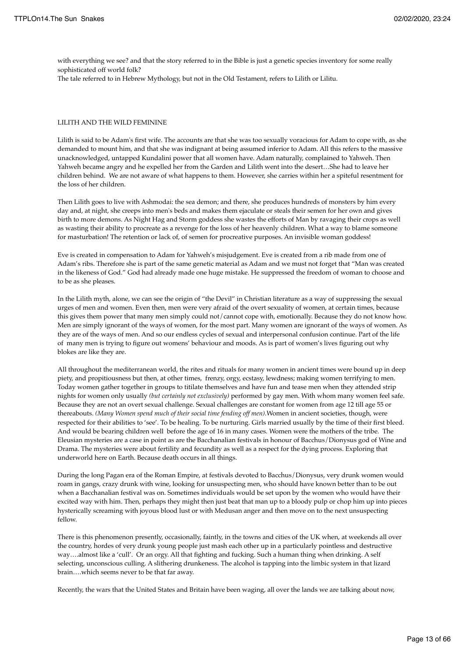with everything we see? and that the story referred to in the Bible is just a genetic species inventory for some really sophisticated off world folk?

The tale referred to in Hebrew Mythology, but not in the Old Testament, refers to Lilith or Lilitu.

#### LILITH AND THE WILD FEMININE

Lilith is said to be Adam's first wife. The accounts are that she was too sexually voracious for Adam to cope with, as she demanded to mount him, and that she was indignant at being assumed inferior to Adam. All this refers to the massive unacknowledged, untapped Kundalini power that all women have. Adam naturally, complained to Yahweh. Then Yahweh became angry and he expelled her from the Garden and Lilith went into the desert…She had to leave her children behind. We are not aware of what happens to them. However, she carries within her a spiteful resentment for the loss of her children.

Then Lilith goes to live with Ashmodai: the sea demon; and there, she produces hundreds of monsters by him every day and, at night, she creeps into men's beds and makes them ejaculate or steals their semen for her own and gives birth to more demons. As Night Hag and Storm goddess she wastes the efforts of Man by ravaging their crops as well as wasting their ability to procreate as a revenge for the loss of her heavenly children. What a way to blame someone for masturbation! The retention or lack of, of semen for procreative purposes. An invisible woman goddess!

Eve is created in compensation to Adam for Yahweh's misjudgement. Eve is created from a rib made from one of Adam's ribs. Therefore she is part of the same genetic material as Adam and we must not forget that "Man was created in the likeness of God." God had already made one huge mistake. He suppressed the freedom of woman to choose and to be as she pleases.

In the Lilith myth, alone, we can see the origin of "the Devil" in Christian literature as a way of suppressing the sexual urges of men and women. Even then, men were very afraid of the overt sexuality of women, at certain times, because this gives them power that many men simply could not/cannot cope with, emotionally. Because they do not know how. Men are simply ignorant of the ways of women, for the most part. Many women are ignorant of the ways of women. As they are of the ways of men. And so our endless cycles of sexual and interpersonal confusion continue. Part of the life of many men is trying to figure out womens' behaviour and moods. As is part of women's lives figuring out why blokes are like they are.

All throughout the mediterranean world, the rites and rituals for many women in ancient times were bound up in deep piety, and propitiousness but then, at other times, frenzy, orgy, ecstasy, lewdness; making women terrifying to men. Today women gather together in groups to titilate themselves and have fun and tease men when they attended strip nights for women only usually *(but certainly not exclusively)* performed by gay men. With whom many women feel safe. Because they are not an overt sexual challenge. Sexual challenges are constant for women from age 12 till age 55 or thereabouts. *(Many Women spend much of their social time fending off men)*.Women in ancient societies, though, were respected for their abilities to 'see'. To be healing. To be nurturing. Girls married usually by the time of their first bleed. And would be bearing children well before the age of 16 in many cases. Women were the mothers of the tribe. The Eleusian mysteries are a case in point as are the Bacchanalian festivals in honour of Bacchus/Dionysus god of Wine and Drama. The mysteries were about fertility and fecundity as well as a respect for the dying process. Exploring that underworld here on Earth. Because death occurs in all things.

During the long Pagan era of the Roman Empire, at festivals devoted to Bacchus/Dionysus, very drunk women would roam in gangs, crazy drunk with wine, looking for unsuspecting men, who should have known better than to be out when a Bacchanalian festival was on. Sometimes individuals would be set upon by the women who would have their excited way with him. Then, perhaps they might then just beat that man up to a bloody pulp or chop him up into pieces hysterically screaming with joyous blood lust or with Medusan anger and then move on to the next unsuspecting fellow.

There is this phenomenon presently, occasionally, faintly, in the towns and cities of the UK when, at weekends all over the country, hordes of very drunk young people just mash each other up in a particularly pointless and destructive way….almost like a 'cull'. Or an orgy. All that fighting and fucking. Such a human thing when drinking. A self selecting, unconscious culling. A slithering drunkeness. The alcohol is tapping into the limbic system in that lizard brain….which seems never to be that far away.

Recently, the wars that the United States and Britain have been waging, all over the lands we are talking about now,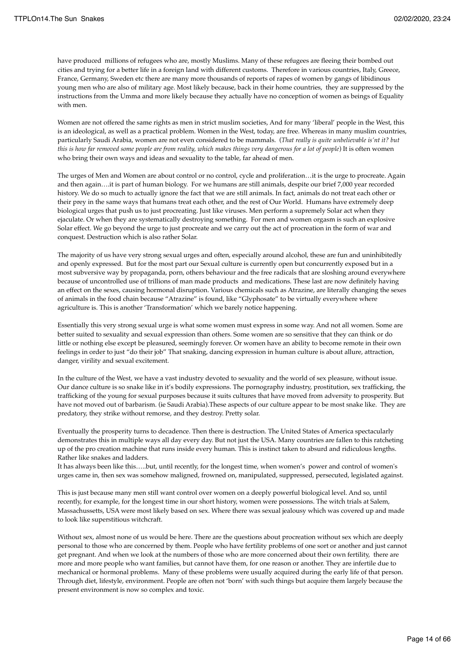have produced millions of refugees who are, mostly Muslims. Many of these refugees are fleeing their bombed out cities and trying for a better life in a foreign land with different customs. Therefore in various countries, Italy, Greece, France, Germany, Sweden etc there are many more thousands of reports of rapes of women by gangs of libidinous young men who are also of military age. Most likely because, back in their home countries, they are suppressed by the instructions from the Umma and more likely because they actually have no conception of women as beings of Equality with men.

Women are not offered the same rights as men in strict muslim societies, And for many 'liberal' people in the West, this is an ideological, as well as a practical problem. Women in the West, today, are free. Whereas in many muslim countries, particularly Saudi Arabia, women are not even considered to be mammals. (*That really is quite unbelievable is'nt it? but this is how far removed some people are from reality, which makes things very dangerous for a lot of people*) It is often women who bring their own ways and ideas and sexuality to the table, far ahead of men.

The urges of Men and Women are about control or no control, cycle and proliferation…it is the urge to procreate. Again and then again….it is part of human biology. For we humans are still animals, despite our brief 7,000 year recorded history. We do so much to actually ignore the fact that we are still animals. In fact, animals do not treat each other or their prey in the same ways that humans treat each other, and the rest of Our World. Humans have extremely deep biological urges that push us to just procreating. Just like viruses. Men perform a supremely Solar act when they ejaculate. Or when they are systematically destroying something. For men and women orgasm is such an explosive Solar effect. We go beyond the urge to just procreate and we carry out the act of procreation in the form of war and conquest. Destruction which is also rather Solar.

The majority of us have very strong sexual urges and often, especially around alcohol, these are fun and uninhibitedly and openly expressed. But for the most part our Sexual culture is currently open but concurrently exposed but in a most subversive way by propaganda, porn, others behaviour and the free radicals that are sloshing around everywhere because of uncontrolled use of trillions of man made products and medications. These last are now definitely having an effect on the sexes, causing hormonal disruption. Various chemicals such as Atrazine, are literally changing the sexes of animals in the food chain because "Atrazine" is found, like "Glyphosate" to be virtually everywhere where agriculture is. This is another 'Transformation' which we barely notice happening.

Essentially this very strong sexual urge is what some women must express in some way. And not all women. Some are better suited to sexuality and sexual expression than others. Some women are so sensitive that they can think or do little or nothing else except be pleasured, seemingly forever. Or women have an ability to become remote in their own feelings in order to just "do their job" That snaking, dancing expression in human culture is about allure, attraction, danger, virility and sexual excitement.

In the culture of the West, we have a vast industry devoted to sexuality and the world of sex pleasure, without issue. Our dance culture is so snake like in it's bodily expressions. The pornography industry, prostitution, sex trafficking, the trafficking of the young for sexual purposes because it suits cultures that have moved from adversity to prosperity. But have not moved out of barbarism. (ie Saudi Arabia).These aspects of our culture appear to be most snake like. They are predatory, they strike without remorse, and they destroy. Pretty solar.

Eventually the prosperity turns to decadence. Then there is destruction. The United States of America spectacularly demonstrates this in multiple ways all day every day. But not just the USA. Many countries are fallen to this ratcheting up of the pro creation machine that runs inside every human. This is instinct taken to absurd and ridiculous lengths. Rather like snakes and ladders.

It has always been like this…..but, until recently, for the longest time, when women's power and control of women's urges came in, then sex was somehow maligned, frowned on, manipulated, suppressed, persecuted, legislated against.

This is just because many men still want control over women on a deeply powerful biological level. And so, until recently, for example, for the longest time in our short history, women were possessions. The witch trials at Salem, Massachussetts, USA were most likely based on sex. Where there was sexual jealousy which was covered up and made to look like superstitious witchcraft.

Without sex, almost none of us would be here. There are the questions about procreation without sex which are deeply personal to those who are concerned by them. People who have fertility problems of one sort or another and just cannot get pregnant. And when we look at the numbers of those who are more concerned about their own fertility, there are more and more people who want families, but cannot have them, for one reason or another. They are infertile due to mechanical or hormonal problems. Many of these problems were usually acquired during the early life of that person. Through diet, lifestyle, environment. People are often not 'born' with such things but acquire them largely because the present environment is now so complex and toxic.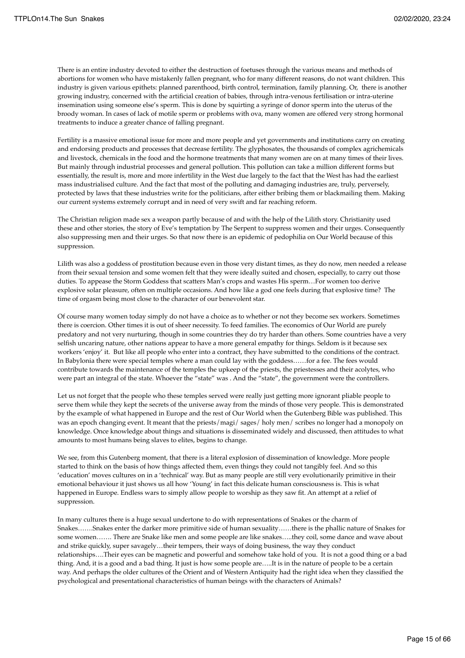There is an entire industry devoted to either the destruction of foetuses through the various means and methods of abortions for women who have mistakenly fallen pregnant, who for many different reasons, do not want children. This industry is given various epithets: planned parenthood, birth control, termination, family planning. Or, there is another growing industry, concerned with the artificial creation of babies, through intra-venous fertilisation or intra-uterine insemination using someone else's sperm. This is done by squirting a syringe of donor sperm into the uterus of the broody woman. In cases of lack of motile sperm or problems with ova, many women are offered very strong hormonal treatments to induce a greater chance of falling pregnant.

Fertility is a massive emotional issue for more and more people and yet governments and institutions carry on creating and endorsing products and processes that decrease fertility. The glyphosates, the thousands of complex agrichemicals and livestock, chemicals in the food and the hormone treatments that many women are on at many times of their lives. But mainly through industrial processes and general pollution. This pollution can take a million different forms but essentially, the result is, more and more infertility in the West due largely to the fact that the West has had the earliest mass industrialised culture. And the fact that most of the polluting and damaging industries are, truly, perversely, protected by laws that these industries write for the politicians, after either bribing them or blackmailing them. Making our current systems extremely corrupt and in need of very swift and far reaching reform.

The Christian religion made sex a weapon partly because of and with the help of the Lilith story. Christianity used these and other stories, the story of Eve's temptation by The Serpent to suppress women and their urges. Consequently also suppressing men and their urges. So that now there is an epidemic of pedophilia on Our World because of this suppression.

Lilith was also a goddess of prostitution because even in those very distant times, as they do now, men needed a release from their sexual tension and some women felt that they were ideally suited and chosen, especially, to carry out those duties. To appease the Storm Goddess that scatters Man's crops and wastes His sperm…For women too derive explosive solar pleasure, often on multiple occasions. And how like a god one feels during that explosive time? The time of orgasm being most close to the character of our benevolent star.

Of course many women today simply do not have a choice as to whether or not they become sex workers. Sometimes there is coercion. Other times it is out of sheer necessity. To feed families. The economics of Our World are purely predatory and not very nurturing, though in some countries they do try harder than others. Some countries have a very selfish uncaring nature, other nations appear to have a more general empathy for things. Seldom is it because sex workers 'enjoy' it. But like all people who enter into a contract, they have submitted to the conditions of the contract. In Babylonia there were special temples where a man could lay with the goddess……for a fee. The fees would contribute towards the maintenance of the temples the upkeep of the priests, the priestesses and their acolytes, who were part an integral of the state. Whoever the "state" was . And the "state", the government were the controllers.

Let us not forget that the people who these temples served were really just getting more ignorant pliable people to serve them while they kept the secrets of the universe away from the minds of those very people. This is demonstrated by the example of what happened in Europe and the rest of Our World when the Gutenberg Bible was published. This was an epoch changing event. It meant that the priests/magi/ sages/ holy men/ scribes no longer had a monopoly on knowledge. Once knowledge about things and situations is disseminated widely and discussed, then attitudes to what amounts to most humans being slaves to elites, begins to change.

We see, from this Gutenberg moment, that there is a literal explosion of dissemination of knowledge. More people started to think on the basis of how things affected them, even things they could not tangibly feel. And so this 'education' moves cultures on in a 'technical' way. But as many people are still very evolutionarily primitive in their emotional behaviour it just shows us all how 'Young' in fact this delicate human consciousness is. This is what happened in Europe. Endless wars to simply allow people to worship as they saw fit. An attempt at a relief of suppression.

In many cultures there is a huge sexual undertone to do with representations of Snakes or the charm of Snakes…….Snakes enter the darker more primitive side of human sexuality……there is the phallic nature of Snakes for some women……. There are Snake like men and some people are like snakes…..they coil, some dance and wave about and strike quickly, super savagely…their tempers, their ways of doing business, the way they conduct relationships….Their eyes can be magnetic and powerful and somehow take hold of you. It is not a good thing or a bad thing. And, it is a good and a bad thing. It just is how some people are…..It is in the nature of people to be a certain way. And perhaps the older cultures of the Orient and of Western Antiquity had the right idea when they classified the psychological and presentational characteristics of human beings with the characters of Animals?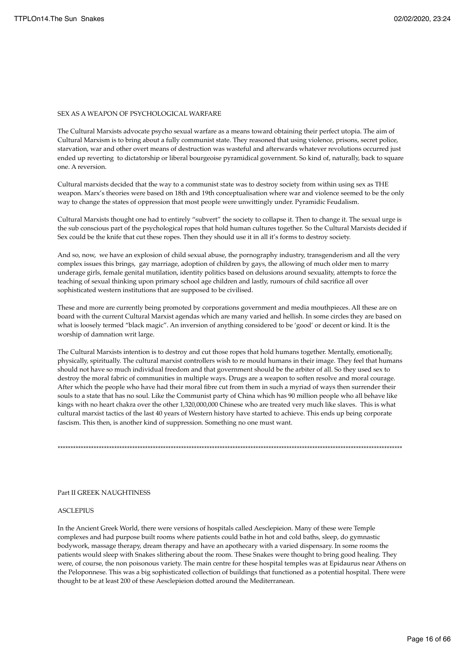#### SEX AS A WEAPON OF PSYCHOLOGICAL WARFARE

The Cultural Marxists advocate psycho sexual warfare as a means toward obtaining their perfect utopia. The aim of Cultural Marxism is to bring about a fully communist state. They reasoned that using violence, prisons, secret police, starvation, war and other overt means of destruction was wasteful and afterwards whatever revolutions occurred just ended up reverting to dictatorship or liberal bourgeoise pyramidical government. So kind of, naturally, back to square one. A reversion.

Cultural marxists decided that the way to a communist state was to destroy society from within using sex as THE weapon. Marx's theories were based on 18th and 19th conceptualisation where war and violence seemed to be the only way to change the states of oppression that most people were unwittingly under. Pyramidic Feudalism.

Cultural Marxists thought one had to entirely "subvert" the society to collapse it. Then to change it. The sexual urge is the sub conscious part of the psychological ropes that hold human cultures together. So the Cultural Marxists decided if Sex could be the knife that cut these ropes. Then they should use it in all it's forms to destroy society.

And so, now, we have an explosion of child sexual abuse, the pornography industry, transgenderism and all the very complex issues this brings, gay marriage, adoption of children by gays, the allowing of much older men to marry underage girls, female genital mutilation, identity politics based on delusions around sexuality, attempts to force the teaching of sexual thinking upon primary school age children and lastly, rumours of child sacrifice all over sophisticated western institutions that are supposed to be civilised.

These and more are currently being promoted by corporations government and media mouthpieces. All these are on board with the current Cultural Marxist agendas which are many varied and hellish. In some circles they are based on what is loosely termed "black magic". An inversion of anything considered to be 'good' or decent or kind. It is the worship of damnation writ large.

The Cultural Marxists intention is to destroy and cut those ropes that hold humans together. Mentally, emotionally, physically, spiritually. The cultural marxist controllers wish to re mould humans in their image. They feel that humans should not have so much individual freedom and that government should be the arbiter of all. So they used sex to destroy the moral fabric of communities in multiple ways. Drugs are a weapon to soften resolve and moral courage. After which the people who have had their moral fibre cut from them in such a myriad of ways then surrender their souls to a state that has no soul. Like the Communist party of China which has 90 million people who all behave like kings with no heart chakra over the other 1,320,000,000 Chinese who are treated very much like slaves. This is what cultural marxist tactics of the last 40 years of Western history have started to achieve. This ends up being corporate fascism. This then, is another kind of suppression. Something no one must want.

\*\*\*\*\*\*\*\*\*\*\*\*\*\*\*\*\*\*\*\*\*\*\*\*\*\*\*\*\*\*\*\*\*\*\*\*\*\*\*\*\*\*\*\*\*\*\*\*\*\*\*\*\*\*\*\*\*\*\*\*\*\*\*\*\*\*\*\*\*\*\*\*\*\*\*\*\*\*\*\*\*\*\*\*\*\*\*\*\*\*\*\*\*\*\*\*\*\*\*\*\*\*\*\*\*\*\*\*\*\*\*\*\*\*\*\*\*\*\*\*\*\*\*\*\*\*\*\*\*\*\*\*\*\*

#### Part II GREEK NAUGHTINESS

#### **ASCLEPIUS**

In the Ancient Greek World, there were versions of hospitals called Aesclepieion. Many of these were Temple complexes and had purpose built rooms where patients could bathe in hot and cold baths, sleep, do gymnastic bodywork, massage therapy, dream therapy and have an apothecary with a varied dispensary. In some rooms the patients would sleep with Snakes slithering about the room. These Snakes were thought to bring good healing. They were, of course, the non poisonous variety. The main centre for these hospital temples was at Epidaurus near Athens on the Peloponnese. This was a big sophisticated collection of buildings that functioned as a potential hospital. There were thought to be at least 200 of these Aesclepieion dotted around the Mediterranean.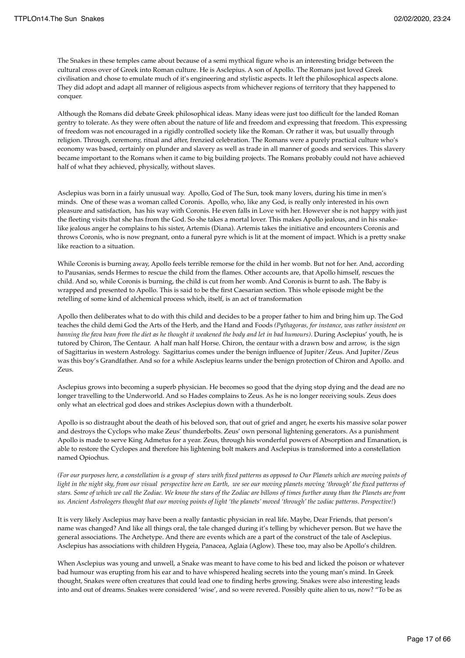The Snakes in these temples came about because of a semi mythical figure who is an interesting bridge between the cultural cross over of Greek into Roman culture. He is Asclepius. A son of Apollo. The Romans just loved Greek civilisation and chose to emulate much of it's engineering and stylistic aspects. It left the philosophical aspects alone. They did adopt and adapt all manner of religious aspects from whichever regions of territory that they happened to conquer.

Although the Romans did debate Greek philosophical ideas. Many ideas were just too difficult for the landed Roman gentry to tolerate. As they were often about the nature of life and freedom and expressing that freedom. This expressing of freedom was not encouraged in a rigidly controlled society like the Roman. Or rather it was, but usually through religion. Through, ceremony, ritual and after, frenzied celebration. The Romans were a purely practical culture who's economy was based, certainly on plunder and slavery as well as trade in all manner of goods and services. This slavery became important to the Romans when it came to big building projects. The Romans probably could not have achieved half of what they achieved, physically, without slaves.

Asclepius was born in a fairly unusual way. Apollo, God of The Sun, took many lovers, during his time in men's minds. One of these was a woman called Coronis. Apollo, who, like any God, is really only interested in his own pleasure and satisfaction, has his way with Coronis. He even falls in Love with her. However she is not happy with just the fleeting visits that she has from the God. So she takes a mortal lover. This makes Apollo jealous, and in his snakelike jealous anger he complains to his sister, Artemis (Diana). Artemis takes the initiative and encounters Coronis and throws Coronis, who is now pregnant, onto a funeral pyre which is lit at the moment of impact. Which is a pretty snake like reaction to a situation.

While Coronis is burning away, Apollo feels terrible remorse for the child in her womb. But not for her. And, according to Pausanias, sends Hermes to rescue the child from the flames. Other accounts are, that Apollo himself, rescues the child. And so, while Coronis is burning, the child is cut from her womb. And Coronis is burnt to ash. The Baby is wrapped and presented to Apollo. This is said to be the first Caesarian section. This whole episode might be the retelling of some kind of alchemical process which, itself, is an act of transformation

Apollo then deliberates what to do with this child and decides to be a proper father to him and bring him up. The God teaches the child demi God the Arts of the Herb, and the Hand and Foods *(Pythagoras, for instance, was rather insistent on banning the fava bean from the diet as he thought it weakened the body and let in bad humours)*. During Asclepius' youth, he is tutored by Chiron, The Centaur. A half man half Horse. Chiron, the centaur with a drawn bow and arrow, is the sign of Sagittarius in western Astrology. Sagittarius comes under the benign influence of Jupiter/Zeus. And Jupiter/Zeus was this boy's Grandfather. And so for a while Asclepius learns under the benign protection of Chiron and Apollo. and Zeus.

Asclepius grows into becoming a superb physician. He becomes so good that the dying stop dying and the dead are no longer travelling to the Underworld. And so Hades complains to Zeus. As he is no longer receiving souls. Zeus does only what an electrical god does and strikes Asclepius down with a thunderbolt.

Apollo is so distraught about the death of his beloved son, that out of grief and anger, he exerts his massive solar power and destroys the Cyclops who make Zeus' thunderbolts. Zeus' own personal lightening generators. As a punishment Apollo is made to serve King Admetus for a year. Zeus, through his wonderful powers of Absorption and Emanation, is able to restore the Cyclopes and therefore his lightening bolt makers and Asclepius is transformed into a constellation named Opiochus.

*(For our purposes here, a constellation is a group of stars with fixed patterns as opposed to Our Planets which are moving points of light in the night sky, from our visual perspective here on Earth, we see our moving planets moving 'through' the fixed patterns of stars. Some of which we call the Zodiac. We know the stars of the Zodiac are billons of times further away than the Planets are from us. Ancient Astrologers thought that our moving points of light 'the planets' moved 'through' the zodiac patterns. Perspective!*)

It is very likely Asclepius may have been a really fantastic physician in real life. Maybe, Dear Friends, that person's name was changed? And like all things oral, the tale changed during it's telling by whichever person. But we have the general associations. The Archetype. And there are events which are a part of the construct of the tale of Asclepius. Asclepius has associations with children Hygeia, Panacea, Aglaia (Aglow). These too, may also be Apollo's children.

When Asclepius was young and unwell, a Snake was meant to have come to his bed and licked the poison or whatever bad humour was erupting from his ear and to have whispered healing secrets into the young man's mind. In Greek thought, Snakes were often creatures that could lead one to finding herbs growing. Snakes were also interesting leads into and out of dreams. Snakes were considered 'wise', and so were revered. Possibly quite alien to us, now? "To be as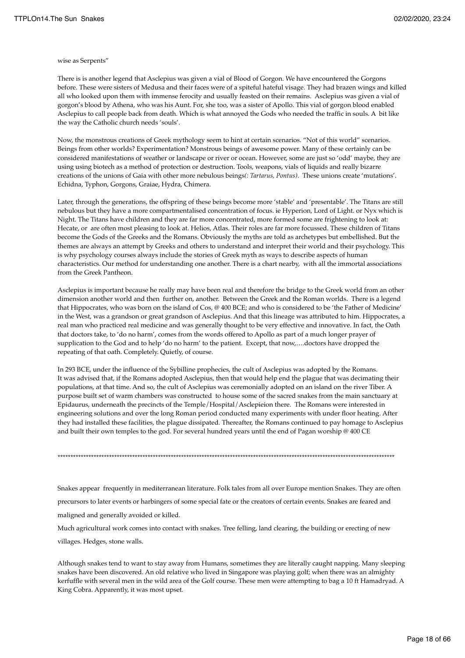#### wise as Serpents"

There is is another legend that Asclepius was given a vial of Blood of Gorgon. We have encountered the Gorgons before. These were sisters of Medusa and their faces were of a spiteful hateful visage. They had brazen wings and killed all who looked upon them with immense ferocity and usually feasted on their remains. Asclepius was given a vial of gorgon's blood by Athena, who was his Aunt. For, she too, was a sister of Apollo. This vial of gorgon blood enabled Asclepius to call people back from death. Which is what annoyed the Gods who needed the traffic in souls. A bit like the way the Catholic church needs 'souls'.

Now, the monstrous creations of Greek mythology seem to hint at certain scenarios. "Not of this world" scenarios. Beings from other worlds? Experimentation? Monstrous beings of awesome power. Many of these certainly can be considered manifestations of weather or landscape or river or ocean. However, some are just so 'odd' maybe, they are using using biotech as a method of protection or destruction. Tools, weapons, vials of liquids and really bizarre creations of the unions of Gaia with other more nebulous beings*(: Tartarus, Pontus)*. These unions create 'mutations'. Echidna, Typhon, Gorgons, Graiae, Hydra, Chimera.

Later, through the generations, the offspring of these beings become more 'stable' and 'presentable'. The Titans are still nebulous but they have a more compartmentalised concentration of focus. ie Hyperion, Lord of Light. or Nyx which is Night. The Titans have children and they are far more concentrated, more formed some are frightening to look at: Hecate, or are often most pleasing to look at. Helios, Atlas. Their roles are far more focussed. These children of Titans become the Gods of the Greeks and the Romans. Obviously the myths are told as archetypes but embellished. But the themes are always an attempt by Greeks and others to understand and interpret their world and their psychology. This is why psychology courses always include the stories of Greek myth as ways to describe aspects of human characteristics. Our method for understanding one another. There is a chart nearby, with all the immortal associations from the Greek Pantheon.

Asclepius is important because he really may have been real and therefore the bridge to the Greek world from an other dimension another world and then further on, another. Between the Greek and the Roman worlds. There is a legend that Hippocrates, who was born on the island of Cos, @ 400 BCE; and who is considered to be 'the Father of Medicine' in the West, was a grandson or great grandson of Asclepius. And that this lineage was attributed to him. Hippocrates, a real man who practiced real medicine and was generally thought to be very effective and innovative. In fact, the Oath that doctors take, to 'do no harm', comes from the words offered to Apollo as part of a much longer prayer of supplication to the God and to help 'do no harm' to the patient. Except, that now,….doctors have dropped the repeating of that oath. Completely. Quietly, of course.

In 293 BCE, under the influence of the Sybilline prophecies, the cult of Asclepius was adopted by the Romans. It was advised that, if the Romans adopted Asclepius, then that would help end the plague that was decimating their populations, at that time. And so, the cult of Asclepius was ceremonially adopted on an island on the river Tiber. A purpose built set of warm chambers was constructed to house some of the sacred snakes from the main sanctuary at Epidaurus, underneath the precincts of the Temple/Hospital/Asclepieion there. The Romans were interested in engineering solutions and over the long Roman period conducted many experiments with under floor heating. After they had installed these facilities, the plague dissipated. Thereafter, the Romans continued to pay homage to Asclepius and built their own temples to the god. For several hundred years until the end of Pagan worship @ 400 CE

\*\*\*\*\*\*\*\*\*\*\*\*\*\*\*\*\*\*\*\*\*\*\*\*\*\*\*\*\*\*\*\*\*\*\*\*\*\*\*\*\*\*\*\*\*\*\*\*\*\*\*\*\*\*\*\*\*\*\*\*\*\*\*\*\*\*\*\*\*\*\*\*\*\*\*\*\*\*\*\*\*\*\*\*\*\*\*\*\*\*\*\*\*\*\*\*\*\*\*\*\*\*\*\*\*\*\*\*\*\*\*\*\*\*\*\*\*\*\*\*\*\*\*\*\*\*\*\*\*\*\*

Snakes appear frequently in mediterranean literature. Folk tales from all over Europe mention Snakes. They are often precursors to later events or harbingers of some special fate or the creators of certain events. Snakes are feared and maligned and generally avoided or killed. Much agricultural work comes into contact with snakes. Tree felling, land clearing, the building or erecting of new

villages. Hedges, stone walls.

Although snakes tend to want to stay away from Humans, sometimes they are literally caught napping. Many sleeping snakes have been discovered. An old relative who lived in Singapore was playing golf; when there was an almighty kerfuffle with several men in the wild area of the Golf course. These men were attempting to bag a 10 ft Hamadryad. A King Cobra. Apparently, it was most upset.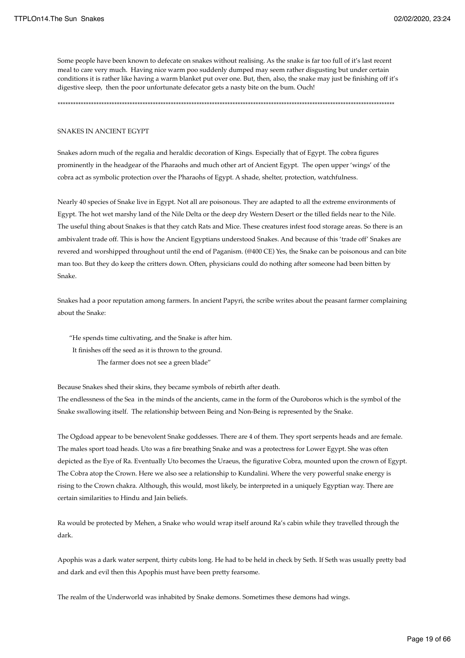Some people have been known to defecate on snakes without realising. As the snake is far too full of it's last recent meal to care very much. Having nice warm poo suddenly dumped may seem rather disgusting but under certain conditions it is rather like having a warm blanket put over one. But, then, also, the snake may just be finishing off it's digestive sleep, then the poor unfortunate defecator gets a nasty bite on the bum. Ouch!

\*\*\*\*\*\*\*\*\*\*\*\*\*\*\*\*\*\*\*\*\*\*\*\*\*\*\*\*\*\*\*\*\*\*\*\*\*\*\*\*\*\*\*\*\*\*\*\*\*\*\*\*\*\*\*\*\*\*\*\*\*\*\*\*\*\*\*\*\*\*\*\*\*\*\*\*\*\*\*\*\*\*\*\*\*\*\*\*\*\*\*\*\*\*\*\*\*\*\*\*\*\*\*\*\*\*\*\*\*\*\*\*\*\*\*\*\*\*\*\*\*\*\*\*\*\*\*\*\*\*\*

#### SNAKES IN ANCIENT EGYPT

Snakes adorn much of the regalia and heraldic decoration of Kings. Especially that of Egypt. The cobra figures prominently in the headgear of the Pharaohs and much other art of Ancient Egypt. The open upper 'wings' of the cobra act as symbolic protection over the Pharaohs of Egypt. A shade, shelter, protection, watchfulness.

Nearly 40 species of Snake live in Egypt. Not all are poisonous. They are adapted to all the extreme environments of Egypt. The hot wet marshy land of the Nile Delta or the deep dry Western Desert or the tilled fields near to the Nile. The useful thing about Snakes is that they catch Rats and Mice. These creatures infest food storage areas. So there is an ambivalent trade off. This is how the Ancient Egyptians understood Snakes. And because of this 'trade off' Snakes are revered and worshipped throughout until the end of Paganism. (@400 CE) Yes, the Snake can be poisonous and can bite man too. But they do keep the critters down. Often, physicians could do nothing after someone had been bitten by Snake.

Snakes had a poor reputation among farmers. In ancient Papyri, the scribe writes about the peasant farmer complaining about the Snake:

 "He spends time cultivating, and the Snake is after him. It finishes off the seed as it is thrown to the ground. The farmer does not see a green blade"

Because Snakes shed their skins, they became symbols of rebirth after death.

The endlessness of the Sea in the minds of the ancients, came in the form of the Ouroboros which is the symbol of the Snake swallowing itself. The relationship between Being and Non-Being is represented by the Snake.

The Ogdoad appear to be benevolent Snake goddesses. There are 4 of them. They sport serpents heads and are female. The males sport toad heads. Uto was a fire breathing Snake and was a protectress for Lower Egypt. She was often depicted as the Eye of Ra. Eventually Uto becomes the Uraeus, the figurative Cobra, mounted upon the crown of Egypt. The Cobra atop the Crown. Here we also see a relationship to Kundalini. Where the very powerful snake energy is rising to the Crown chakra. Although, this would, most likely, be interpreted in a uniquely Egyptian way. There are certain similarities to Hindu and Jain beliefs.

Ra would be protected by Mehen, a Snake who would wrap itself around Ra's cabin while they travelled through the dark.

Apophis was a dark water serpent, thirty cubits long. He had to be held in check by Seth. If Seth was usually pretty bad and dark and evil then this Apophis must have been pretty fearsome.

The realm of the Underworld was inhabited by Snake demons. Sometimes these demons had wings.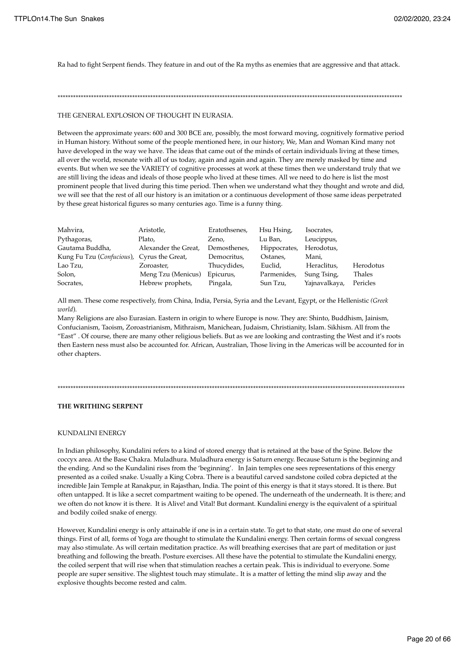Ra had to fight Serpent fiends. They feature in and out of the Ra myths as enemies that are aggressive and that attack.

#### \*\*\*\*\*\*\*\*\*\*\*\*\*\*\*\*\*\*\*\*\*\*\*\*\*\*\*\*\*\*\*\*\*\*\*\*\*\*\*\*\*\*\*\*\*\*\*\*\*\*\*\*\*\*\*\*\*\*\*\*\*\*\*\*\*\*\*\*\*\*\*\*\*\*\*\*\*\*\*\*\*\*\*\*\*\*\*\*\*\*\*\*\*\*\*\*\*\*\*\*\*\*\*\*\*\*\*\*\*\*\*\*\*\*\*\*\*\*\*\*\*\*\*\*\*\*\*\*\*\*\*\*\*\*

#### THE GENERAL EXPLOSION OF THOUGHT IN EURASIA.

Between the approximate years: 600 and 300 BCE are, possibly, the most forward moving, cognitively formative period in Human history. Without some of the people mentioned here, in our history, We, Man and Woman Kind many not have developed in the way we have. The ideas that came out of the minds of certain individuals living at these times, all over the world, resonate with all of us today, again and again and again. They are merely masked by time and events. But when we see the VARIETY of cognitive processes at work at these times then we understand truly that we are still living the ideas and ideals of those people who lived at these times. All we need to do here is list the most prominent people that lived during this time period. Then when we understand what they thought and wrote and did, we will see that the rest of all our history is an imitation or a continuous development of those same ideas perpetrated by these great historical figures so many centuries ago. Time is a funny thing.

| Mahvira,                                   | Aristotle,           | Eratothsenes, | Hsu Hsing,   | Isocrates,    |           |
|--------------------------------------------|----------------------|---------------|--------------|---------------|-----------|
| Pythagoras,                                | Plato,               | Zeno,         | Lu Ban,      | Leucippus,    |           |
| Gautama Buddha,                            | Alexander the Great, | Demosthenes,  | Hippocrates, | Herodotus,    |           |
| Kung Fu Tzu (Confucious), Cyrus the Great, |                      | Democritus,   | Ostanes,     | Mani,         |           |
| Lao Tzu,                                   | Zoroaster,           | Thucydides,   | Euclid,      | Heraclitus,   | Herodotus |
| Solon,                                     | Meng Tzu (Menicus)   | Epicurus,     | Parmenides,  | Sung Tsing,   | Thales    |
| Socrates,                                  | Hebrew prophets,     | Pingala,      | Sun Tzu,     | Yajnavalkaya, | Pericles  |

All men. These come respectively, from China, India, Persia, Syria and the Levant, Egypt, or the Hellenistic *(Greek world*).

Many Religions are also Eurasian. Eastern in origin to where Europe is now. They are: Shinto, Buddhism, Jainism, Confucianism, Taoism, Zoroastrianism, Mithraism, Manichean, Judaism, Christianity, Islam. Sikhism. All from the "East" . Of course, there are many other religious beliefs. But as we are looking and contrasting the West and it's roots then Eastern ness must also be accounted for. African, Australian, Those living in the Americas will be accounted for in other chapters.

#### \*\*\*\*\*\*\*\*\*\*\*\*\*\*\*\*\*\*\*\*\*\*\*\*\*\*\*\*\*\*\*\*\*\*\*\*\*\*\*\*\*\*\*\*\*\*\*\*\*\*\*\*\*\*\*\*\*\*\*\*\*\*\*\*\*\*\*\*\*\*\*\*\*\*\*\*\*\*\*\*\*\*\*\*\*\*\*\*\*\*\*\*\*\*\*\*\*\*\*\*\*\*\*\*\*\*\*\*\*\*\*\*\*\*\*\*\*\*\*\*\*\*\*\*\*\*\*\*\*\*\*\*\*\*\*

## **THE WRITHING SERPENT**

### KUNDALINI ENERGY

In Indian philosophy, Kundalini refers to a kind of stored energy that is retained at the base of the Spine. Below the coccyx area. At the Base Chakra. Muladhura. Muladhura energy is Saturn energy. Because Saturn is the beginning and the ending. And so the Kundalini rises from the 'beginning'. In Jain temples one sees representations of this energy presented as a coiled snake. Usually a King Cobra. There is a beautiful carved sandstone coiled cobra depicted at the incredible Jain Temple at Ranakpur, in Rajasthan, India. The point of this energy is that it stays stored. It is there. But often untapped. It is like a secret compartment waiting to be opened. The underneath of the underneath. It is there; and we often do not know it is there. It is Alive! and Vital! But dormant. Kundalini energy is the equivalent of a spiritual and bodily coiled snake of energy.

However, Kundalini energy is only attainable if one is in a certain state. To get to that state, one must do one of several things. First of all, forms of Yoga are thought to stimulate the Kundalini energy. Then certain forms of sexual congress may also stimulate. As will certain meditation practice. As will breathing exercises that are part of meditation or just breathing and following the breath. Posture exercises. All these have the potential to stimulate the Kundalini energy, the coiled serpent that will rise when that stimulation reaches a certain peak. This is individual to everyone. Some people are super sensitive. The slightest touch may stimulate.. It is a matter of letting the mind slip away and the explosive thoughts become rested and calm.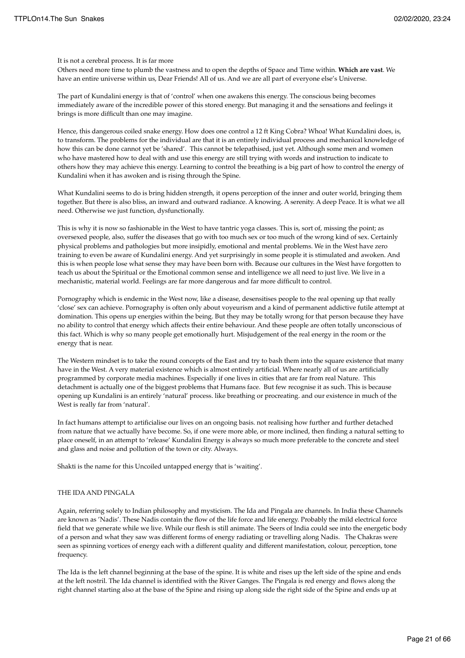It is not a cerebral process. It is far more

Others need more time to plumb the vastness and to open the depths of Space and Time within. **Which are vast**. We have an entire universe within us, Dear Friends! All of us. And we are all part of everyone else's Universe.

The part of Kundalini energy is that of 'control' when one awakens this energy. The conscious being becomes immediately aware of the incredible power of this stored energy. But managing it and the sensations and feelings it brings is more difficult than one may imagine.

Hence, this dangerous coiled snake energy. How does one control a 12 ft King Cobra? Whoa! What Kundalini does, is, to transform. The problems for the individual are that it is an entirely individual process and mechanical knowledge of how this can be done cannot yet be 'shared'. This cannot be telepathised, just yet. Although some men and women who have mastered how to deal with and use this energy are still trying with words and instruction to indicate to others how they may achieve this energy. Learning to control the breathing is a big part of how to control the energy of Kundalini when it has awoken and is rising through the Spine.

What Kundalini seems to do is bring hidden strength, it opens perception of the inner and outer world, bringing them together. But there is also bliss, an inward and outward radiance. A knowing. A serenity. A deep Peace. It is what we all need. Otherwise we just function, dysfunctionally.

This is why it is now so fashionable in the West to have tantric yoga classes. This is, sort of, missing the point; as oversexed people, also, suffer the diseases that go with too much sex or too much of the wrong kind of sex. Certainly physical problems and pathologies but more insipidly, emotional and mental problems. We in the West have zero training to even be aware of Kundalini energy. And yet surprisingly in some people it is stimulated and awoken. And this is when people lose what sense they may have been born with. Because our cultures in the West have forgotten to teach us about the Spiritual or the Emotional common sense and intelligence we all need to just live. We live in a mechanistic, material world. Feelings are far more dangerous and far more difficult to control.

Pornography which is endemic in the West now, like a disease, desensitises people to the real opening up that really 'close' sex can achieve. Pornography is often only about voyeurism and a kind of permanent addictive futile attempt at domination. This opens up energies within the being. But they may be totally wrong for that person because they have no ability to control that energy which affects their entire behaviour. And these people are often totally unconscious of this fact. Which is why so many people get emotionally hurt. Misjudgement of the real energy in the room or the energy that is near.

The Western mindset is to take the round concepts of the East and try to bash them into the square existence that many have in the West. A very material existence which is almost entirely artificial. Where nearly all of us are artificially programmed by corporate media machines. Especially if one lives in cities that are far from real Nature. This detachment is actually one of the biggest problems that Humans face. But few recognise it as such. This is because opening up Kundalini is an entirely 'natural' process. like breathing or procreating. and our existence in much of the West is really far from 'natural'.

In fact humans attempt to artificialise our lives on an ongoing basis. not realising how further and further detached from nature that we actually have become. So, if one were more able, or more inclined, then finding a natural setting to place oneself, in an attempt to 'release' Kundalini Energy is always so much more preferable to the concrete and steel and glass and noise and pollution of the town or city. Always.

Shakti is the name for this Uncoiled untapped energy that is 'waiting'.

## THE IDA AND PINGALA

Again, referring solely to Indian philosophy and mysticism. The Ida and Pingala are channels. In India these Channels are known as 'Nadis'. These Nadis contain the flow of the life force and life energy. Probably the mild electrical force field that we generate while we live. While our flesh is still animate. The Seers of India could see into the energetic body of a person and what they saw was different forms of energy radiating or travelling along Nadis. The Chakras were seen as spinning vortices of energy each with a different quality and different manifestation, colour, perception, tone frequency.

The Ida is the left channel beginning at the base of the spine. It is white and rises up the left side of the spine and ends at the left nostril. The Ida channel is identified with the River Ganges. The Pingala is red energy and flows along the right channel starting also at the base of the Spine and rising up along side the right side of the Spine and ends up at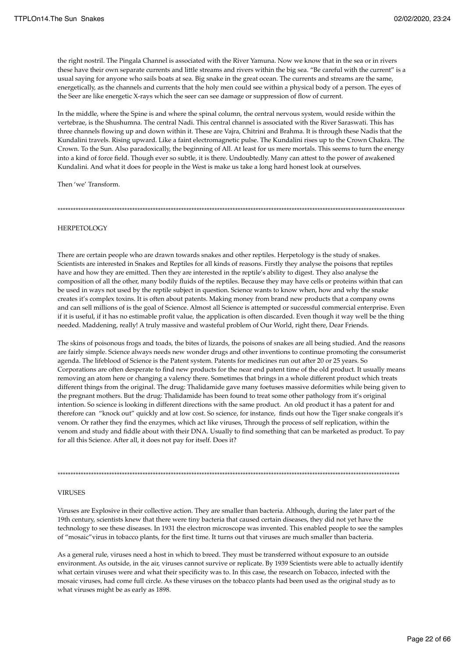the right nostril. The Pingala Channel is associated with the River Yamuna. Now we know that in the sea or in rivers these have their own separate currents and little streams and rivers within the big sea. "Be careful with the current" is a usual saying for anyone who sails boats at sea. Big snake in the great ocean. The currents and streams are the same, energetically, as the channels and currents that the holy men could see within a physical body of a person. The eyes of the Seer are like energetic X-rays which the seer can see damage or suppression of flow of current.

In the middle, where the Spine is and where the spinal column, the central nervous system, would reside within the vertebrae, is the Shushumna. The central Nadi. This central channel is associated with the River Saraswati. This has three channels flowing up and down within it. These are Vajra, Chitrini and Brahma. It is through these Nadis that the Kundalini travels. Rising upward. Like a faint electromagnetic pulse. The Kundalini rises up to the Crown Chakra. The Crown. To the Sun. Also paradoxically, the beginning of All. At least for us mere mortals. This seems to turn the energy into a kind of force field. Though ever so subtle, it is there. Undoubtedly. Many can attest to the power of awakened Kundalini. And what it does for people in the West is make us take a long hard honest look at ourselves.

Then 'we' Transform.

#### \*\*\*\*\*\*\*\*\*\*\*\*\*\*\*\*\*\*\*\*\*\*\*\*\*\*\*\*\*\*\*\*\*\*\*\*\*\*\*\*\*\*\*\*\*\*\*\*\*\*\*\*\*\*\*\*\*\*\*\*\*\*\*\*\*\*\*\*\*\*\*\*\*\*\*\*\*\*\*\*\*\*\*\*\*\*\*\*\*\*\*\*\*\*\*\*\*\*\*\*\*\*\*\*\*\*\*\*\*\*\*\*\*\*\*\*\*\*\*\*\*\*\*\*\*\*\*\*\*\*\*\*\*\*\*

#### **HERPETOLOGY**

There are certain people who are drawn towards snakes and other reptiles. Herpetology is the study of snakes. Scientists are interested in Snakes and Reptiles for all kinds of reasons. Firstly they analyse the poisons that reptiles have and how they are emitted. Then they are interested in the reptile's ability to digest. They also analyse the composition of all the other, many bodily fluids of the reptiles. Because they may have cells or proteins within that can be used in ways not used by the reptile subject in question. Science wants to know when, how and why the snake creates it's complex toxins. It is often about patents. Making money from brand new products that a company owns and can sell millions of is the goal of Science. Almost all Science is attempted or successful commercial enterprise. Even if it is useful, if it has no estimable profit value, the application is often discarded. Even though it way well be the thing needed. Maddening, really! A truly massive and wasteful problem of Our World, right there, Dear Friends.

The skins of poisonous frogs and toads, the bites of lizards, the poisons of snakes are all being studied. And the reasons are fairly simple. Science always needs new wonder drugs and other inventions to continue promoting the consumerist agenda. The lifeblood of Science is the Patent system. Patents for medicines run out after 20 or 25 years. So Corporations are often desperate to find new products for the near end patent time of the old product. It usually means removing an atom here or changing a valency there. Sometimes that brings in a whole different product which treats different things from the original. The drug: Thalidamide gave many foetuses massive deformities while being given to the pregnant mothers. But the drug: Thalidamide has been found to treat some other pathology from it's original intention. So science is looking in different directions with the same product. An old product it has a patent for and therefore can "knock out" quickly and at low cost. So science, for instance, finds out how the Tiger snake congeals it's venom. Or rather they find the enzymes, which act like viruses, Through the process of self replication, within the venom and study and fiddle about with their DNA. Usually to find something that can be marketed as product. To pay for all this Science. After all, it does not pay for itself. Does it?

#### VIRUSES

Viruses are Explosive in their collective action. They are smaller than bacteria. Although, during the later part of the 19th century, scientists knew that there were tiny bacteria that caused certain diseases, they did not yet have the technology to see these diseases. In 1931 the electron microscope was invented. This enabled people to see the samples of "mosaic"virus in tobacco plants, for the first time. It turns out that viruses are much smaller than bacteria.

\*\*\*\*\*\*\*\*\*\*\*\*\*\*\*\*\*\*\*\*\*\*\*\*\*\*\*\*\*\*\*\*\*\*\*\*\*\*\*\*\*\*\*\*\*\*\*\*\*\*\*\*\*\*\*\*\*\*\*\*\*\*\*\*\*\*\*\*\*\*\*\*\*\*\*\*\*\*\*\*\*\*\*\*\*\*\*\*\*\*\*\*\*\*\*\*\*\*\*\*\*\*\*\*\*\*\*\*\*\*\*\*\*\*\*\*\*\*\*\*\*\*\*\*\*\*\*\*\*\*\*\*\*

As a general rule, viruses need a host in which to breed. They must be transferred without exposure to an outside environment. As outside, in the air, viruses cannot survive or replicate. By 1939 Scientists were able to actually identify what certain viruses were and what their specificity was to. In this case, the research on Tobacco, infected with the mosaic viruses, had come full circle. As these viruses on the tobacco plants had been used as the original study as to what viruses might be as early as 1898.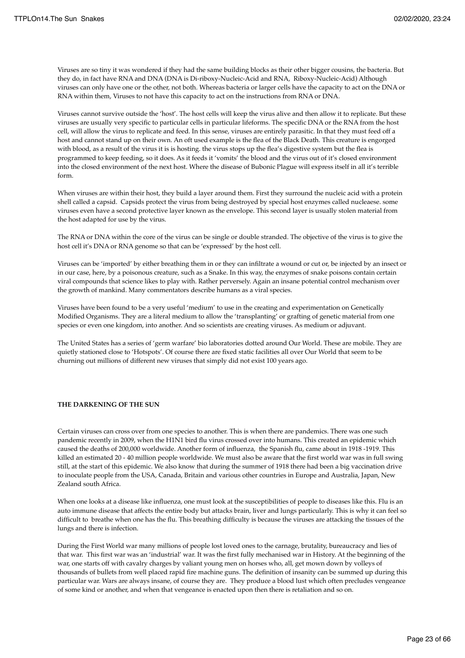Viruses are so tiny it was wondered if they had the same building blocks as their other bigger cousins, the bacteria. But they do, in fact have RNA and DNA (DNA is Di-riboxy-Nucleic-Acid and RNA, Riboxy-Nucleic-Acid) Although viruses can only have one or the other, not both. Whereas bacteria or larger cells have the capacity to act on the DNA or RNA within them, Viruses to not have this capacity to act on the instructions from RNA or DNA.

Viruses cannot survive outside the 'host'. The host cells will keep the virus alive and then allow it to replicate. But these viruses are usually very specific to particular cells in particular lifeforms. The specific DNA or the RNA from the host cell, will allow the virus to replicate and feed. In this sense, viruses are entirely parasitic. In that they must feed off a host and cannot stand up on their own. An oft used example is the flea of the Black Death. This creature is engorged with blood, as a result of the virus it is is hosting. the virus stops up the flea's digestive system but the flea is programmed to keep feeding, so it does. As it feeds it 'vomits' the blood and the virus out of it's closed environment into the closed environment of the next host. Where the disease of Bubonic Plague will express itself in all it's terrible form.

When viruses are within their host, they build a layer around them. First they surround the nucleic acid with a protein shell called a capsid. Capsids protect the virus from being destroyed by special host enzymes called nucleaese. some viruses even have a second protective layer known as the envelope. This second layer is usually stolen material from the host adapted for use by the virus.

The RNA or DNA within the core of the virus can be single or double stranded. The objective of the virus is to give the host cell it's DNA or RNA genome so that can be 'expressed' by the host cell.

Viruses can be 'imported' by either breathing them in or they can infiltrate a wound or cut or, be injected by an insect or in our case, here, by a poisonous creature, such as a Snake. In this way, the enzymes of snake poisons contain certain viral compounds that science likes to play with. Rather perversely. Again an insane potential control mechanism over the growth of mankind. Many commentators describe humans as a viral species.

Viruses have been found to be a very useful 'medium' to use in the creating and experimentation on Genetically Modified Organisms. They are a literal medium to allow the 'transplanting' or grafting of genetic material from one species or even one kingdom, into another. And so scientists are creating viruses. As medium or adjuvant.

The United States has a series of 'germ warfare' bio laboratories dotted around Our World. These are mobile. They are quietly stationed close to 'Hotspots'. Of course there are fixed static facilities all over Our World that seem to be churning out millions of different new viruses that simply did not exist 100 years ago.

### **THE DARKENING OF THE SUN**

Certain viruses can cross over from one species to another. This is when there are pandemics. There was one such pandemic recently in 2009, when the H1N1 bird flu virus crossed over into humans. This created an epidemic which caused the deaths of 200,000 worldwide. Another form of influenza, the Spanish flu, came about in 1918 -1919. This killed an estimated 20 - 40 million people worldwide. We must also be aware that the first world war was in full swing still, at the start of this epidemic. We also know that during the summer of 1918 there had been a big vaccination drive to inoculate people from the USA, Canada, Britain and various other countries in Europe and Australia, Japan, New Zealand south Africa.

When one looks at a disease like influenza, one must look at the susceptibilities of people to diseases like this. Flu is an auto immune disease that affects the entire body but attacks brain, liver and lungs particularly. This is why it can feel so difficult to breathe when one has the flu. This breathing difficulty is because the viruses are attacking the tissues of the lungs and there is infection.

During the First World war many millions of people lost loved ones to the carnage, brutality, bureaucracy and lies of that war. This first war was an 'industrial' war. It was the first fully mechanised war in History. At the beginning of the war, one starts off with cavalry charges by valiant young men on horses who, all, get mown down by volleys of thousands of bullets from well placed rapid fire machine guns. The definition of insanity can be summed up during this particular war. Wars are always insane, of course they are. They produce a blood lust which often precludes vengeance of some kind or another, and when that vengeance is enacted upon then there is retaliation and so on.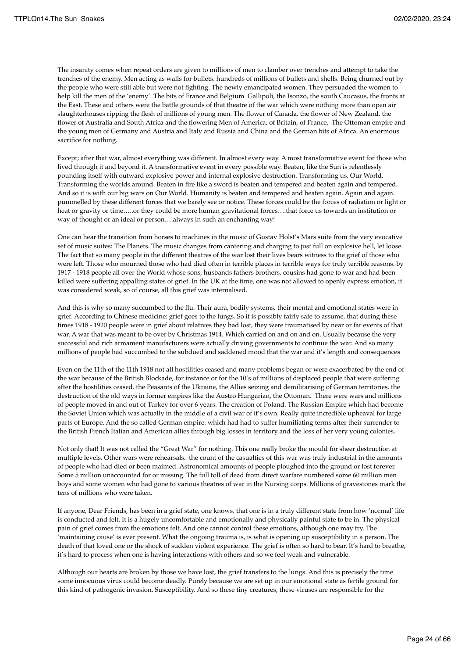The insanity comes when repeat orders are given to millions of men to clamber over trenches and attempt to take the trenches of the enemy. Men acting as walls for bullets. hundreds of millions of bullets and shells. Being churned out by the people who were still able but were not fighting. The newly emancipated women. They persuaded the women to help kill the men of the 'enemy'. The bits of France and Belgium Gallipoli, the Isonzo, the south Caucasus, the fronts at the East. These and others were the battle grounds of that theatre of the war which were nothing more than open air slaughterhouses ripping the flesh of millions of young men. The flower of Canada, the flower of New Zealand, the flower of Australia and South Africa and the flowering Men of America, of Britain, of France, The Ottoman empire and the young men of Germany and Austria and Italy and Russia and China and the German bits of Africa. An enormous sacrifice for nothing.

Except; after that war, almost everything was different. In almost every way. A most transformative event for those who lived through it and beyond it. A transformative event in every possible way. Beaten, like the Sun is relentlessly pounding itself with outward explosive power and internal explosive destruction. Transforming us, Our World, Transforming the worlds around. Beaten in fire like a sword is beaten and tempered and beaten again and tempered. And so it is with our big wars on Our World. Humanity is beaten and tempered and beaten again. Again and again. pummelled by these different forces that we barely see or notice. These forces could be the forces of radiation or light or heat or gravity or time.....or they could be more human gravitational forces....that force us towards an institution or way of thought or an ideal or person….always in such an enchanting way!

One can hear the transition from horses to machines in the music of Gustav Holst's Mars suite from the very evocative set of music suites: The Planets. The music changes from cantering and charging to just full on explosive hell, let loose. The fact that so many people in the different theatres of the war lost their lives bears witness to the grief of those who were left. Those who mourned those who had died often in terrible places in terrible ways for truly terrible reasons. by 1917 - 1918 people all over the World whose sons, husbands fathers brothers, cousins had gone to war and had been killed were suffering appalling states of grief. In the UK at the time, one was not allowed to openly express emotion, it was considered weak, so of course, all this grief was internalised.

And this is why so many succumbed to the flu. Their aura, bodily systems, their mental and emotional states were in grief. According to Chinese medicine: grief goes to the lungs. So it is possibly fairly safe to assume, that during these times 1918 - 1920 people were in grief about relatives they had lost, they were traumatised by near or far events of that war. A war that was meant to be over by Christmas 1914. Which carried on and on and on. Usually because the very successful and rich armament manufacturers were actually driving governments to continue the war. And so many millions of people had succumbed to the subdued and saddened mood that the war and it's length and consequences

Even on the 11th of the 11th 1918 not all hostilities ceased and many problems began or were exacerbated by the end of the war because of the British Blockade, for instance or for the 10's of millions of displaced people that were suffering after the hostilities ceased. the Peasants of the Ukraine, the Allies seizing and demilitarising of German territories. the destruction of the old ways in former empires like the Austro Hungarian, the Ottoman. There were wars and millions of people moved in and out of Turkey for over 6 years. The creation of Poland. The Russian Empire which had become the Soviet Union which was actually in the middle of a civil war of it's own. Really quite incredible upheaval for large parts of Europe. And the so called German empire. which had had to suffer humiliating terms after their surrender to the British French Italian and American allies through big losses in territory and the loss of her very young colonies.

Not only that! It was not called the "Great War" for nothing. This one really broke the mould for sheer destruction at multiple levels. Other wars were rehearsals. the count of the casualties of this war was truly industrial in the amounts of people who had died or been maimed. Astronomical amounts of people ploughed into the ground or lost forever. Some 5 million unaccounted for or missing. The full toll of dead from direct warfare numbered some 60 million men boys and some women who had gone to various theatres of war in the Nursing corps. Millions of gravestones mark the tens of millions who were taken.

If anyone, Dear Friends, has been in a grief state, one knows, that one is in a truly different state from how 'normal' life is conducted and felt. It is a hugely uncomfortable and emotionally and physically painful state to be in. The physical pain of grief comes from the emotions felt. And one cannot control these emotions, although one may try. The 'maintaining cause' is ever present. What the ongoing trauma is, is what is opening up susceptibility in a person. The death of that loved one or the shock of sudden violent experience. The grief is often so hard to bear. It's hard to breathe, it's hard to process when one is having interactions with others and so we feel weak and vulnerable.

Although our hearts are broken by those we have lost, the grief transfers to the lungs. And this is precisely the time some innocuous virus could become deadly. Purely because we are set up in our emotional state as fertile ground for this kind of pathogenic invasion. Susceptibility. And so these tiny creatures, these viruses are responsible for the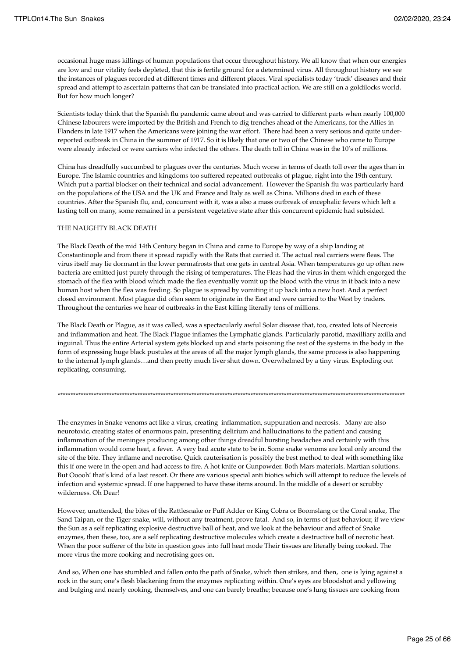occasional huge mass killings of human populations that occur throughout history. We all know that when our energies are low and our vitality feels depleted, that this is fertile ground for a determined virus. All throughout history we see the instances of plagues recorded at different times and different places. Viral specialists today 'track' diseases and their spread and attempt to ascertain patterns that can be translated into practical action. We are still on a goldilocks world. But for how much longer?

Scientists today think that the Spanish flu pandemic came about and was carried to different parts when nearly 100,000 Chinese labourers were imported by the British and French to dig trenches ahead of the Americans, for the Allies in Flanders in late 1917 when the Americans were joining the war effort. There had been a very serious and quite underreported outbreak in China in the summer of 1917. So it is likely that one or two of the Chinese who came to Europe were already infected or were carriers who infected the others. The death toll in China was in the 10's of millions.

China has dreadfully succumbed to plagues over the centuries. Much worse in terms of death toll over the ages than in Europe. The Islamic countries and kingdoms too suffered repeated outbreaks of plague, right into the 19th century. Which put a partial blocker on their technical and social advancement. However the Spanish flu was particularly hard on the populations of the USA and the UK and France and Italy as well as China. Millions died in each of these countries. After the Spanish flu, and, concurrent with it, was a also a mass outbreak of encephalic fevers which left a lasting toll on many, some remained in a persistent vegetative state after this concurrent epidemic had subsided.

### THE NAUGHTY BLACK DEATH

The Black Death of the mid 14th Century began in China and came to Europe by way of a ship landing at Constantinople and from there it spread rapidly with the Rats that carried it. The actual real carriers were fleas. The virus itself may lie dormant in the lower permafrosts that one gets in central Asia. When temperatures go up often new bacteria are emitted just purely through the rising of temperatures. The Fleas had the virus in them which engorged the stomach of the flea with blood which made the flea eventually vomit up the blood with the virus in it back into a new human host when the flea was feeding. So plague is spread by vomiting it up back into a new host. And a perfect closed environment. Most plague did often seem to originate in the East and were carried to the West by traders. Throughout the centuries we hear of outbreaks in the East killing literally tens of millions.

The Black Death or Plague, as it was called, was a spectacularly awful Solar disease that, too, created lots of Necrosis and inflammation and heat. The Black Plague inflames the Lymphatic glands. Particularly parotid, maxilliary axilla and inguinal. Thus the entire Arterial system gets blocked up and starts poisoning the rest of the systems in the body in the form of expressing huge black pustules at the areas of all the major lymph glands, the same process is also happening to the internal lymph glands…and then pretty much liver shut down. Overwhelmed by a tiny virus. Exploding out replicating, consuming.

\*\*\*\*\*\*\*\*\*\*\*\*\*\*\*\*\*\*\*\*\*\*\*\*\*\*\*\*\*\*\*\*\*\*\*\*\*\*\*\*\*\*\*\*\*\*\*\*\*\*\*\*\*\*\*\*\*\*\*\*\*\*\*\*\*\*\*\*\*\*\*\*\*\*\*\*\*\*\*\*\*\*\*\*\*\*\*\*\*\*\*\*\*\*\*\*\*\*\*\*\*\*\*\*\*\*\*\*\*\*\*\*\*\*\*\*\*\*\*\*\*\*\*\*\*\*\*\*\*\*\*\*\*\*\*

The enzymes in Snake venoms act like a virus, creating inflammation, suppuration and necrosis. Many are also neurotoxic, creating states of enormous pain, presenting delirium and hallucinations to the patient and causing inflammation of the meninges producing among other things dreadful bursting headaches and certainly with this inflammation would come heat, a fever. A very bad acute state to be in. Some snake venoms are local only around the site of the bite. They inflame and necrotise. Quick cauterisation is possibly the best method to deal with something like this if one were in the open and had access to fire. A hot knife or Gunpowder. Both Mars materials. Martian solutions. But Ooooh! that's kind of a last resort. Or there are various special anti biotics which will attempt to reduce the levels of infection and systemic spread. If one happened to have these items around. In the middle of a desert or scrubby wilderness. Oh Dear!

However, unattended, the bites of the Rattlesnake or Puff Adder or King Cobra or Boomslang or the Coral snake, The Sand Taipan, or the Tiger snake, will, without any treatment, prove fatal. And so, in terms of just behaviour, if we view the Sun as a self replicating explosive destructive ball of heat, and we look at the behaviour and affect of Snake enzymes, then these, too, are a self replicating destructive molecules which create a destructive ball of necrotic heat. When the poor sufferer of the bite in question goes into full heat mode Their tissues are literally being cooked. The more virus the more cooking and necrotising goes on.

And so, When one has stumbled and fallen onto the path of Snake, which then strikes, and then, one is lying against a rock in the sun; one's flesh blackening from the enzymes replicating within. One's eyes are bloodshot and yellowing and bulging and nearly cooking, themselves, and one can barely breathe; because one's lung tissues are cooking from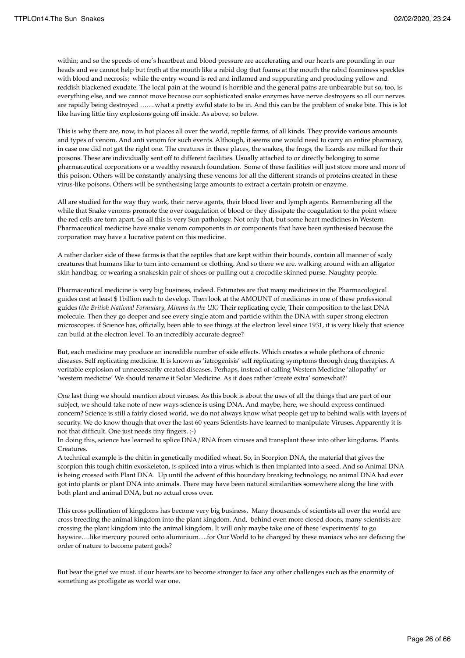within; and so the speeds of one's heartbeat and blood pressure are accelerating and our hearts are pounding in our heads and we cannot help but froth at the mouth like a rabid dog that foams at the mouth the rabid foaminess speckles with blood and necrosis; while the entry wound is red and inflamed and suppurating and producing yellow and reddish blackened exudate. The local pain at the wound is horrible and the general pains are unbearable but so, too, is everything else, and we cannot move because our sophisticated snake enzymes have nerve destroyers so all our nerves are rapidly being destroyed …….what a pretty awful state to be in. And this can be the problem of snake bite. This is lot like having little tiny explosions going off inside. As above, so below.

This is why there are, now, in hot places all over the world, reptile farms, of all kinds. They provide various amounts and types of venom. And anti venom for such events. Although, it seems one would need to carry an entire pharmacy, in case one did not get the right one. The creatures in these places, the snakes, the frogs, the lizards are milked for their poisons. These are individually sent off to different facilities. Usually attached to or directly belonging to some pharmaceutical corporations or a wealthy research foundation. Some of these facilities will just store more and more of this poison. Others will be constantly analysing these venoms for all the different strands of proteins created in these virus-like poisons. Others will be synthesising large amounts to extract a certain protein or enzyme.

All are studied for the way they work, their nerve agents, their blood liver and lymph agents. Remembering all the while that Snake venoms promote the over coagulation of blood or they dissipate the coagulation to the point where the red cells are torn apart. So all this is very Sun pathology. Not only that, but some heart medicines in Western Pharmaceutical medicine have snake venom components in or components that have been synthesised because the corporation may have a lucrative patent on this medicine.

A rather darker side of these farms is that the reptiles that are kept within their bounds, contain all manner of scaly creatures that humans like to turn into ornament or clothing. And so there we are. walking around with an alligator skin handbag. or wearing a snakeskin pair of shoes or pulling out a crocodile skinned purse. Naughty people.

Pharmaceutical medicine is very big business, indeed. Estimates are that many medicines in the Pharmacological guides cost at least \$ 1billion each to develop. Then look at the AMOUNT of medicines in one of these professional guides *(the British National Formulary, Mimms in the UK)* Their replicating cycle, Their composition to the last DNA molecule. Then they go deeper and see every single atom and particle within the DNA with super strong electron microscopes. if Science has, officially, been able to see things at the electron level since 1931, it is very likely that science can build at the electron level. To an incredibly accurate degree?

But, each medicine may produce an incredible number of side effects. Which creates a whole plethora of chronic diseases. Self replicating medicine. It is known as 'iatrogenisis' self replicating symptoms through drug therapies. A veritable explosion of unnecessarily created diseases. Perhaps, instead of calling Western Medicine 'allopathy' or 'western medicine' We should rename it Solar Medicine. As it does rather 'create extra' somewhat?!

One last thing we should mention about viruses. As this book is about the uses of all the things that are part of our subject, we should take note of new ways science is using DNA. And maybe, here, we should express continued concern? Science is still a fairly closed world, we do not always know what people get up to behind walls with layers of security. We do know though that over the last 60 years Scientists have learned to manipulate Viruses. Apparently it is not that difficult. One just needs tiny fingers. :-)

In doing this, science has learned to splice DNA/RNA from viruses and transplant these into other kingdoms. Plants. Creatures.

A technical example is the chitin in genetically modified wheat. So, in Scorpion DNA, the material that gives the scorpion this tough chitin exoskeleton, is spliced into a virus which is then implanted into a seed. And so Animal DNA is being crossed with Plant DNA. Up until the advent of this boundary breaking technology, no animal DNA had ever got into plants or plant DNA into animals. There may have been natural similarities somewhere along the line with both plant and animal DNA, but no actual cross over.

This cross pollination of kingdoms has become very big business. Many thousands of scientists all over the world are cross breeding the animal kingdom into the plant kingdom. And, behind even more closed doors, many scientists are crossing the plant kingdom into the animal kingdom. It will only maybe take one of these 'experiments' to go haywire….like mercury poured onto aluminium….for Our World to be changed by these maniacs who are defacing the order of nature to become patent gods?

But bear the grief we must. if our hearts are to become stronger to face any other challenges such as the enormity of something as profligate as world war one.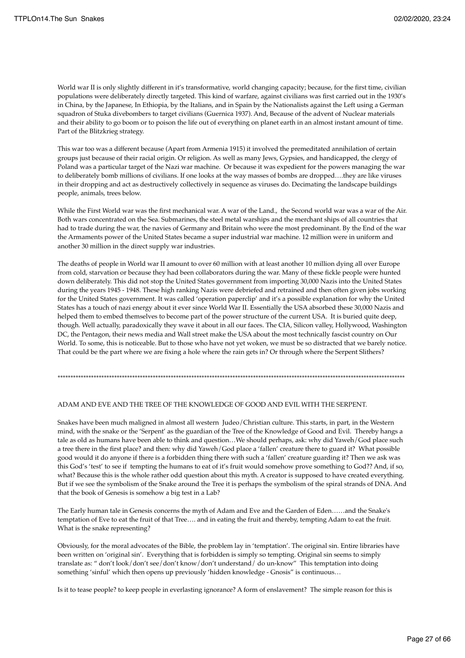World war II is only slightly different in it's transformative, world changing capacity; because, for the first time, civilian populations were deliberately directly targeted. This kind of warfare, against civilians was first carried out in the 1930's in China, by the Japanese, In Ethiopia, by the Italians, and in Spain by the Nationalists against the Left using a German squadron of Stuka divebombers to target civilians (Guernica 1937). And, Because of the advent of Nuclear materials and their ability to go boom or to poison the life out of everything on planet earth in an almost instant amount of time. Part of the Blitzkrieg strategy.

This war too was a different because (Apart from Armenia 1915) it involved the premeditated annihilation of certain groups just because of their racial origin. Or religion. As well as many Jews, Gypsies, and handicapped, the clergy of Poland was a particular target of the Nazi war machine. Or because it was expedient for the powers managing the war to deliberately bomb millions of civilians. If one looks at the way masses of bombs are dropped….they are like viruses in their dropping and act as destructively collectively in sequence as viruses do. Decimating the landscape buildings people, animals, trees below.

While the First World war was the first mechanical war. A war of the Land., the Second world war was a war of the Air. Both wars concentrated on the Sea. Submarines, the steel metal warships and the merchant ships of all countries that had to trade during the war, the navies of Germany and Britain who were the most predominant. By the End of the war the Armaments power of the United States became a super industrial war machine. 12 million were in uniform and another 30 million in the direct supply war industries.

The deaths of people in World war II amount to over 60 million with at least another 10 million dying all over Europe from cold, starvation or because they had been collaborators during the war. Many of these fickle people were hunted down deliberately. This did not stop the United States government from importing 30,000 Nazis into the United States during the years 1945 - 1948. These high ranking Nazis were debriefed and retrained and then often given jobs working for the United States government. It was called 'operation paperclip' and it's a possible explanation for why the United States has a touch of nazi energy about it ever since World War II. Essentially the USA absorbed these 30,000 Nazis and helped them to embed themselves to become part of the power structure of the current USA. It is buried quite deep, though. Well actually, paradoxically they wave it about in all our faces. The CIA, Silicon valley, Hollywood, Washington DC, the Pentagon, their news media and Wall street make the USA about the most technically fascist country on Our World. To some, this is noticeable. But to those who have not yet woken, we must be so distracted that we barely notice. That could be the part where we are fixing a hole where the rain gets in? Or through where the Serpent Slithers?

#### \*\*\*\*\*\*\*\*\*\*\*\*\*\*\*\*\*\*\*\*\*\*\*\*\*\*\*\*\*\*\*\*\*\*\*\*\*\*\*\*\*\*\*\*\*\*\*\*\*\*\*\*\*\*\*\*\*\*\*\*\*\*\*\*\*\*\*\*\*\*\*\*\*\*\*\*\*\*\*\*\*\*\*\*\*\*\*\*\*\*\*\*\*\*\*\*\*\*\*\*\*\*\*\*\*\*\*\*\*\*\*\*\*\*\*\*\*\*\*\*\*\*\*\*\*\*\*\*\*\*\*\*\*\*\*

#### ADAM AND EVE AND THE TREE OF THE KNOWLEDGE OF GOOD AND EVIL WITH THE SERPENT.

Snakes have been much maligned in almost all western Judeo/Christian culture. This starts, in part, in the Western mind, with the snake or the 'Serpent' as the guardian of the Tree of the Knowledge of Good and Evil. Thereby hangs a tale as old as humans have been able to think and question…We should perhaps, ask: why did Yaweh/God place such a tree there in the first place? and then: why did Yaweh/God place a 'fallen' creature there to guard it? What possible good would it do anyone if there is a forbidden thing there with such a 'fallen' creature guarding it? Then we ask was this God's 'test' to see if tempting the humans to eat of it's fruit would somehow prove something to God?? And, if so, what? Because this is the whole rather odd question about this myth. A creator is supposed to have created everything. But if we see the symbolism of the Snake around the Tree it is perhaps the symbolism of the spiral strands of DNA. And that the book of Genesis is somehow a big test in a Lab?

The Early human tale in Genesis concerns the myth of Adam and Eve and the Garden of Eden……and the Snake's temptation of Eve to eat the fruit of that Tree…. and in eating the fruit and thereby, tempting Adam to eat the fruit. What is the snake representing?

Obviously, for the moral advocates of the Bible, the problem lay in 'temptation'. The original sin. Entire libraries have been written on 'original sin'. Everything that is forbidden is simply so tempting. Original sin seems to simply translate as: " don't look/don't see/don't know/don't understand/ do un-know" This temptation into doing something 'sinful' which then opens up previously 'hidden knowledge - Gnosis" is continuous…

Is it to tease people? to keep people in everlasting ignorance? A form of enslavement? The simple reason for this is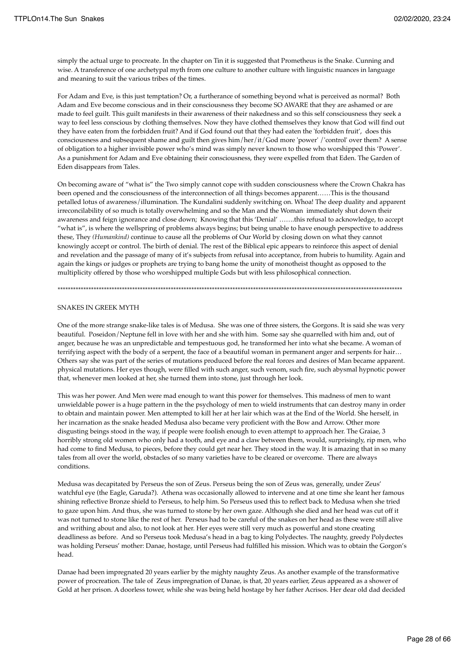simply the actual urge to procreate. In the chapter on Tin it is suggested that Prometheus is the Snake. Cunning and wise. A transference of one archetypal myth from one culture to another culture with linguistic nuances in language and meaning to suit the various tribes of the times.

For Adam and Eve, is this just temptation? Or, a furtherance of something beyond what is perceived as normal? Both Adam and Eve become conscious and in their consciousness they become SO AWARE that they are ashamed or are made to feel guilt. This guilt manifests in their awareness of their nakedness and so this self consciousness they seek a way to feel less conscious by clothing themselves. Now they have clothed themselves they know that God will find out they have eaten from the forbidden fruit? And if God found out that they had eaten the 'forbidden fruit', does this consciousness and subsequent shame and guilt then gives him/her/it/God more 'power' /'control' over them? A sense of obligation to a higher invisible power who's mind was simply never known to those who worshipped this 'Power'. As a punishment for Adam and Eve obtaining their consciousness, they were expelled from that Eden. The Garden of Eden disappears from Tales.

On becoming aware of "what is" the Two simply cannot cope with sudden consciousness where the Crown Chakra has been opened and the consciousness of the interconnection of all things becomes apparent……This is the thousand petalled lotus of awareness/illumination. The Kundalini suddenly switching on. Whoa! The deep duality and apparent irreconcilability of so much is totally overwhelming and so the Man and the Woman immediately shut down their awareness and feign ignorance and close down; Knowing that this 'Denial' …….this refusal to acknowledge, to accept "what is", is where the wellspring of problems always begins; but being unable to have enough perspective to address these, They *(Humankind)* continue to cause all the problems of Our World by closing down on what they cannot knowingly accept or control. The birth of denial. The rest of the Biblical epic appears to reinforce this aspect of denial and revelation and the passage of many of it's subjects from refusal into acceptance, from hubris to humility. Again and again the kings or judges or prophets are trying to bang home the unity of monotheist thought as opposed to the multiplicity offered by those who worshipped multiple Gods but with less philosophical connection.

\*\*\*\*\*\*\*\*\*\*\*\*\*\*\*\*\*\*\*\*\*\*\*\*\*\*\*\*\*\*\*\*\*\*\*\*\*\*\*\*\*\*\*\*\*\*\*\*\*\*\*\*\*\*\*\*\*\*\*\*\*\*\*\*\*\*\*\*\*\*\*\*\*\*\*\*\*\*\*\*\*\*\*\*\*\*\*\*\*\*\*\*\*\*\*\*\*\*\*\*\*\*\*\*\*\*\*\*\*\*\*\*\*\*\*\*\*\*\*\*\*\*\*\*\*\*\*\*\*\*\*\*\*\*

### SNAKES IN GREEK MYTH

One of the more strange snake-like tales is of Medusa. She was one of three sisters, the Gorgons. It is said she was very beautiful. Poseidon/Neptune fell in love with her and she with him. Some say she quarrelled with him and, out of anger, because he was an unpredictable and tempestuous god, he transformed her into what she became. A woman of terrifying aspect with the body of a serpent, the face of a beautiful woman in permanent anger and serpents for hair… Others say she was part of the series of mutations produced before the real forces and desires of Man became apparent. physical mutations. Her eyes though, were filled with such anger, such venom, such fire, such abysmal hypnotic power that, whenever men looked at her, she turned them into stone, just through her look.

This was her power. And Men were mad enough to want this power for themselves. This madness of men to want unwieldable power is a huge pattern in the the psychology of men to wield instruments that can destroy many in order to obtain and maintain power. Men attempted to kill her at her lair which was at the End of the World. She herself, in her incarnation as the snake headed Medusa also became very proficient with the Bow and Arrow. Other more disgusting beings stood in the way, if people were foolish enough to even attempt to approach her. The Graiae, 3 horribly strong old women who only had a tooth, and eye and a claw between them, would, surprisingly, rip men, who had come to find Medusa, to pieces, before they could get near her. They stood in the way. It is amazing that in so many tales from all over the world, obstacles of so many varieties have to be cleared or overcome. There are always conditions.

Medusa was decapitated by Perseus the son of Zeus. Perseus being the son of Zeus was, generally, under Zeus' watchful eye (the Eagle, Garuda?). Athena was occasionally allowed to intervene and at one time she leant her famous shining reflective Bronze shield to Perseus, to help him. So Perseus used this to reflect back to Medusa when she tried to gaze upon him. And thus, she was turned to stone by her own gaze. Although she died and her head was cut off it was not turned to stone like the rest of her. Perseus had to be careful of the snakes on her head as these were still alive and writhing about and also, to not look at her. Her eyes were still very much as powerful and stone creating deadliness as before. And so Perseus took Medusa's head in a bag to king Polydectes. The naughty, greedy Polydectes was holding Perseus' mother: Danae, hostage, until Perseus had fulfilled his mission. Which was to obtain the Gorgon's head.

Danae had been impregnated 20 years earlier by the mighty naughty Zeus. As another example of the transformative power of procreation. The tale of Zeus impregnation of Danae, is that, 20 years earlier, Zeus appeared as a shower of Gold at her prison. A doorless tower, while she was being held hostage by her father Acrisos. Her dear old dad decided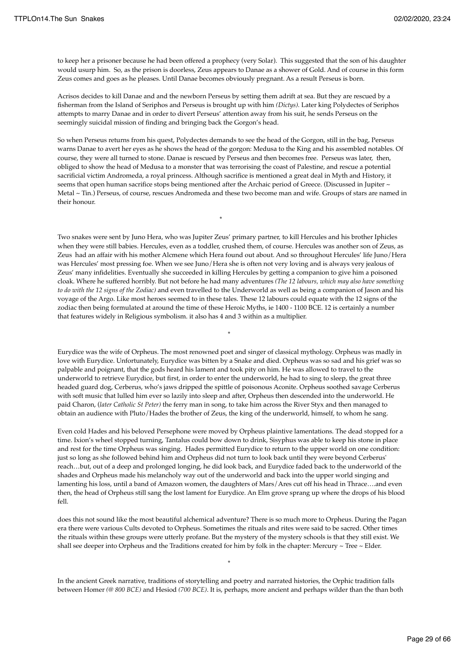to keep her a prisoner because he had been offered a prophecy (very Solar). This suggested that the son of his daughter would usurp him. So, as the prison is doorless, Zeus appears to Danae as a shower of Gold. And of course in this form Zeus comes and goes as he pleases. Until Danae becomes obviously pregnant. As a result Perseus is born.

Acrisos decides to kill Danae and and the newborn Perseus by setting them adrift at sea. But they are rescued by a fisherman from the Island of Seriphos and Perseus is brought up with him *(Dictys).* Later king Polydectes of Seriphos attempts to marry Danae and in order to divert Perseus' attention away from his suit, he sends Perseus on the seemingly suicidal mission of finding and bringing back the Gorgon's head.

So when Perseus returns from his quest, Polydectes demands to see the head of the Gorgon, still in the bag, Perseus warns Danae to avert her eyes as he shows the head of the gorgon: Medusa to the King and his assembled notables. Of course, they were all turned to stone. Danae is rescued by Perseus and then becomes free. Perseus was later, then, obliged to show the head of Medusa to a monster that was terrorising the coast of Palestine, and rescue a potential sacrificial victim Andromeda, a royal princess. Although sacrifice is mentioned a great deal in Myth and History, it seems that open human sacrifice stops being mentioned after the Archaic period of Greece. (Discussed in Jupiter ~ Metal ~ Tin.) Perseus, of course, rescues Andromeda and these two become man and wife. Groups of stars are named in their honour.

\*

the contract of the contract of the contract of the contract of the contract of the contract of the contract o<br>The contract of the contract of the contract of the contract of the contract of the contract of the contract o

the contract of the contract of the contract of the contract of the contract of the contract of the contract o<br>The contract of the contract of the contract of the contract of the contract of the contract of the contract o

Two snakes were sent by Juno Hera, who was Jupiter Zeus' primary partner, to kill Hercules and his brother Iphicles when they were still babies. Hercules, even as a toddler, crushed them, of course. Hercules was another son of Zeus, as Zeus had an affair with his mother Alcmene which Hera found out about. And so throughout Hercules' life Juno/Hera was Hercules' most pressing foe. When we see Juno/Hera she is often not very loving and is always very jealous of Zeus' many infidelities. Eventually she succeeded in killing Hercules by getting a companion to give him a poisoned cloak. Where he suffered horribly. But not before he had many adventures *(The 12 labours, which may also have something to do with the 12 signs of the Zodiac)* and even travelled to the Underworld as well as being a companion of Jason and his voyage of the Argo. Like most heroes seemed to in these tales. These 12 labours could equate with the 12 signs of the zodiac then being formulated at around the time of these Heroic Myths, ie 1400 - 1100 BCE. 12 is certainly a number that features widely in Religious symbolism. it also has 4 and 3 within as a multiplier.

Eurydice was the wife of Orpheus. The most renowned poet and singer of classical mythology. Orpheus was madly in love with Eurydice. Unfortunately, Eurydice was bitten by a Snake and died. Orpheus was so sad and his grief was so palpable and poignant, that the gods heard his lament and took pity on him. He was allowed to travel to the underworld to retrieve Eurydice, but first, in order to enter the underworld, he had to sing to sleep, the great three headed guard dog, Cerberus, who's jaws dripped the spittle of poisonous Aconite. Orpheus soothed savage Cerberus with soft music that lulled him ever so lazily into sleep and after, Orpheus then descended into the underworld. He paid Charon, (*later Catholic St Peter)* the ferry man in song, to take him across the River Styx and then managed to obtain an audience with Pluto/Hades the brother of Zeus, the king of the underworld, himself, to whom he sang.

Even cold Hades and his beloved Persephone were moved by Orpheus plaintive lamentations. The dead stopped for a time. Ixion's wheel stopped turning, Tantalus could bow down to drink, Sisyphus was able to keep his stone in place and rest for the time Orpheus was singing. Hades permitted Eurydice to return to the upper world on one condition: just so long as she followed behind him and Orpheus did not turn to look back until they were beyond Cerberus' reach…but, out of a deep and prolonged longing, he did look back, and Eurydice faded back to the underworld of the shades and Orpheus made his melancholy way out of the underworld and back into the upper world singing and lamenting his loss, until a band of Amazon women, the daughters of Mars/Ares cut off his head in Thrace….and even then, the head of Orpheus still sang the lost lament for Eurydice. An Elm grove sprang up where the drops of his blood fell.

does this not sound like the most beautiful alchemical adventure? There is so much more to Orpheus. During the Pagan era there were various Cults devoted to Orpheus. Sometimes the rituals and rites were said to be sacred. Other times the rituals within these groups were utterly profane. But the mystery of the mystery schools is that they still exist. We shall see deeper into Orpheus and the Traditions created for him by folk in the chapter: Mercury  $\sim$  Tree  $\sim$  Elder.

In the ancient Greek narrative, traditions of storytelling and poetry and narrated histories, the Orphic tradition falls between Homer *(@ 800 BCE)* and Hesiod *(700 BCE)*. It is, perhaps, more ancient and perhaps wilder than the than both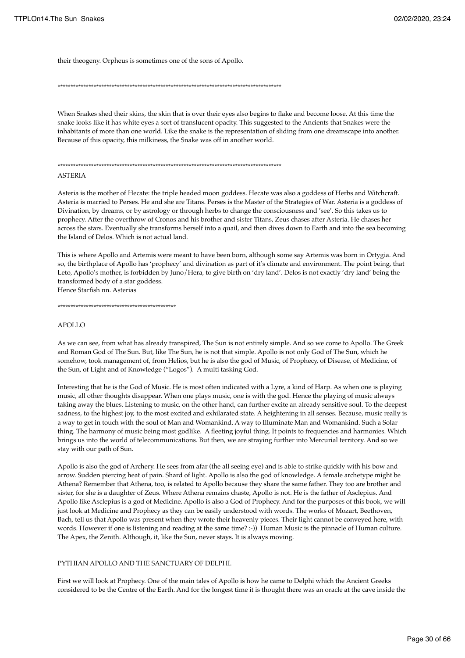their theogeny. Orpheus is sometimes one of the sons of Apollo.

\*\*\*\*\*\*\*\*\*\*\*\*\*\*\*\*\*\*\*\*\*\*\*\*\*\*\*\*\*\*\*\*\*\*\*\*\*\*\*\*\*\*\*\*\*\*\*\*\*\*\*\*\*\*\*\*\*\*\*\*\*\*\*\*\*\*\*\*\*\*\*\*\*\*\*\*\*\*\*\*\*\*\*\*\*\*\*

When Snakes shed their skins, the skin that is over their eyes also begins to flake and become loose. At this time the snake looks like it has white eyes a sort of translucent opacity. This suggested to the Ancients that Snakes were the inhabitants of more than one world. Like the snake is the representation of sliding from one dreamscape into another. Because of this opacity, this milkiness, the Snake was off in another world.

\*\*\*\*\*\*\*\*\*\*\*\*\*\*\*\*\*\*\*\*\*\*\*\*\*\*\*\*\*\*\*\*\*\*\*\*\*\*\*\*\*\*\*\*\*\*\*\*\*\*\*\*\*\*\*\*\*\*\*\*\*\*\*\*\*\*\*\*\*\*\*\*\*\*\*\*\*\*\*\*\*\*\*\*\*\*\*

ASTERIA

Asteria is the mother of Hecate: the triple headed moon goddess. Hecate was also a goddess of Herbs and Witchcraft. Asteria is married to Perses. He and she are Titans. Perses is the Master of the Strategies of War. Asteria is a goddess of Divination, by dreams, or by astrology or through herbs to change the consciousness and 'see'. So this takes us to prophecy. After the overthrow of Cronos and his brother and sister Titans, Zeus chases after Asteria. He chases her across the stars. Eventually she transforms herself into a quail, and then dives down to Earth and into the sea becoming the Island of Delos. Which is not actual land.

This is where Apollo and Artemis were meant to have been born, although some say Artemis was born in Ortygia. And so, the birthplace of Apollo has 'prophecy' and divination as part of it's climate and environment. The point being, that Leto, Apollo's mother, is forbidden by Juno/Hera, to give birth on 'dry land'. Delos is not exactly 'dry land' being the transformed body of a star goddess. Hence Starfish nn. Asterias

\*\*\*\*\*\*\*\*\*\*\*\*\*\*\*\*\*\*\*\*\*\*\*\*\*\*\*\*\*\*\*\*\*\*\*\*\*\*\*\*\*\*\*\*\*\*

#### APOLLO

As we can see, from what has already transpired, The Sun is not entirely simple. And so we come to Apollo. The Greek and Roman God of The Sun. But, like The Sun, he is not that simple. Apollo is not only God of The Sun, which he somehow, took management of, from Helios, but he is also the god of Music, of Prophecy, of Disease, of Medicine, of the Sun, of Light and of Knowledge ("Logos"). A multi tasking God.

Interesting that he is the God of Music. He is most often indicated with a Lyre, a kind of Harp. As when one is playing music, all other thoughts disappear. When one plays music, one is with the god. Hence the playing of music always taking away the blues. Listening to music, on the other hand, can further excite an already sensitive soul. To the deepest sadness, to the highest joy, to the most excited and exhilarated state. A heightening in all senses. Because, music really is a way to get in touch with the soul of Man and Womankind. A way to Illuminate Man and Womankind. Such a Solar thing. The harmony of music being most godlike. A fleeting joyful thing. It points to frequencies and harmonies. Which brings us into the world of telecommunications. But then, we are straying further into Mercurial territory. And so we stay with our path of Sun.

Apollo is also the god of Archery. He sees from afar (the all seeing eye) and is able to strike quickly with his bow and arrow. Sudden piercing heat of pain. Shard of light. Apollo is also the god of knowledge. A female archetype might be Athena? Remember that Athena, too, is related to Apollo because they share the same father. They too are brother and sister, for she is a daughter of Zeus. Where Athena remains chaste, Apollo is not. He is the father of Asclepius. And Apollo like Asclepius is a god of Medicine. Apollo is also a God of Prophecy. And for the purposes of this book, we will just look at Medicine and Prophecy as they can be easily understood with words. The works of Mozart, Beethoven, Bach, tell us that Apollo was present when they wrote their heavenly pieces. Their light cannot be conveyed here, with words. However if one is listening and reading at the same time? :-)) Human Music is the pinnacle of Human culture. The Apex, the Zenith. Although, it, like the Sun, never stays. It is always moving.

#### PYTHIAN APOLLO AND THE SANCTUARY OF DELPHI.

First we will look at Prophecy. One of the main tales of Apollo is how he came to Delphi which the Ancient Greeks considered to be the Centre of the Earth. And for the longest time it is thought there was an oracle at the cave inside the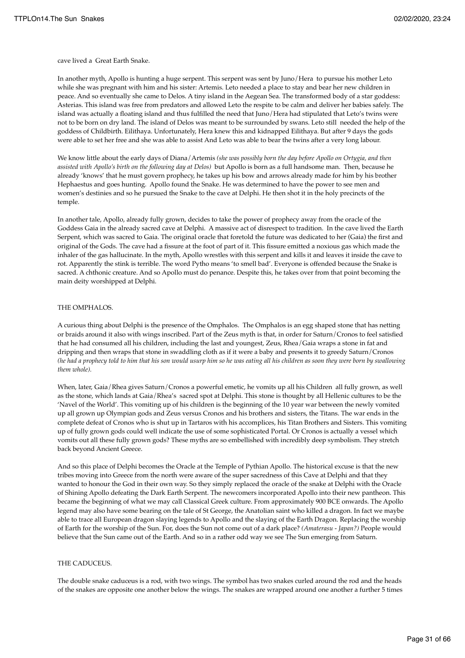cave lived a Great Earth Snake.

In another myth, Apollo is hunting a huge serpent. This serpent was sent by Juno/Hera to pursue his mother Leto while she was pregnant with him and his sister: Artemis. Leto needed a place to stay and bear her new children in peace. And so eventually she came to Delos. A tiny island in the Aegean Sea. The transformed body of a star goddess: Asterias. This island was free from predators and allowed Leto the respite to be calm and deliver her babies safely. The island was actually a floating island and thus fulfilled the need that Juno/Hera had stipulated that Leto's twins were not to be born on dry land. The island of Delos was meant to be surrounded by swans. Leto still needed the help of the goddess of Childbirth. Eilithaya. Unfortunately, Hera knew this and kidnapped Eilithaya. But after 9 days the gods were able to set her free and she was able to assist And Leto was able to bear the twins after a very long labour.

We know little about the early days of Diana/Artemis *(she was possibly born the day before Apollo on Ortygia, and then assisted with Apollo's birth on the following day at Delos)* but Apollo is born as a full handsome man. Then, because he already 'knows' that he must govern prophecy, he takes up his bow and arrows already made for him by his brother Hephaestus and goes hunting. Apollo found the Snake. He was determined to have the power to see men and women's destinies and so he pursued the Snake to the cave at Delphi. He then shot it in the holy precincts of the temple.

In another tale, Apollo, already fully grown, decides to take the power of prophecy away from the oracle of the Goddess Gaia in the already sacred cave at Delphi. A massive act of disrespect to tradition. In the cave lived the Earth Serpent, which was sacred to Gaia. The original oracle that foretold the future was dedicated to her (Gaia) the first and original of the Gods. The cave had a fissure at the foot of part of it. This fissure emitted a noxious gas which made the inhaler of the gas hallucinate. In the myth, Apollo wrestles with this serpent and kills it and leaves it inside the cave to rot. Apparently the stink is terrible. The word Pytho means 'to smell bad'. Everyone is offended because the Snake is sacred. A chthonic creature. And so Apollo must do penance. Despite this, he takes over from that point becoming the main deity worshipped at Delphi.

#### THE OMPHALOS.

A curious thing about Delphi is the presence of the Omphalos. The Omphalos is an egg shaped stone that has netting or braids around it also with wings inscribed. Part of the Zeus myth is that, in order for Saturn/Cronos to feel satisfied that he had consumed all his children, including the last and youngest, Zeus, Rhea/Gaia wraps a stone in fat and dripping and then wraps that stone in swaddling cloth as if it were a baby and presents it to greedy Saturn/Cronos *(he had a prophecy told to him that his son would usurp him so he was eating all his children as soon they were born by swallowing them whole).*

When, later, Gaia/Rhea gives Saturn/Cronos a powerful emetic, he vomits up all his Children all fully grown, as well as the stone, which lands at Gaia/Rhea's sacred spot at Delphi. This stone is thought by all Hellenic cultures to be the 'Navel of the World'. This vomiting up of his children is the beginning of the 10 year war between the newly vomited up all grown up Olympian gods and Zeus versus Cronos and his brothers and sisters, the Titans. The war ends in the complete defeat of Cronos who is shut up in Tartaros with his accomplices, his Titan Brothers and Sisters. This vomiting up of fully grown gods could well indicate the use of some sophisticated Portal. Or Cronos is actually a vessel which vomits out all these fully grown gods? These myths are so embellished with incredibly deep symbolism. They stretch back beyond Ancient Greece.

And so this place of Delphi becomes the Oracle at the Temple of Pythian Apollo. The historical excuse is that the new tribes moving into Greece from the north were aware of the super sacredness of this Cave at Delphi and that they wanted to honour the God in their own way. So they simply replaced the oracle of the snake at Delphi with the Oracle of Shining Apollo defeating the Dark Earth Serpent. The newcomers incorporated Apollo into their new pantheon. This became the beginning of what we may call Classical Greek culture. From approximately 900 BCE onwards. The Apollo legend may also have some bearing on the tale of St George, the Anatolian saint who killed a dragon. In fact we maybe able to trace all European dragon slaying legends to Apollo and the slaying of the Earth Dragon. Replacing the worship of Earth for the worship of the Sun. For, does the Sun not come out of a dark place? *(Amaterasu - Japan?)* People would believe that the Sun came out of the Earth. And so in a rather odd way we see The Sun emerging from Saturn.

## THE CADUCEUS.

The double snake caduceus is a rod, with two wings. The symbol has two snakes curled around the rod and the heads of the snakes are opposite one another below the wings. The snakes are wrapped around one another a further 5 times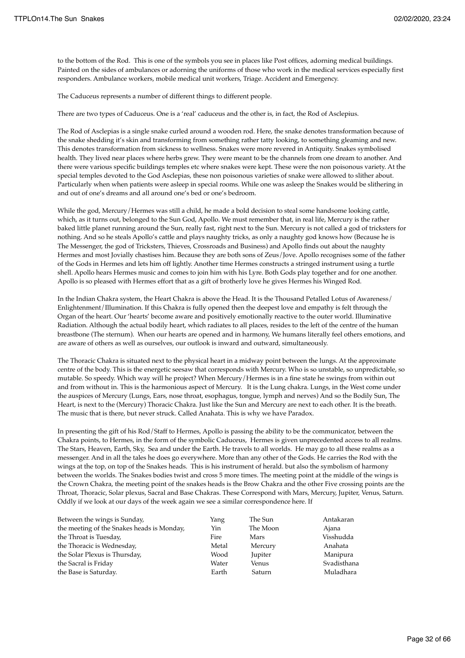to the bottom of the Rod. This is one of the symbols you see in places like Post offices, adorning medical buildings. Painted on the sides of ambulances or adorning the uniforms of those who work in the medical services especially first responders. Ambulance workers, mobile medical unit workers, Triage. Accident and Emergency.

The Caduceus represents a number of different things to different people.

There are two types of Caduceus. One is a 'real' caduceus and the other is, in fact, the Rod of Asclepius.

The Rod of Asclepias is a single snake curled around a wooden rod. Here, the snake denotes transformation because of the snake shedding it's skin and transforming from something rather tatty looking, to something gleaming and new. This denotes transformation from sickness to wellness. Snakes were more revered in Antiquity. Snakes symbolised health. They lived near places where herbs grew. They were meant to be the channels from one dream to another. And there were various specific buildings temples etc where snakes were kept. These were the non poisonous variety. At the special temples devoted to the God Asclepias, these non poisonous varieties of snake were allowed to slither about. Particularly when when patients were asleep in special rooms. While one was asleep the Snakes would be slithering in and out of one's dreams and all around one's bed or one's bedroom.

While the god, Mercury/Hermes was still a child, he made a bold decision to steal some handsome looking cattle, which, as it turns out, belonged to the Sun God, Apollo. We must remember that, in real life, Mercury is the rather baked little planet running around the Sun, really fast, right next to the Sun. Mercury is not called a god of tricksters for nothing. And so he steals Apollo's cattle and plays naughty tricks, as only a naughty god knows how (Because he is The Messenger, the god of Tricksters, Thieves, Crossroads and Business) and Apollo finds out about the naughty Hermes and most Jovially chastises him. Because they are both sons of Zeus/Jove. Apollo recognises some of the father of the Gods in Hermes and lets him off lightly. Another time Hermes constructs a stringed instrument using a turtle shell. Apollo hears Hermes music and comes to join him with his Lyre. Both Gods play together and for one another. Apollo is so pleased with Hermes effort that as a gift of brotherly love he gives Hermes his Winged Rod.

In the Indian Chakra system, the Heart Chakra is above the Head. It is the Thousand Petalled Lotus of Awareness/ Enlightenment/Illumination. If this Chakra is fully opened then the deepest love and empathy is felt through the Organ of the heart. Our 'hearts' become aware and positively emotionally reactive to the outer world. Illuminative Radiation. Although the actual bodily heart, which radiates to all places, resides to the left of the centre of the human breastbone (The sternum). When our hearts are opened and in harmony, We humans literally feel others emotions, and are aware of others as well as ourselves, our outlook is inward and outward, simultaneously.

The Thoracic Chakra is situated next to the physical heart in a midway point between the lungs. At the approximate centre of the body. This is the energetic seesaw that corresponds with Mercury. Who is so unstable, so unpredictable, so mutable. So speedy. Which way will he project? When Mercury/Hermes is in a fine state he swings from within out and from without in. This is the harmonious aspect of Mercury. It is the Lung chakra. Lungs, in the West come under the auspices of Mercury (Lungs, Ears, nose throat, esophagus, tongue, lymph and nerves) And so the Bodily Sun, The Heart, is next to the (Mercury) Thoracic Chakra. Just like the Sun and Mercury are next to each other. It is the breath. The music that is there, but never struck. Called Anahata. This is why we have Paradox.

In presenting the gift of his Rod/Staff to Hermes, Apollo is passing the ability to be the communicator, between the Chakra points, to Hermes, in the form of the symbolic Caduceus, Hermes is given unprecedented access to all realms. The Stars, Heaven, Earth, Sky, Sea and under the Earth. He travels to all worlds. He may go to all these realms as a messenger. And in all the tales he does go everywhere. More than any other of the Gods. He carries the Rod with the wings at the top, on top of the Snakes heads. This is his instrument of herald. but also the symbolism of harmony between the worlds. The Snakes bodies twist and cross 5 more times. The meeting point at the middle of the wings is the Crown Chakra, the meeting point of the snakes heads is the Brow Chakra and the other Five crossing points are the Throat, Thoracic, Solar plexus, Sacral and Base Chakras. These Correspond with Mars, Mercury, Jupiter, Venus, Saturn. Oddly if we look at our days of the week again we see a similar correspondence here. If

| Between the wings is Sunday,               | Yang  | The Sun  | Antakaran   |
|--------------------------------------------|-------|----------|-------------|
| the meeting of the Snakes heads is Monday, | Yin   | The Moon | Ajana       |
| the Throat is Tuesday,                     | Fire  | Mars     | Visshudda   |
| the Thoracic is Wednesday,                 | Metal | Mercury  | Anahata     |
| the Solar Plexus is Thursday,              | Wood  | Jupiter  | Manipura    |
| the Sacral is Friday                       | Water | Venus    | Svadisthana |
| the Base is Saturday.                      | Earth | Saturn   | Muladhara   |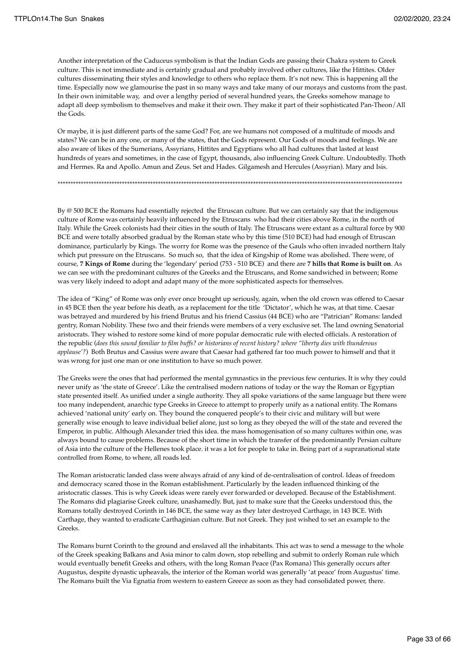Another interpretation of the Caduceus symbolism is that the Indian Gods are passing their Chakra system to Greek culture. This is not immediate and is certainly gradual and probably involved other cultures, like the Hittites. Older cultures disseminating their styles and knowledge to others who replace them. It's not new. This is happening all the time. Especially now we glamourise the past in so many ways and take many of our morays and customs from the past. In their own inimitable way, and over a lengthy period of several hundred years, the Greeks somehow manage to adapt all deep symbolism to themselves and make it their own. They make it part of their sophisticated Pan-Theon/All the Gods.

Or maybe, it is just different parts of the same God? For, are we humans not composed of a multitude of moods and states? We can be in any one, or many of the states, that the Gods represent. Our Gods of moods and feelings. We are also aware of likes of the Sumerians, Assyrians, Hittites and Egyptians who all had cultures that lasted at least hundreds of years and sometimes, in the case of Egypt, thousands, also influencing Greek Culture. Undoubtedly. Thoth and Hermes. Ra and Apollo. Amun and Zeus. Set and Hades. Gilgamesh and Hercules (Assyrian). Mary and Isis.

By @ 500 BCE the Romans had essentially rejected the Etruscan culture. But we can certainly say that the indigenous culture of Rome was certainly heavily influenced by the Etruscans who had their cities above Rome, in the north of Italy. While the Greek colonists had their cities in the south of Italy. The Etruscans were extant as a cultural force by 900 BCE and were totally absorbed gradual by the Roman state who by this time (510 BCE) had had enough of Etruscan

\*\*\*\*\*\*\*\*\*\*\*\*\*\*\*\*\*\*\*\*\*\*\*\*\*\*\*\*\*\*\*\*\*\*\*\*\*\*\*\*\*\*\*\*\*\*\*\*\*\*\*\*\*\*\*\*\*\*\*\*\*\*\*\*\*\*\*\*\*\*\*\*\*\*\*\*\*\*\*\*\*\*\*\*\*\*\*\*\*\*\*\*\*\*\*\*\*\*\*\*\*\*\*\*\*\*\*\*\*\*\*\*\*\*\*\*\*\*\*\*\*\*\*\*\*\*\*\*\*\*\*\*\*\*

dominance, particularly by Kings. The worry for Rome was the presence of the Gauls who often invaded northern Italy which put pressure on the Etruscans. So much so, that the idea of Kingship of Rome was abolished. There were, of course, **7 Kings of Rome** during the 'legendary' period (753 - 510 BCE) and there are **7 hills that Rome is built on**. As we can see with the predominant cultures of the Greeks and the Etruscans, and Rome sandwiched in between; Rome was very likely indeed to adopt and adapt many of the more sophisticated aspects for themselves.

The idea of "King" of Rome was only ever once brought up seriously, again, when the old crown was offered to Caesar in 45 BCE then the year before his death, as a replacement for the title 'Dictator', which he was, at that time. Caesar was betrayed and murdered by his friend Brutus and his friend Cassius (44 BCE) who are "Patrician" Romans: landed gentry, Roman Nobility. These two and their friends were members of a very exclusive set. The land owning Senatorial aristocrats. They wished to restore some kind of more popular democratic rule with elected officials. A restoration of the republic (*does this sound familiar to film buffs? or historians of recent history? where "liberty dies with thunderous applause'?*) Both Brutus and Cassius were aware that Caesar had gathered far too much power to himself and that it was wrong for just one man or one institution to have so much power.

The Greeks were the ones that had performed the mental gymnastics in the previous few centuries. It is why they could never unify as 'the state of Greece'. Like the centralised modern nations of today or the way the Roman or Egyptian state presented itself. As unified under a single authority. They all spoke variations of the same language but there were too many independent, anarchic type Greeks in Greece to attempt to properly unify as a national entity. The Romans achieved 'national unity' early on. They bound the conquered people's to their civic and military will but were generally wise enough to leave individual belief alone, just so long as they obeyed the will of the state and revered the Emperor, in public. Although Alexander tried this idea. the mass homogenisation of so many cultures within one, was always bound to cause problems. Because of the short time in which the transfer of the predominantly Persian culture of Asia into the culture of the Hellenes took place. it was a lot for people to take in. Being part of a supranational state controlled from Rome, to where, all roads led.

The Roman aristocratic landed class were always afraid of any kind of de-centralisation of control. Ideas of freedom and democracy scared those in the Roman establishment. Particularly by the leaden influenced thinking of the aristocratic classes. This is why Greek ideas were rarely ever forwarded or developed. Because of the Establishment. The Romans did plagiarise Greek culture, unashamedly. But, just to make sure that the Greeks understood this, the Romans totally destroyed Corinth in 146 BCE, the same way as they later destroyed Carthage, in 143 BCE. With Carthage, they wanted to eradicate Carthaginian culture. But not Greek. They just wished to set an example to the Greeks.

The Romans burnt Corinth to the ground and enslaved all the inhabitants. This act was to send a message to the whole of the Greek speaking Balkans and Asia minor to calm down, stop rebelling and submit to orderly Roman rule which would eventually benefit Greeks and others, with the long Roman Peace (Pax Romana) This generally occurs after Augustus, despite dynastic upheavals, the interior of the Roman world was generally 'at peace' from Augustus' time. The Romans built the Via Egnatia from western to eastern Greece as soon as they had consolidated power, there.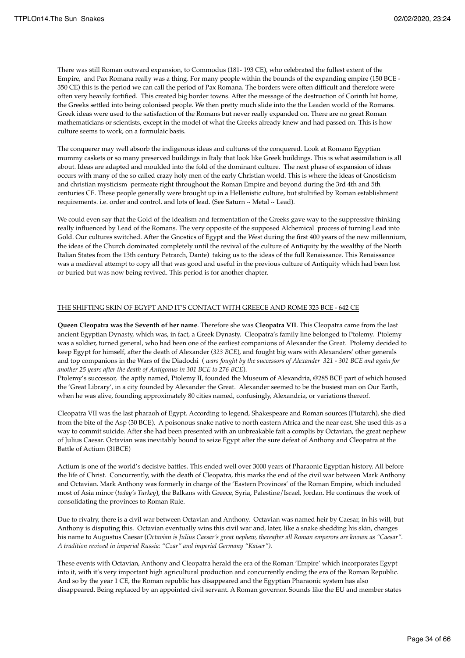There was still Roman outward expansion, to Commodus (181- 193 CE), who celebrated the fullest extent of the Empire, and Pax Romana really was a thing. For many people within the bounds of the expanding empire (150 BCE - 350 CE) this is the period we can call the period of Pax Romana. The borders were often difficult and therefore were often very heavily fortified. This created big border towns. After the message of the destruction of Corinth hit home, the Greeks settled into being colonised people. We then pretty much slide into the the Leaden world of the Romans. Greek ideas were used to the satisfaction of the Romans but never really expanded on. There are no great Roman mathematicians or scientists, except in the model of what the Greeks already knew and had passed on. This is how culture seems to work, on a formulaic basis.

The conquerer may well absorb the indigenous ideas and cultures of the conquered. Look at Romano Egyptian mummy caskets or so many preserved buildings in Italy that look like Greek buildings. This is what assimilation is all about. Ideas are adapted and moulded into the fold of the dominant culture. The next phase of expansion of ideas occurs with many of the so called crazy holy men of the early Christian world. This is where the ideas of Gnosticism and christian mysticism permeate right throughout the Roman Empire and beyond during the 3rd 4th and 5th centuries CE. These people generally were brought up in a Hellenistic culture, but stultified by Roman establishment requirements. i.e. order and control. and lots of lead. (See Saturn ~ Metal ~ Lead).

We could even say that the Gold of the idealism and fermentation of the Greeks gave way to the suppressive thinking really influenced by Lead of the Romans. The very opposite of the supposed Alchemical process of turning Lead into Gold. Our cultures switched. After the Gnostics of Egypt and the West during the first 400 years of the new millennium, the ideas of the Church dominated completely until the revival of the culture of Antiquity by the wealthy of the North Italian States from the 13th century Petrarch, Dante) taking us to the ideas of the full Renaissance. This Renaissance was a medieval attempt to copy all that was good and useful in the previous culture of Antiquity which had been lost or buried but was now being revived. This period is for another chapter.

## THE SHIFTING SKIN OF EGYPT AND IT'S CONTACT WITH GREECE AND ROME 323 BCE - 642 CE

**Queen Cleopatra was the Seventh of her name**. Therefore she was **Cleopatra VII**. This Cleopatra came from the last ancient Egyptian Dynasty, which was, in fact, a Greek Dynasty. Cleopatra's family line belonged to Ptolemy. Ptolemy was a soldier, turned general, who had been one of the earliest companions of Alexander the Great. Ptolemy decided to keep Egypt for himself, after the death of Alexander (*323 BCE*), and fought big wars with Alexanders' other generals and top companions in the Wars of the Diadochi ( *wars fought by the successors of Alexander 321 - 301 BCE and again for another 25 years after the death of Antigonus in 301 BCE to 276 BCE*).

Ptolemy's successor, the aptly named, Ptolemy II, founded the Museum of Alexandria, @285 BCE part of which housed the 'Great Library', in a city founded by Alexander the Great. Alexander seemed to be the busiest man on Our Earth, when he was alive, founding approximately 80 cities named, confusingly, Alexandria, or variations thereof.

Cleopatra VII was the last pharaoh of Egypt. According to legend, Shakespeare and Roman sources (Plutarch), she died from the bite of the Asp (30 BCE). A poisonous snake native to north eastern Africa and the near east. She used this as a way to commit suicide. After she had been presented with an unbreakable fait a complis by Octavian, the great nephew of Julius Caesar. Octavian was inevitably bound to seize Egypt after the sure defeat of Anthony and Cleopatra at the Battle of Actium (31BCE)

Actium is one of the world's decisive battles. This ended well over 3000 years of Pharaonic Egyptian history. All before the life of Christ. Concurrently, with the death of Cleopatra, this marks the end of the civil war between Mark Anthony and Octavian. Mark Anthony was formerly in charge of the 'Eastern Provinces' of the Roman Empire, which included most of Asia minor (*today's Turkey*), the Balkans with Greece, Syria, Palestine/Israel, Jordan. He continues the work of consolidating the provinces to Roman Rule.

Due to rivalry, there is a civil war between Octavian and Anthony. Octavian was named heir by Caesar, in his will, but Anthony is disputing this. Octavian eventually wins this civil war and, later, like a snake shedding his skin, changes his name to Augustus Caesar (*Octavian is Julius Caesar's great nephew, thereafter all Roman emperors are known as "Caesar". A tradition revived in imperial Russia: "Czar" and imperial Germany "Kaiser").* 

These events with Octavian, Anthony and Cleopatra herald the era of the Roman 'Empire' which incorporates Egypt into it, with it's very important high agricultural production and concurrently ending the era of the Roman Republic. And so by the year 1 CE, the Roman republic has disappeared and the Egyptian Pharaonic system has also disappeared. Being replaced by an appointed civil servant. A Roman governor. Sounds like the EU and member states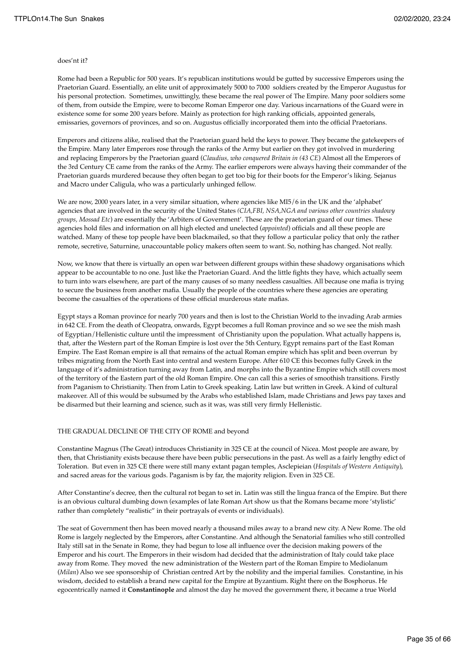#### does'nt it?

Rome had been a Republic for 500 years. It's republican institutions would be gutted by successive Emperors using the Praetorian Guard. Essentially, an elite unit of approximately 5000 to 7000 soldiers created by the Emperor Augustus for his personal protection. Sometimes, unwittingly, these became the real power of The Empire. Many poor soldiers some of them, from outside the Empire, were to become Roman Emperor one day. Various incarnations of the Guard were in existence some for some 200 years before. Mainly as protection for high ranking officials, appointed generals, emissaries, governors of provinces, and so on. Augustus officially incorporated them into the official Praetorians.

Emperors and citizens alike, realised that the Praetorian guard held the keys to power. They became the gatekeepers of the Empire. Many later Emperors rose through the ranks of the Army but earlier on they got involved in murdering and replacing Emperors by the Praetorian guard (*Claudius, who conquered Britain in (43 CE*) Almost all the Emperors of the 3rd Century CE came from the ranks of the Army. The earlier emperors were always having their commander of the Praetorian guards murdered because they often began to get too big for their boots for the Emperor's liking. Sejanus and Macro under Caligula, who was a particularly unhinged fellow.

We are now, 2000 years later, in a very similar situation, where agencies like MI5/6 in the UK and the 'alphabet' agencies that are involved in the security of the United States *(CIA,FBI, NSA,NGA and various other countries shadowy groups, Mossad Etc*) are essentially the 'Arbiters of Government'. These are the praetorian guard of our times. These agencies hold files and information on all high elected and unelected (*appointed*) officials and all these people are watched. Many of these top people have been blackmailed, so that they follow a particular policy that only the rather remote, secretive, Saturnine, unaccountable policy makers often seem to want. So, nothing has changed. Not really.

Now, we know that there is virtually an open war between different groups within these shadowy organisations which appear to be accountable to no one. Just like the Praetorian Guard. And the little fights they have, which actually seem to turn into wars elsewhere, are part of the many causes of so many needless casualties. All because one mafia is trying to secure the business from another mafia. Usually the people of the countries where these agencies are operating become the casualties of the operations of these official murderous state mafias.

Egypt stays a Roman province for nearly 700 years and then is lost to the Christian World to the invading Arab armies in 642 CE. From the death of Cleopatra, onwards, Egypt becomes a full Roman province and so we see the mish mash of Egyptian/Hellenistic culture until the impressment of Christianity upon the population. What actually happens is, that, after the Western part of the Roman Empire is lost over the 5th Century, Egypt remains part of the East Roman Empire. The East Roman empire is all that remains of the actual Roman empire which has split and been overrun by tribes migrating from the North East into central and western Europe. After 610 CE this becomes fully Greek in the language of it's administration turning away from Latin, and morphs into the Byzantine Empire which still covers most of the territory of the Eastern part of the old Roman Empire. One can call this a series of smoothish transitions. Firstly from Paganism to Christianity. Then from Latin to Greek speaking. Latin law but written in Greek. A kind of cultural makeover. All of this would be subsumed by the Arabs who established Islam, made Christians and Jews pay taxes and be disarmed but their learning and science, such as it was, was still very firmly Hellenistic.

## THE GRADUAL DECLINE OF THE CITY OF ROME and beyond

Constantine Magnus (The Great) introduces Christianity in 325 CE at the council of Nicea. Most people are aware, by then, that Christianity exists because there have been public persecutions in the past. As well as a fairly lengthy edict of Toleration. But even in 325 CE there were still many extant pagan temples, Asclepieian (*Hospitals of Western Antiquity*), and sacred areas for the various gods. Paganism is by far, the majority religion. Even in 325 CE.

After Constantine's decree, then the cultural rot began to set in. Latin was still the lingua franca of the Empire. But there is an obvious cultural dumbing down (examples of late Roman Art show us that the Romans became more 'stylistic' rather than completely "realistic" in their portrayals of events or individuals).

The seat of Government then has been moved nearly a thousand miles away to a brand new city. A New Rome. The old Rome is largely neglected by the Emperors, after Constantine. And although the Senatorial families who still controlled Italy still sat in the Senate in Rome, they had begun to lose all influence over the decision making powers of the Emperor and his court. The Emperors in their wisdom had decided that the administration of Italy could take place away from Rome. They moved the new administration of the Western part of the Roman Empire to Mediolanum (*Milan*) Also we see sponsorship of Christian centred Art by the nobility and the imperial families. Constantine, in his wisdom, decided to establish a brand new capital for the Empire at Byzantium. Right there on the Bosphorus. He egocentrically named it **Constantinople** and almost the day he moved the government there, it became a true World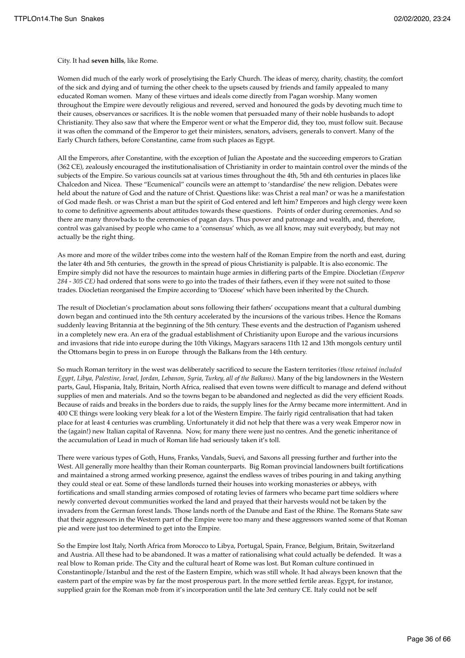City. It had **seven hills**, like Rome.

Women did much of the early work of proselytising the Early Church. The ideas of mercy, charity, chastity, the comfort of the sick and dying and of turning the other cheek to the upsets caused by friends and family appealed to many educated Roman women. Many of these virtues and ideals come directly from Pagan worship. Many women throughout the Empire were devoutly religious and revered, served and honoured the gods by devoting much time to their causes, observances or sacrifices. It is the noble women that persuaded many of their noble husbands to adopt Christianity. They also saw that where the Emperor went or what the Emperor did, they too, must follow suit. Because it was often the command of the Emperor to get their ministers, senators, advisers, generals to convert. Many of the Early Church fathers, before Constantine, came from such places as Egypt.

All the Emperors, after Constantine, with the exception of Julian the Apostate and the succeeding emperors to Gratian (362 CE), zealously encouraged the institutionalisation of Christianity in order to maintain control over the minds of the subjects of the Empire. So various councils sat at various times throughout the 4th, 5th and 6th centuries in places like Chalcedon and Nicea. These "Ecumenical" councils were an attempt to 'standardise' the new religion. Debates were held about the nature of God and the nature of Christ. Questions like: was Christ a real man? or was he a manifestation of God made flesh. or was Christ a man but the spirit of God entered and left him? Emperors and high clergy were keen to come to definitive agreements about attitudes towards these questions. Points of order during ceremonies. And so there are many throwbacks to the ceremonies of pagan days. Thus power and patronage and wealth, and, therefore, control was galvanised by people who came to a 'consensus' which, as we all know, may suit everybody, but may not actually be the right thing.

As more and more of the wilder tribes come into the western half of the Roman Empire from the north and east, during the later 4th and 5th centuries, the growth in the spread of pious Christianity is palpable. It is also economic. The Empire simply did not have the resources to maintain huge armies in differing parts of the Empire. Diocletian *(Emperor 284 - 305 CE)* had ordered that sons were to go into the trades of their fathers, even if they were not suited to those trades. Diocletian reorganised the Empire according to 'Diocese' which have been inherited by the Church.

The result of Diocletian's proclamation about sons following their fathers' occupations meant that a cultural dumbing down began and continued into the 5th century accelerated by the incursions of the various tribes. Hence the Romans suddenly leaving Britannia at the beginning of the 5th century. These events and the destruction of Paganism ushered in a completely new era. An era of the gradual establishment of Christianity upon Europe and the various incursions and invasions that ride into europe during the 10th Vikings, Magyars saracens 11th 12 and 13th mongols century until the Ottomans begin to press in on Europe through the Balkans from the 14th century.

So much Roman territory in the west was deliberately sacrificed to secure the Eastern territories *(those retained included Egypt, Libya, Palestine, Israel, Jordan, Lebanon, Syria, Turkey, all of the Balkans).* Many of the big landowners in the Western parts, Gaul, Hispania, Italy, Britain, North Africa, realised that even towns were difficult to manage and defend without supplies of men and materials. And so the towns began to be abandoned and neglected as did the very efficient Roads. Because of raids and breaks in the borders due to raids, the supply lines for the Army became more intermittent. And in 400 CE things were looking very bleak for a lot of the Western Empire. The fairly rigid centralisation that had taken place for at least 4 centuries was crumbling. Unfortunately it did not help that there was a very weak Emperor now in the (again!) new Italian capital of Ravenna. Now, for many there were just no centres. And the genetic inheritance of the accumulation of Lead in much of Roman life had seriously taken it's toll.

There were various types of Goth, Huns, Franks, Vandals, Suevi, and Saxons all pressing further and further into the West. All generally more healthy than their Roman counterparts. Big Roman provincial landowners built fortifications and maintained a strong armed working presence, against the endless waves of tribes pouring in and taking anything they could steal or eat. Some of these landlords turned their houses into working monasteries or abbeys, with fortifications and small standing armies composed of rotating levies of farmers who became part time soldiers where newly converted devout communities worked the land and prayed that their harvests would not be taken by the invaders from the German forest lands. Those lands north of the Danube and East of the Rhine. The Romans State saw that their aggressors in the Western part of the Empire were too many and these aggressors wanted some of that Roman pie and were just too determined to get into the Empire.

So the Empire lost Italy, North Africa from Morocco to Libya, Portugal, Spain, France, Belgium, Britain, Switzerland and Austria. All these had to be abandoned. It was a matter of rationalising what could actually be defended. It was a real blow to Roman pride. The City and the cultural heart of Rome was lost. But Roman culture continued in Constantinople/Istanbul and the rest of the Eastern Empire, which was still whole. It had always been known that the eastern part of the empire was by far the most prosperous part. In the more settled fertile areas. Egypt, for instance, supplied grain for the Roman mob from it's incorporation until the late 3rd century CE. Italy could not be self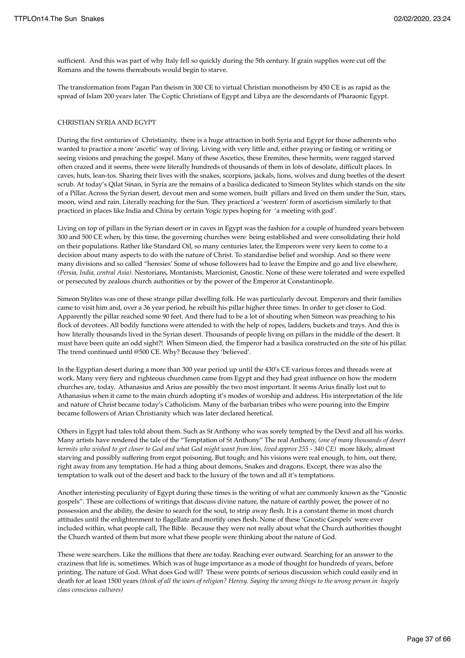sufficient. And this was part of why Italy fell so quickly during the 5th century. If grain supplies were cut off the Romans and the towns thereabouts would begin to starve.

The transformation from Pagan Pan theism in 300 CE to virtual Christian monotheism by 450 CE is as rapid as the spread of Islam 200 years later. The Coptic Christians of Egypt and Libya are the descendants of Pharaonic Egypt.

### CHRISTIAN SYRIA AND EGYPT

During the first centuries of Christianity, there is a huge attraction in both Syria and Egypt for those adherents who wanted to practice a more 'ascetic' way of living. Living with very little and, either praying or fasting or writing or seeing visions and preaching the gospel. Many of these Ascetics, these Eremites, these hermits, were ragged starved often crazed and it seems, there were literally hundreds of thousands of them in lots of desolate, difficult places. In caves, huts, lean-tos. Sharing their lives with the snakes, scorpions, jackals, lions, wolves and dung beetles of the desert scrub. At today's Qilat Sinan, in Syria are the remains of a basilica dedicated to Simeon Stylites which stands on the site of a Pillar. Across the Syrian desert, devout men and some women, built pillars and lived on them under the Sun, stars, moon, wind and rain. Literally reaching for the Sun. They practiced a 'western' form of asceticism similarly to that practiced in places like India and China by certain Yogic types hoping for 'a meeting with god'.

Living on top of pillars in the Syrian desert or in caves in Egypt was the fashion for a couple of hundred years between 300 and 500 CE when, by this time, the governing churches were being established and were consolidating their hold on their populations. Rather like Standard Oil, so many centuries later, the Emperors were very keen to come to a decision about many aspects to do with the nature of Christ. To standardise belief and worship. And so there were many divisions and so called "heresies' Some of whose followers had to leave the Empire and go and live elsewhere, *(Persia, India, central Asia)*. Nestorians, Montanists, Marcionist, Gnostic. None of these were tolerated and were expelled or persecuted by zealous church authorities or by the power of the Emperor at Constantinople.

Simeon Stylites was one of these strange pillar dwelling folk. He was particularly devout. Emperors and their families came to visit him and, over a 36 year period, he rebuilt his pillar higher three times. In order to get closer to God. Apparently the pillar reached some 90 feet. And there had to be a lot of shouting when Simeon was preaching to his flock of devotees. All bodily functions were attended to with the help of ropes, ladders, buckets and trays. And this is how literally thousands lived in the Syrian desert. Thousands of people living on pillars in the middle of the desert. It must have been quite an odd sight?! When Simeon died, the Emperor had a basilica constructed on the site of his pillar. The trend continued until @500 CE. Why? Because they 'believed'.

In the Egyptian desert during a more than 300 year period up until the 430's CE various forces and threads were at work. Many very fiery and righteous churchmen came from Egypt and they had great influence on how the modern churches are, today. Athanasius and Arius are possibly the two most important. It seems Arius finally lost out to Athanasius when it came to the main church adopting it's modes of worship and address. His interpretation of the life and nature of Christ became today's Catholicism. Many of the barbarian tribes who were pouring into the Empire became followers of Arian Christianity which was later declared heretical.

Others in Egypt had tales told about them. Such as St Anthony who was sorely tempted by the Devil and all his works. Many artists have rendered the tale of the "Temptation of St Anthony" The real Anthony, *(one of many thousands of desert hermits who wished to get closer to God and what God might want from him, lived approx 255 - 340 CE)* more likely, almost starving and possibly suffering from ergot poisoning. But tough; and his visions were real enough, to him, out there, right away from any temptation. He had a thing about demons, Snakes and dragons. Except, there was also the temptation to walk out of the desert and back to the luxury of the town and all it's temptations.

Another interesting peculiarity of Egypt during these times is the writing of what are commonly known as the "Gnostic gospels". These are collections of writings that discuss divine nature, the nature of earthly power, the power of no possession and the ability, the desire to search for the soul, to strip away flesh. It is a constant theme in most church attitudes until the enlightenment to flagellate and mortify ones flesh. None of these 'Gnostic Gospels' were ever included within, what people call, The Bible. Because they were not really about what the Church authorities thought the Church wanted of them but more what these people were thinking about the nature of God.

These were searchers. Like the millions that there are today. Reaching ever outward. Searching for an answer to the craziness that life is, sometimes. Which was of huge importance as a mode of thought for hundreds of years, before printing. The nature of God. What does God will? These were points of serious discussion which could easily end in death for at least 1500 years *(think of all the wars of religion? Heresy. Saying the wrong things to the wrong person in hugely class conscious cultures)*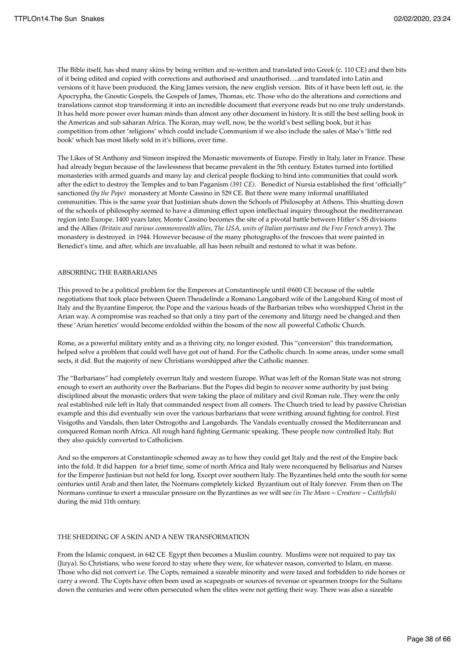The Bible itself, has shed many skins by being written and re-written and translated into Greek (c. 110 CE) and then bits of it being edited and copied with corrections and authorised and unauthorised….and translated into Latin and versions of it have been produced. the King James version, the new english version. Bits of it have been left out, ie. the Apocrypha, the Gnostic Gospels, the Gospels of James, Thomas, etc. Those who do the alterations and corrections and translations cannot stop transforming it into an incredible document that everyone reads but no one truly understands. It has held more power over human minds than almost any other document in history. It is still the best selling book in the Americas and sub saharan Africa. The Koran, may well, now, be the world's best selling book, but it has competition from other 'religions' which could include Communism if we also include the sales of Mao's 'little red book' which has most likely sold in it's billions, over time.

The Likes of St Anthony and Simeon inspired the Monastic movements of Europe. Firstly in Italy, later in France. These had already begun because of the lawlessness that became prevalent in the 5th century. Estates turned into fortified monasteries with armed guards and many lay and clerical people flocking to bind into communities that could work after the edict to destroy the Temples and to ban Paganism *(391 CE)*. Benedict of Nursia established the first 'officially" sanctioned (*by the Pope)* monastery at Monte Cassino in 529 CE. But there were many informal unaffiliated communities. This is the same year that Justinian shuts down the Schools of Philosophy at Athens. This shutting down of the schools of philosophy seemed to have a dimming effect upon intellectual inquiry throughout the mediterranean region into Europe. 1400 years later, Monte Cassino becomes the site of a pivotal battle between Hitler's SS divisions and the Allies *(Britain and various commonwealth allies, The USA, units of Italian partisans and the Free French arm*y). The monastery is destroyed in 1944. However because of the many photographs of the frescoes that were painted in Benedict's time, and after, which are invaluable, all has been rebuilt and restored to what it was before.

## ABSORBING THE BARBARIANS

This proved to be a political problem for the Emperors at Constantinople until @600 CE because of the subtle negotiations that took place between Queen Theudelinde a Romano Langobard wife of the Langobard King of most of Italy and the Byzantine Emperor, the Pope and the various heads of the Barbarian tribes who worshipped Christ in the Arian way. A compromise was reached so that only a tiny part of the ceremony and liturgy need be changed and then these 'Arian heretics' would become enfolded within the bosom of the now all powerful Catholic Church.

Rome, as a powerful military entity and as a thriving city, no longer existed. This "conversion" this transformation, helped solve a problem that could well have got out of hand. For the Catholic church. In some areas, under some small sects, it did. But the majority of new Christians worshipped after the Catholic manner.

The "Barbarians" had completely overrun Italy and western Europe. What was left of the Roman State was not strong enough to exert an authority over the Barbarians. But the Popes did begin to recover some authority by just being disciplined about the monastic orders that were taking the place of military and civil Roman rule. They were the only real established rule left in Italy that commanded respect from all comers. The Church tried to lead by passive Christian example and this did eventually win over the various barbarians that were writhing around fighting for control. First Visigoths and Vandals, then later Ostrogoths and Langobards. The Vandals eventually crossed the Mediterranean and conquered Roman north Africa. All rough hard fighting Germanic speaking. These people now controlled Italy. But they also quickly converted to Catholicism.

And so the emperors at Constantinople schemed away as to how they could get Italy and the rest of the Empire back into the fold. It did happen for a brief time, some of north Africa and Italy were reconquered by Belisarius and Narses for the Emperor Justinian but not held for long. Except over southern Italy. The Byzantines held onto the south for some centuries until Arab and then later, the Normans completely kicked Byzantium out of Italy forever. From then on The Normans continue to exert a muscular pressure on the Byzantines as we will see *(in The Moon ~ Creature ~ Cuttlefish)* during the mid 11th century.

### THE SHEDDING OF A SKIN AND A NEW TRANSFORMATION

From the Islamic conquest, in 642 CE Egypt then becomes a Muslim country. Muslims were not required to pay tax (Jizya). So Christians, who were forced to stay where they were, for whatever reason, converted to Islam, en masse. Those who did not convert i.e. The Copts, remained a sizeable minority and were taxed and forbidden to ride horses or carry a sword. The Copts have often been used as scapegoats or sources of revenue or spearmen troops for the Sultans down the centuries and were often persecuted when the elites were not getting their way. There was also a sizeable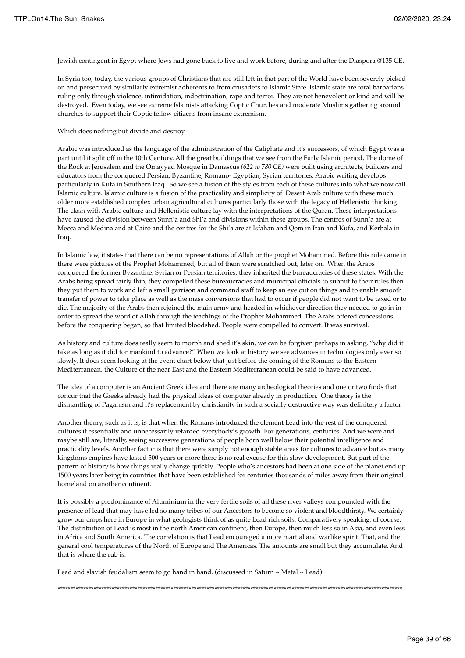Jewish contingent in Egypt where Jews had gone back to live and work before, during and after the Diaspora @135 CE.

In Syria too, today, the various groups of Christians that are still left in that part of the World have been severely picked on and persecuted by similarly extremist adherents to from crusaders to Islamic State. Islamic state are total barbarians ruling only through violence, intimidation, indoctrination, rape and terror. They are not benevolent or kind and will be destroyed. Even today, we see extreme Islamists attacking Coptic Churches and moderate Muslims gathering around churches to support their Coptic fellow citizens from insane extremism.

Which does nothing but divide and destroy.

Arabic was introduced as the language of the administration of the Caliphate and it's successors, of which Egypt was a part until it split off in the 10th Century. All the great buildings that we see from the Early Islamic period, The dome of the Rock at Jerusalem and the Omayyad Mosque in Damascus *(622 to 780 CE)* were built using architects, builders and educators from the conquered Persian, Byzantine, Romano- Egyptian, Syrian territories. Arabic writing develops particularly in Kufa in Southern Iraq. So we see a fusion of the styles from each of these cultures into what we now call Islamic culture. Islamic culture is a fusion of the practicality and simplicity of Desert Arab culture with these much older more established complex urban agricultural cultures particularly those with the legacy of Hellenistic thinking. The clash with Arabic culture and Hellenistic culture lay with the interpretations of the Quran. These interpretations have caused the division between Sunn'a and Shi'a and divisions within these groups. The centres of Sunn'a are at Mecca and Medina and at Cairo and the centres for the Shi'a are at Isfahan and Qom in Iran and Kufa, and Kerbala in Iraq.

In Islamic law, it states that there can be no representations of Allah or the prophet Mohammed. Before this rule came in there were pictures of the Prophet Mohammed, but all of them were scratched out, later on. When the Arabs conquered the former Byzantine, Syrian or Persian territories, they inherited the bureaucracies of these states. With the Arabs being spread fairly thin, they compelled these bureaucracies and municipal officials to submit to their rules then they put them to work and left a small garrison and command staff to keep an eye out on things and to enable smooth transfer of power to take place as well as the mass conversions that had to occur if people did not want to be taxed or to die. The majority of the Arabs then rejoined the main army and headed in whichever direction they needed to go in in order to spread the word of Allah through the teachings of the Prophet Mohammed. The Arabs offered concessions before the conquering began, so that limited bloodshed. People were compelled to convert. It was survival.

As history and culture does really seem to morph and shed it's skin, we can be forgiven perhaps in asking, "why did it take as long as it did for mankind to advance?" When we look at history we see advances in technologies only ever so slowly. It does seem looking at the event chart below that just before the coming of the Romans to the Eastern Mediterranean, the Culture of the near East and the Eastern Mediterranean could be said to have advanced.

The idea of a computer is an Ancient Greek idea and there are many archeological theories and one or two finds that concur that the Greeks already had the physical ideas of computer already in production. One theory is the dismantling of Paganism and it's replacement by christianity in such a socially destructive way was definitely a factor

Another theory, such as it is, is that when the Romans introduced the element Lead into the rest of the conquered cultures it essentially and unnecessarily retarded everybody's growth. For generations, centuries. And we were and maybe still are, literally, seeing successive generations of people born well below their potential intelligence and practicality levels. Another factor is that there were simply not enough stable areas for cultures to advance but as many kingdoms empires have lasted 500 years or more there is no real excuse for this slow development. But part of the pattern of history is how things really change quickly. People who's ancestors had been at one side of the planet end up 1500 years later being in countries that have been established for centuries thousands of miles away from their original homeland on another continent.

It is possibly a predominance of Aluminium in the very fertile soils of all these river valleys compounded with the presence of lead that may have led so many tribes of our Ancestors to become so violent and bloodthirsty. We certainly grow our crops here in Europe in what geologists think of as quite Lead rich soils. Comparatively speaking, of course. The distribution of Lead is most in the north American continent, then Europe, then much less so in Asia, and even less in Africa and South America. The correlation is that Lead encouraged a more martial and warlike spirit. That, and the general cool temperatures of the North of Europe and The Americas. The amounts are small but they accumulate. And that is where the rub is.

\*\*\*\*\*\*\*\*\*\*\*\*\*\*\*\*\*\*\*\*\*\*\*\*\*\*\*\*\*\*\*\*\*\*\*\*\*\*\*\*\*\*\*\*\*\*\*\*\*\*\*\*\*\*\*\*\*\*\*\*\*\*\*\*\*\*\*\*\*\*\*\*\*\*\*\*\*\*\*\*\*\*\*\*\*\*\*\*\*\*\*\*\*\*\*\*\*\*\*\*\*\*\*\*\*\*\*\*\*\*\*\*\*\*\*\*\*\*\*\*\*\*\*\*\*\*\*\*\*\*\*\*\*\*

Lead and slavish feudalism seem to go hand in hand. (discussed in Saturn  $\sim$  Metal  $\sim$  Lead)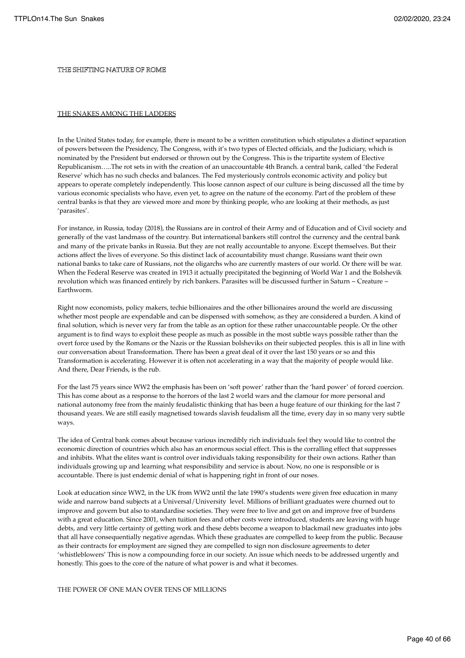## THE SHIFTING NATURE OF ROME

#### THE SNAKES AMONG THE LADDERS

In the United States today, for example, there is meant to be a written constitution which stipulates a distinct separation of powers between the Presidency, The Congress, with it's two types of Elected officials, and the Judiciary, which is nominated by the President but endorsed or thrown out by the Congress. This is the tripartite system of Elective Republicanism…..The rot sets in with the creation of an unaccountable 4th Branch. a central bank, called 'the Federal Reserve' which has no such checks and balances. The Fed mysteriously controls economic activity and policy but appears to operate completely independently. This loose cannon aspect of our culture is being discussed all the time by various economic specialists who have, even yet, to agree on the nature of the economy. Part of the problem of these central banks is that they are viewed more and more by thinking people, who are looking at their methods, as just 'parasites'.

For instance, in Russia, today (2018), the Russians are in control of their Army and of Education and of Civil society and generally of the vast landmass of the country. But international bankers still control the currency and the central bank and many of the private banks in Russia. But they are not really accountable to anyone. Except themselves. But their actions affect the lives of everyone. So this distinct lack of accountability must change. Russians want their own national banks to take care of Russians, not the oligarchs who are currently masters of our world. Or there will be war. When the Federal Reserve was created in 1913 it actually precipitated the beginning of World War 1 and the Bolshevik revolution which was financed entirely by rich bankers. Parasites will be discussed further in Saturn ~ Creature ~ Earthworm.

Right now economists, policy makers, techie billionaires and the other billionaires around the world are discussing whether most people are expendable and can be dispensed with somehow, as they are considered a burden. A kind of final solution, which is never very far from the table as an option for these rather unaccountable people. Or the other argument is to find ways to exploit these people as much as possible in the most subtle ways possible rather than the overt force used by the Romans or the Nazis or the Russian bolsheviks on their subjected peoples. this is all in line with our conversation about Transformation. There has been a great deal of it over the last 150 years or so and this Transformation is accelerating. However it is often not accelerating in a way that the majority of people would like. And there, Dear Friends, is the rub.

For the last 75 years since WW2 the emphasis has been on 'soft power' rather than the 'hard power' of forced coercion. This has come about as a response to the horrors of the last 2 world wars and the clamour for more personal and national autonomy free from the mainly feudalistic thinking that has been a huge feature of our thinking for the last 7 thousand years. We are still easily magnetised towards slavish feudalism all the time, every day in so many very subtle ways.

The idea of Central bank comes about because various incredibly rich individuals feel they would like to control the economic direction of countries which also has an enormous social effect. This is the corralling effect that suppresses and inhibits. What the elites want is control over individuals taking responsibility for their own actions. Rather than individuals growing up and learning what responsibility and service is about. Now, no one is responsible or is accountable. There is just endemic denial of what is happening right in front of our noses.

Look at education since WW2, in the UK from WW2 until the late 1990's students were given free education in many wide and narrow band subjects at a Universal/University level. Millions of brilliant graduates were churned out to improve and govern but also to standardise societies. They were free to live and get on and improve free of burdens with a great education. Since 2001, when tuition fees and other costs were introduced, students are leaving with huge debts, and very little certainty of getting work and these debts become a weapon to blackmail new graduates into jobs that all have consequentially negative agendas. Which these graduates are compelled to keep from the public. Because as their contracts for employment are signed they are compelled to sign non disclosure agreements to deter 'whistleblowers' This is now a compounding force in our society. An issue which needs to be addressed urgently and honestly. This goes to the core of the nature of what power is and what it becomes.

THE POWER OF ONE MAN OVER TENS OF MILLIONS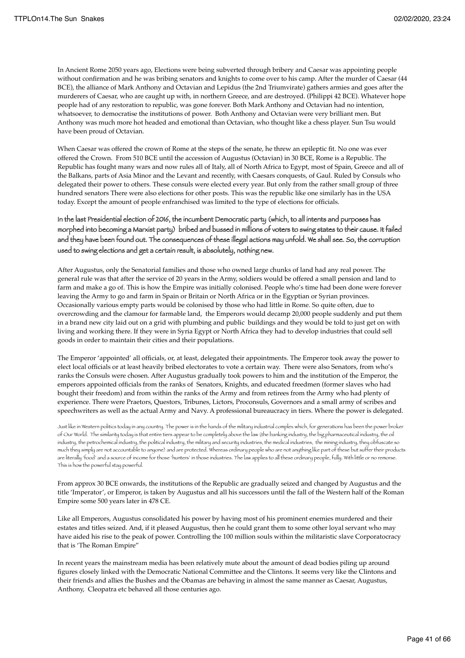In Ancient Rome 2050 years ago, Elections were being subverted through bribery and Caesar was appointing people without confirmation and he was bribing senators and knights to come over to his camp. After the murder of Caesar (44 BCE), the alliance of Mark Anthony and Octavian and Lepidus (the 2nd Triumvirate) gathers armies and goes after the murderers of Caesar, who are caught up with, in northern Greece, and are destroyed. (Philippi 42 BCE). Whatever hope people had of any restoration to republic, was gone forever. Both Mark Anthony and Octavian had no intention, whatsoever, to democratise the institutions of power. Both Anthony and Octavian were very brilliant men. But Anthony was much more hot headed and emotional than Octavian, who thought like a chess player. Sun Tsu would have been proud of Octavian.

When Caesar was offered the crown of Rome at the steps of the senate, he threw an epileptic fit. No one was ever offered the Crown. From 510 BCE until the accession of Augustus (Octavian) in 30 BCE, Rome is a Republic. The Republic has fought many wars and now rules all of Italy, all of North Africa to Egypt, most of Spain, Greece and all of the Balkans, parts of Asia Minor and the Levant and recently, with Caesars conquests, of Gaul. Ruled by Consuls who delegated their power to others. These consuls were elected every year. But only from the rather small group of three hundred senators There were also elections for other posts. This was the republic like one similarly has in the USA today. Except the amount of people enfranchised was limited to the type of elections for officials.

## In the last Presidential election of 2016, the incumbent Democratic party (which, to all intents and purposes has morphed into becoming a Marxist party) bribed and bussed in millions of voters to swing states to their cause. It failed and they have been found out. The consequences of these illegal actions may unfold. We shall see. So, the corruption used to swing elections and get a certain result, is absolutely, nothing new.

After Augustus, only the Senatorial families and those who owned large chunks of land had any real power. The general rule was that after the service of 20 years in the Army, soldiers would be offered a small pension and land to farm and make a go of. This is how the Empire was initially colonised. People who's time had been done were forever leaving the Army to go and farm in Spain or Britain or North Africa or in the Egyptian or Syrian provinces. Occasionally various empty parts would be colonised by those who had little in Rome. So quite often, due to overcrowding and the clamour for farmable land, the Emperors would decamp 20,000 people suddenly and put them in a brand new city laid out on a grid with plumbing and public buildings and they would be told to just get on with living and working there. If they were in Syria Egypt or North Africa they had to develop industries that could sell goods in order to maintain their cities and their populations.

The Emperor 'appointed' all officials, or, at least, delegated their appointments. The Emperor took away the power to elect local officials or at least heavily bribed electorates to vote a certain way. There were also Senators, from who's ranks the Consuls were chosen. After Augustus gradually took powers to him and the institution of the Emperor, the emperors appointed officials from the ranks of Senators, Knights, and educated freedmen (former slaves who had bought their freedom) and from within the ranks of the Army and from retirees from the Army who had plenty of experience. There were Praetors, Questors, Tribunes, Lictors, Proconsuls, Governors and a small army of scribes and speechwriters as well as the actual Army and Navy. A professional bureaucracy in tiers. Where the power is delegated.

Just like in Western politics today in any country. The power is in the hands of the military industrial complex which, for generations has been the power broker of Our World. The similarity today is that entire tiers appear to be completely above the law (the banking industry, the big pharmaceutical industry, the oil industry, the petrochemical industry, the political industry, the military and security industries, the medical industries, the mining industry, they obfuscate so much they simply are not accountable to anyone) and are protected. Whereas ordinary people who are not anything like part of these but suffer their products are literally 'food' and a source of income for those 'hunters' in those industries. The law applies to all these ordinary people, fully. With little or no remorse. This is how the powerful stay powerful.

From approx 30 BCE onwards, the institutions of the Republic are gradually seized and changed by Augustus and the title 'Imperator', or Emperor, is taken by Augustus and all his successors until the fall of the Western half of the Roman Empire some 500 years later in 478 CE.

Like all Emperors, Augustus consolidated his power by having most of his prominent enemies murdered and their estates and titles seized. And, if it pleased Augustus, then he could grant them to some other loyal servant who may have aided his rise to the peak of power. Controlling the 100 million souls within the militaristic slave Corporatocracy that is 'The Roman Empire"

In recent years the mainstream media has been relatively mute about the amount of dead bodies piling up around figures closely linked with the Democratic National Committee and the Clintons. It seems very like the Clintons and their friends and allies the Bushes and the Obamas are behaving in almost the same manner as Caesar, Augustus, Anthony, Cleopatra etc behaved all those centuries ago.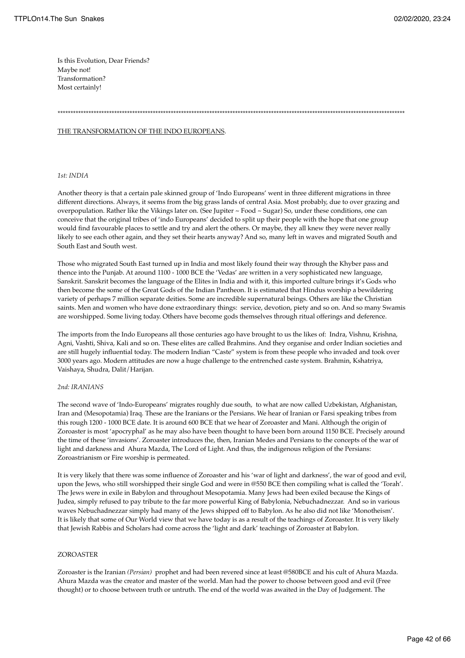Is this Evolution, Dear Friends? Maybe not! Transformation? Most certainly!

## \*\*\*\*\*\*\*\*\*\*\*\*\*\*\*\*\*\*\*\*\*\*\*\*\*\*\*\*\*\*\*\*\*\*\*\*\*\*\*\*\*\*\*\*\*\*\*\*\*\*\*\*\*\*\*\*\*\*\*\*\*\*\*\*\*\*\*\*\*\*\*\*\*\*\*\*\*\*\*\*\*\*\*\*\*\*\*\*\*\*\*\*\*\*\*\*\*\*\*\*\*\*\*\*\*\*\*\*\*\*\*\*\*\*\*\*\*\*\*\*\*\*\*\*\*\*\*\*\*\*\*\*\*\*\*

#### THE TRANSFORMATION OF THE INDO EUROPEANS.

#### *1st: INDIA*

Another theory is that a certain pale skinned group of 'Indo Europeans' went in three different migrations in three different directions. Always, it seems from the big grass lands of central Asia. Most probably, due to over grazing and overpopulation. Rather like the Vikings later on. (See Jupiter ~ Food ~ Sugar) So, under these conditions, one can conceive that the original tribes of 'indo Europeans' decided to split up their people with the hope that one group would find favourable places to settle and try and alert the others. Or maybe, they all knew they were never really likely to see each other again, and they set their hearts anyway? And so, many left in waves and migrated South and South East and South west.

Those who migrated South East turned up in India and most likely found their way through the Khyber pass and thence into the Punjab. At around 1100 - 1000 BCE the 'Vedas' are written in a very sophisticated new language, Sanskrit. Sanskrit becomes the language of the Elites in India and with it, this imported culture brings it's Gods who then become the some of the Great Gods of the Indian Pantheon. It is estimated that Hindus worship a bewildering variety of perhaps 7 million separate deities. Some are incredible supernatural beings. Others are like the Christian saints. Men and women who have done extraordinary things: service, devotion, piety and so on. And so many Swamis are worshipped. Some living today. Others have become gods themselves through ritual offerings and deference.

The imports from the Indo Europeans all those centuries ago have brought to us the likes of: Indra, Vishnu, Krishna, Agni, Vashti, Shiva, Kali and so on. These elites are called Brahmins. And they organise and order Indian societies and are still hugely influential today. The modern Indian "Caste" system is from these people who invaded and took over 3000 years ago. Modern attitudes are now a huge challenge to the entrenched caste system. Brahmin, Kshatriya, Vaishaya, Shudra, Dalit/Harijan.

#### *2nd: IRANIANS*

The second wave of 'Indo-Europeans' migrates roughly due south, to what are now called Uzbekistan, Afghanistan, Iran and (Mesopotamia) Iraq. These are the Iranians or the Persians. We hear of Iranian or Farsi speaking tribes from this rough 1200 - 1000 BCE date. It is around 600 BCE that we hear of Zoroaster and Mani. Although the origin of Zoroaster is most 'apocryphal' as he may also have been thought to have been born around 1150 BCE. Precisely around the time of these 'invasions'. Zoroaster introduces the, then, Iranian Medes and Persians to the concepts of the war of light and darkness and Ahura Mazda, The Lord of Light. And thus, the indigenous religion of the Persians: Zoroastrianism or Fire worship is permeated.

It is very likely that there was some influence of Zoroaster and his 'war of light and darkness', the war of good and evil, upon the Jews, who still worshipped their single God and were in @550 BCE then compiling what is called the 'Torah'. The Jews were in exile in Babylon and throughout Mesopotamia. Many Jews had been exiled because the Kings of Judea, simply refused to pay tribute to the far more powerful King of Babylonia, Nebuchadnezzar. And so in various waves Nebuchadnezzar simply had many of the Jews shipped off to Babylon. As he also did not like 'Monotheism'. It is likely that some of Our World view that we have today is as a result of the teachings of Zoroaster. It is very likely that Jewish Rabbis and Scholars had come across the 'light and dark' teachings of Zoroaster at Babylon.

### ZOROASTER

Zoroaster is the Iranian *(Persian)* prophet and had been revered since at least @580BCE and his cult of Ahura Mazda. Ahura Mazda was the creator and master of the world. Man had the power to choose between good and evil (Free thought) or to choose between truth or untruth. The end of the world was awaited in the Day of Judgement. The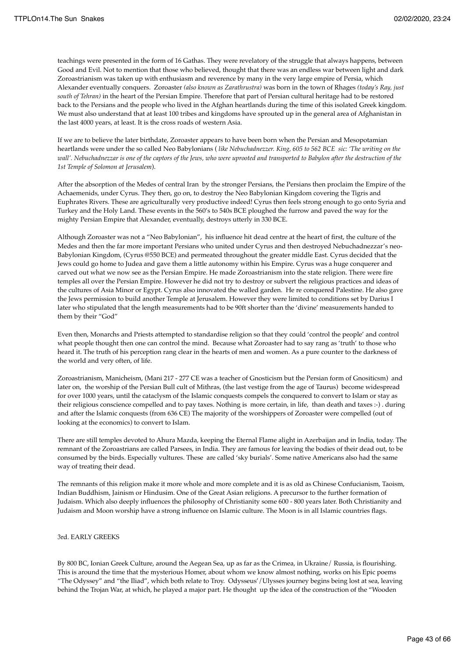teachings were presented in the form of 16 Gathas. They were revelatory of the struggle that always happens, between Good and Evil. Not to mention that those who believed, thought that there was an endless war between light and dark Zoroastrianism was taken up with enthusiasm and reverence by many in the very large empire of Persia, which Alexander eventually conquers. Zoroaster *(also known as Zarathrustra)* was born in the town of Rhages *(today's Ray, just south of Tehran)* in the heart of the Persian Empire. Therefore that part of Persian cultural heritage had to be restored back to the Persians and the people who lived in the Afghan heartlands during the time of this isolated Greek kingdom. We must also understand that at least 100 tribes and kingdoms have sprouted up in the general area of Afghanistan in the last 4000 years, at least. It is the cross roads of western Asia.

If we are to believe the later birthdate, Zoroaster appears to have been born when the Persian and Mesopotamian heartlands were under the so called Neo Babylonians ( *like Nebuchadnezzer. King, 605 to 562 BCE sic: 'The writing on the wall'.* Nebuchadnezzar is one of the captors of the Jews, who were uprooted and transported to Babylon after the destruction of the *1st Temple of Solomon at Jerusalem*).

After the absorption of the Medes of central Iran by the stronger Persians, the Persians then proclaim the Empire of the Achaemenids, under Cyrus. They then, go on, to destroy the Neo Babylonian Kingdom covering the Tigris and Euphrates Rivers. These are agriculturally very productive indeed! Cyrus then feels strong enough to go onto Syria and Turkey and the Holy Land. These events in the 560's to 540s BCE ploughed the furrow and paved the way for the mighty Persian Empire that Alexander, eventually, destroys utterly in 330 BCE.

Although Zoroaster was not a "Neo Babylonian", his influence hit dead centre at the heart of first, the culture of the Medes and then the far more important Persians who united under Cyrus and then destroyed Nebuchadnezzar's neo-Babylonian Kingdom, (Cyrus @550 BCE) and permeated throughout the greater middle East. Cyrus decided that the Jews could go home to Judea and gave them a little autonomy within his Empire. Cyrus was a huge conquerer and carved out what we now see as the Persian Empire. He made Zoroastrianism into the state religion. There were fire temples all over the Persian Empire. However he did not try to destroy or subvert the religious practices and ideas of the cultures of Asia Minor or Egypt. Cyrus also innovated the walled garden. He re conquered Palestine. He also gave the Jews permission to build another Temple at Jerusalem. However they were limited to conditions set by Darius I later who stipulated that the length measurements had to be 90ft shorter than the 'divine' measurements handed to them by their "God"

Even then, Monarchs and Priests attempted to standardise religion so that they could 'control the people' and control what people thought then one can control the mind. Because what Zoroaster had to say rang as 'truth' to those who heard it. The truth of his perception rang clear in the hearts of men and women. As a pure counter to the darkness of the world and very often, of life.

Zoroastrianism, Manicheism, (Mani 217 - 277 CE was a teacher of Gnosticism but the Persian form of Gnositicsm) and later on, the worship of the Persian Bull cult of Mithras, (the last vestige from the age of Taurus) become widespread for over 1000 years, until the cataclysm of the Islamic conquests compels the conquered to convert to Islam or stay as their religious conscience compelled and to pay taxes. Nothing is more certain, in life, than death and taxes :-) . during and after the Islamic conquests (from 636 CE) The majority of the worshippers of Zoroaster were compelled (out of looking at the economics) to convert to Islam.

There are still temples devoted to Ahura Mazda, keeping the Eternal Flame alight in Azerbaijan and in India, today. The remnant of the Zoroastrians are called Parsees, in India. They are famous for leaving the bodies of their dead out, to be consumed by the birds. Especially vultures. These are called 'sky burials'. Some native Americans also had the same way of treating their dead.

The remnants of this religion make it more whole and more complete and it is as old as Chinese Confucianism, Taoism, Indian Buddhism, Jainism or Hindusim. One of the Great Asian religions. A precursor to the further formation of Judaism. Which also deeply influences the philosophy of Christianity some 600 - 800 years later. Both Christianity and Judaism and Moon worship have a strong influence on Islamic culture. The Moon is in all Islamic countries flags.

#### 3rd. EARLY GREEKS

By 800 BC, Ionian Greek Culture, around the Aegean Sea, up as far as the Crimea, in Ukraine/ Russia, is flourishing. This is around the time that the mysterious Homer, about whom we know almost nothing, works on his Epic poems "The Odyssey" and "the Iliad", which both relate to Troy. Odysseus'/Ulysses journey begins being lost at sea, leaving behind the Trojan War, at which, he played a major part. He thought up the idea of the construction of the "Wooden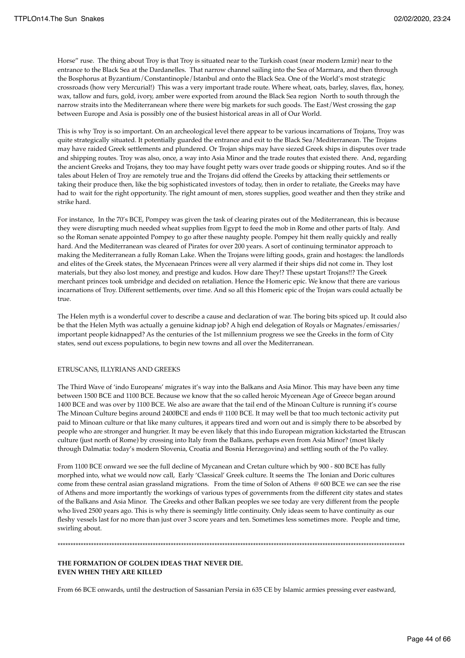Horse" ruse. The thing about Troy is that Troy is situated near to the Turkish coast (near modern Izmir) near to the entrance to the Black Sea at the Dardanelles. That narrow channel sailing into the Sea of Marmara, and then through the Bosphorus at Byzantium/Constantinople/Istanbul and onto the Black Sea. One of the World's most strategic crossroads (how very Mercurial!) This was a very important trade route. Where wheat, oats, barley, slaves, flax, honey, wax, tallow and furs, gold, ivory, amber were exported from around the Black Sea region North to south through the narrow straits into the Mediterranean where there were big markets for such goods. The East/West crossing the gap between Europe and Asia is possibly one of the busiest historical areas in all of Our World.

This is why Troy is so important. On an archeological level there appear to be various incarnations of Trojans, Troy was quite strategically situated. It potentially guarded the entrance and exit to the Black Sea/Mediterranean. The Trojans may have raided Greek settlements and plundered. Or Trojan ships may have siezed Greek ships in disputes over trade and shipping routes. Troy was also, once, a way into Asia Minor and the trade routes that existed there. And, regarding the ancient Greeks and Trojans, they too may have fought petty wars over trade goods or shipping routes. And so if the tales about Helen of Troy are remotely true and the Trojans did offend the Greeks by attacking their settlements or taking their produce then, like the big sophisticated investors of today, then in order to retaliate, the Greeks may have had to wait for the right opportunity. The right amount of men, stores supplies, good weather and then they strike and strike hard.

For instance, In the 70's BCE, Pompey was given the task of clearing pirates out of the Mediterranean, this is because they were disrupting much needed wheat supplies from Egypt to feed the mob in Rome and other parts of Italy. And so the Roman senate appointed Pompey to go after these naughty people. Pompey hit them really quickly and really hard. And the Mediterranean was cleared of Pirates for over 200 years. A sort of continuing terminator approach to making the Mediterranean a fully Roman Lake. When the Trojans were lifting goods, grain and hostages: the landlords and elites of the Greek states, the Mycenaean Princes were all very alarmed if their ships did not come in. They lost materials, but they also lost money, and prestige and kudos. How dare They!? These upstart Trojans!!? The Greek merchant princes took umbridge and decided on retaliation. Hence the Homeric epic. We know that there are various incarnations of Troy. Different settlements, over time. And so all this Homeric epic of the Trojan wars could actually be true.

The Helen myth is a wonderful cover to describe a cause and declaration of war. The boring bits spiced up. It could also be that the Helen Myth was actually a genuine kidnap job? A high end delegation of Royals or Magnates/emissaries/ important people kidnapped? As the centuries of the 1st millennium progress we see the Greeks in the form of City states, send out excess populations, to begin new towns and all over the Mediterranean.

#### ETRUSCANS, ILLYRIANS AND GREEKS

The Third Wave of 'indo Europeans' migrates it's way into the Balkans and Asia Minor. This may have been any time between 1500 BCE and 1100 BCE. Because we know that the so called heroic Mycenean Age of Greece began around 1400 BCE and was over by 1100 BCE. We also are aware that the tail end of the Minoan Culture is running it's course The Minoan Culture begins around 2400BCE and ends @ 1100 BCE. It may well be that too much tectonic activity put paid to Minoan culture or that like many cultures, it appears tired and worn out and is simply there to be absorbed by people who are stronger and hungrier. It may be even likely that this indo European migration kickstarted the Etruscan culture (just north of Rome) by crossing into Italy from the Balkans, perhaps even from Asia Minor? (most likely through Dalmatia: today's modern Slovenia, Croatia and Bosnia Herzegovina) and settling south of the Po valley.

From 1100 BCE onward we see the full decline of Mycanean and Cretan culture which by 900 - 800 BCE has fully morphed into, what we would now call, Early 'Classical' Greek culture. It seems the The Ionian and Doric cultures come from these central asian grassland migrations. From the time of Solon of Athens @ 600 BCE we can see the rise of Athens and more importantly the workings of various types of governments from the different city states and states of the Balkans and Asia Minor. The Greeks and other Balkan peoples we see today are very different from the people who lived 2500 years ago. This is why there is seemingly little continuity. Only ideas seem to have continuity as our fleshy vessels last for no more than just over 3 score years and ten. Sometimes less sometimes more. People and time, swirling about.

\*\*\*\*\*\*\*\*\*\*\*\*\*\*\*\*\*\*\*\*\*\*\*\*\*\*\*\*\*\*\*\*\*\*\*\*\*\*\*\*\*\*\*\*\*\*\*\*\*\*\*\*\*\*\*\*\*\*\*\*\*\*\*\*\*\*\*\*\*\*\*\*\*\*\*\*\*\*\*\*\*\*\*\*\*\*\*\*\*\*\*\*\*\*\*\*\*\*\*\*\*\*\*\*\*\*\*\*\*\*\*\*\*\*\*\*\*\*\*\*\*\*\*\*\*\*\*\*\*\*\*\*\*\*\*

**THE FORMATION OF GOLDEN IDEAS THAT NEVER DIE. EVEN WHEN THEY ARE KILLED**

From 66 BCE onwards, until the destruction of Sassanian Persia in 635 CE by Islamic armies pressing ever eastward,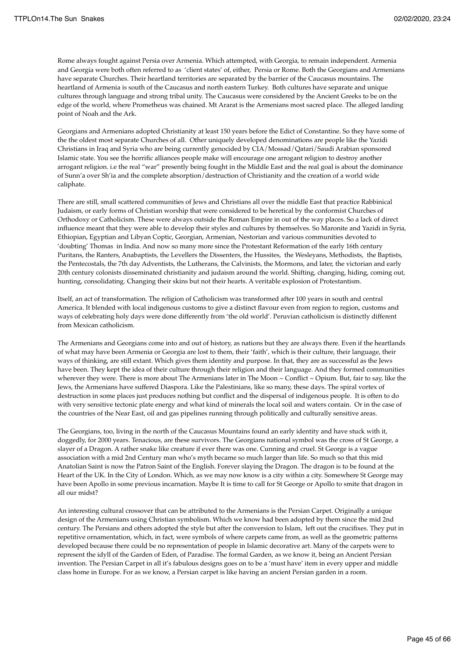Rome always fought against Persia over Armenia. Which attempted, with Georgia, to remain independent. Armenia and Georgia were both often referred to as 'client states' of, either, Persia or Rome. Both the Georgians and Armenians have separate Churches. Their heartland territories are separated by the barrier of the Caucasus mountains. The heartland of Armenia is south of the Caucasus and north eastern Turkey. Both cultures have separate and unique cultures through language and strong tribal unity. The Caucasus were considered by the Ancient Greeks to be on the edge of the world, where Prometheus was chained. Mt Ararat is the Armenians most sacred place. The alleged landing point of Noah and the Ark.

Georgians and Armenians adopted Christianity at least 150 years before the Edict of Constantine. So they have some of the the oldest most separate Churches of all. Other uniquely developed denominations are people like the Yazidi Christians in Iraq and Syria who are being currently genocided by CIA/Mossad/Qatari/Saudi Arabian sponsored Islamic state. You see the horrific alliances people make will encourage one arrogant religion to destroy another arrogant religion. i.e the real "war" presently being fought in the Middle East and the real goal is about the dominance of Sunn'a over Sh'ia and the complete absorption/destruction of Christianity and the creation of a world wide caliphate.

There are still, small scattered communities of Jews and Christians all over the middle East that practice Rabbinical Judaism, or early forms of Christian worship that were considered to be heretical by the conformist Churches of Orthodoxy or Catholicism. These were always outside the Roman Empire in out of the way places. So a lack of direct influence meant that they were able to develop their styles and cultures by themselves. So Maronite and Yazidi in Syria, Ethiopian, Egyptian and Libyan Coptic, Georgian, Armenian, Nestorian and various communities devoted to 'doubting' Thomas in India. And now so many more since the Protestant Reformation of the early 16th century Puritans, the Ranters, Anabaptists, the Levellers the Dissenters, the Hussites, the Wesleyans, Methodists, the Baptists, the Pentecostals, the 7th day Adventists, the Lutherans, the Calvinists, the Mormons, and later, the victorian and early 20th century colonists disseminated christianity and judaism around the world. Shifting, changing, hiding, coming out, hunting, consolidating. Changing their skins but not their hearts. A veritable explosion of Protestantism.

Itself, an act of transformation. The religion of Catholicism was transformed after 100 years in south and central America. It blended with local indigenous customs to give a distinct flavour even from region to region, customs and ways of celebrating holy days were done differently from 'the old world'. Peruvian catholicism is distinctly different from Mexican catholicism.

The Armenians and Georgians come into and out of history, as nations but they are always there. Even if the heartlands of what may have been Armenia or Georgia are lost to them, their 'faith', which is their culture, their language, their ways of thinking, are still extant. Which gives them identity and purpose. In that, they are as successful as the Jews have been. They kept the idea of their culture through their religion and their language. And they formed communities wherever they were. There is more about The Armenians later in The Moon  $\sim$  Conflict  $\sim$  Opium. But, fair to say, like the Jews, the Armenians have suffered Diaspora. Like the Palestinians, like so many, these days. The spiral vortex of destruction in some places just produces nothing but conflict and the dispersal of indigenous people. It is often to do with very sensitive tectonic plate energy and what kind of minerals the local soil and waters contain. Or in the case of the countries of the Near East, oil and gas pipelines running through politically and culturally sensitive areas.

The Georgians, too, living in the north of the Caucasus Mountains found an early identity and have stuck with it, doggedly, for 2000 years. Tenacious, are these survivors. The Georgians national symbol was the cross of St George, a slayer of a Dragon. A rather snake like creature if ever there was one. Cunning and cruel. St George is a vague association with a mid 2nd Century man who's myth became so much larger than life. So much so that this mid Anatolian Saint is now the Patron Saint of the English. Forever slaying the Dragon. The dragon is to be found at the Heart of the UK. In the City of London. Which, as we may now know is a city within a city. Somewhere St George may have been Apollo in some previous incarnation. Maybe It is time to call for St George or Apollo to smite that dragon in all our midst?

An interesting cultural crossover that can be attributed to the Armenians is the Persian Carpet. Originally a unique design of the Armenians using Christian symbolism. Which we know had been adopted by them since the mid 2nd century. The Persians and others adopted the style but after the conversion to Islam, left out the crucifixes. They put in repetitive ornamentation, which, in fact, were symbols of where carpets came from, as well as the geometric patterns developed because there could be no representation of people in Islamic decorative art. Many of the carpets were to represent the idyll of the Garden of Eden, of Paradise. The formal Garden, as we know it, being an Ancient Persian invention. The Persian Carpet in all it's fabulous designs goes on to be a 'must have' item in every upper and middle class home in Europe. For as we know, a Persian carpet is like having an ancient Persian garden in a room.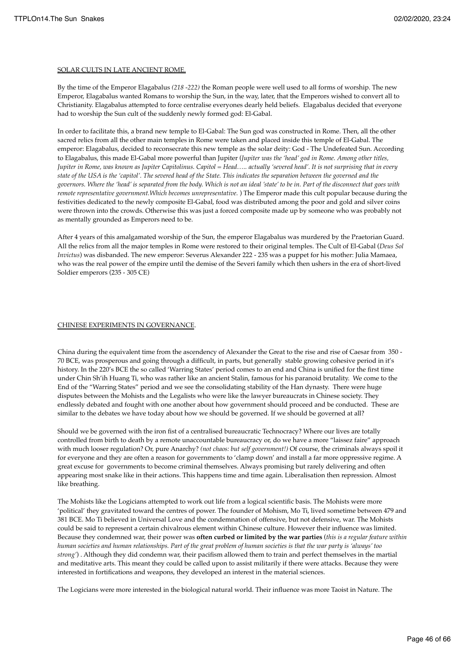#### SOLAR CULTS IN LATE ANCIENT ROME.

By the time of the Emperor Elagabalus *(218 -222)* the Roman people were well used to all forms of worship. The new Emperor, Elagabalus wanted Romans to worship the Sun, in the way, later, that the Emperors wished to convert all to Christianity. Elagabalus attempted to force centralise everyones dearly held beliefs. Elagabalus decided that everyone had to worship the Sun cult of the suddenly newly formed god: El-Gabal.

In order to facilitate this, a brand new temple to El-Gabal: The Sun god was constructed in Rome. Then, all the other sacred relics from all the other main temples in Rome were taken and placed inside this temple of El-Gabal. The emperor: Elagabalus, decided to reconsecrate this new temple as the solar deity: God - The Undefeated Sun. According to Elagabalus, this made El-Gabal more powerful than Jupiter (*Jupiter was the 'head' god in Rome. Among other titles, Jupiter in Rome, was known as Jupiter Capitolinus. Capitol = Head….. actually 'severed head'. It is not surprising that in every state of the USA is the 'capitol'. The severed head of the State. This indicates the separation between the governed and the governors. Where the 'head' is separated from the body. Which is not an ideal 'state' to be in. Part of the disconnect that goes with remote representative government.Which becomes unrepresentative.* ) The Emperor made this cult popular because during the festivities dedicated to the newly composite El-Gabal, food was distributed among the poor and gold and silver coins were thrown into the crowds. Otherwise this was just a forced composite made up by someone who was probably not as mentally grounded as Emperors need to be.

After 4 years of this amalgamated worship of the Sun, the emperor Elagabalus was murdered by the Praetorian Guard. All the relics from all the major temples in Rome were restored to their original temples. The Cult of El-Gabal (*Deus Sol Invictus*) was disbanded. The new emperor: Severus Alexander 222 - 235 was a puppet for his mother: Julia Mamaea, who was the real power of the empire until the demise of the Severi family which then ushers in the era of short-lived Soldier emperors (235 - 305 CE)

### CHINESE EXPERIMENTS IN GOVERNANCE.

China during the equivalent time from the ascendency of Alexander the Great to the rise and rise of Caesar from 350 - 70 BCE, was prosperous and going through a difficult, in parts, but generally stable growing cohesive period in it's history. In the 220's BCE the so called 'Warring States' period comes to an end and China is unified for the first time under Chin Sh'ih Huang Ti, who was rather like an ancient Stalin, famous for his paranoid brutality. We come to the End of the "Warring States" period and we see the consolidating stability of the Han dynasty. There were huge disputes between the Mohists and the Legalists who were like the lawyer bureaucrats in Chinese society. They endlessly debated and fought with one another about how government should proceed and be conducted. These are similar to the debates we have today about how we should be governed. If we should be governed at all?

Should we be governed with the iron fist of a centralised bureaucratic Technocracy? Where our lives are totally controlled from birth to death by a remote unaccountable bureaucracy or, do we have a more "laissez faire" approach with much looser regulation? Or, pure Anarchy? *(not chaos: but self government!)* Of course, the criminals always spoil it for everyone and they are often a reason for governments to 'clamp down' and install a far more oppressive regime. A great excuse for governments to become criminal themselves. Always promising but rarely delivering and often appearing most snake like in their actions. This happens time and time again. Liberalisation then repression. Almost like breathing.

The Mohists like the Logicians attempted to work out life from a logical scientific basis. The Mohists were more 'political' they gravitated toward the centres of power. The founder of Mohism, Mo Ti, lived sometime between 479 and 381 BCE. Mo Ti believed in Universal Love and the condemnation of offensive, but not defensive, war. The Mohists could be said to represent a certain chivalrous element within Chinese culture. However their influence was limited. Because they condemned war, their power was **often curbed or limited by the war parties** (*this is a regular feature within human societies and human relationships. Part of the great problem of human societies is that the war party is 'always' too strong'*) . Although they did condemn war, their pacifism allowed them to train and perfect themselves in the martial and meditative arts. This meant they could be called upon to assist militarily if there were attacks. Because they were interested in fortifications and weapons, they developed an interest in the material sciences.

The Logicians were more interested in the biological natural world. Their influence was more Taoist in Nature. The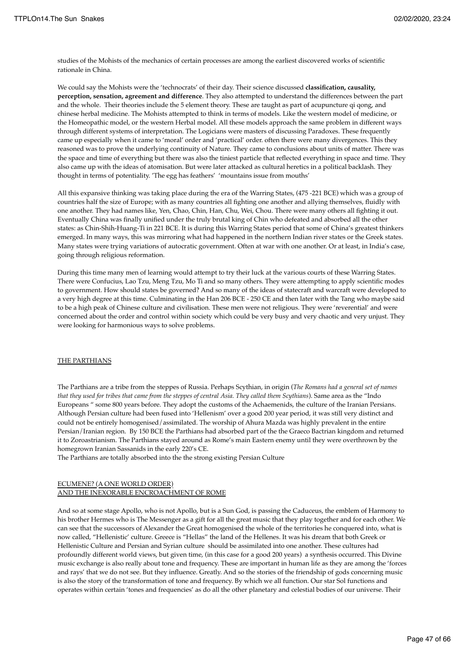studies of the Mohists of the mechanics of certain processes are among the earliest discovered works of scientific rationale in China.

We could say the Mohists were the 'technocrats' of their day. Their science discussed **classification, causality, perception, sensation, agreement and difference**. They also attempted to understand the differences between the part and the whole. Their theories include the 5 element theory. These are taught as part of acupuncture qi qong, and chinese herbal medicine. The Mohists attempted to think in terms of models. Like the western model of medicine, or the Homeopathic model, or the western Herbal model. All these models approach the same problem in different ways through different systems of interpretation. The Logicians were masters of discussing Paradoxes. These frequently came up especially when it came to 'moral' order and 'practical' order. often there were many divergences. This they reasoned was to prove the underlying continuity of Nature. They came to conclusions about units of matter. There was the space and time of everything but there was also the tiniest particle that reflected everything in space and time. They also came up with the ideas of atomisation. But were later attacked as cultural heretics in a political backlash. They thought in terms of potentiality. 'The egg has feathers' 'mountains issue from mouths'

All this expansive thinking was taking place during the era of the Warring States, (475 -221 BCE) which was a group of countries half the size of Europe; with as many countries all fighting one another and allying themselves, fluidly with one another. They had names like, Yen, Chao, Chin, Han, Chu, Wei, Chou. There were many others all fighting it out. Eventually China was finally unified under the truly brutal king of Chin who defeated and absorbed all the other states: as Chin-Shih-Huang-Ti in 221 BCE. It is during this Warring States period that some of China's greatest thinkers emerged. In many ways, this was mirroring what had happened in the northern Indian river states or the Greek states. Many states were trying variations of autocratic government. Often at war with one another. Or at least, in India's case, going through religious reformation.

During this time many men of learning would attempt to try their luck at the various courts of these Warring States. There were Confucius, Lao Tzu, Meng Tzu, Mo Ti and so many others. They were attempting to apply scientific modes to government. How should states be governed? And so many of the ideas of statecraft and warcraft were developed to a very high degree at this time. Culminating in the Han 206 BCE - 250 CE and then later with the Tang who maybe said to be a high peak of Chinese culture and civilisation. These men were not religious. They were 'reverential' and were concerned about the order and control within society which could be very busy and very chaotic and very unjust. They were looking for harmonious ways to solve problems.

## THE PARTHIANS

The Parthians are a tribe from the steppes of Russia. Perhaps Scythian, in origin (*The Romans had a general set of names that they used for tribes that came from the steppes of central Asia. They called them Scythians*). Same area as the "Indo Europeans " some 800 years before. They adopt the customs of the Achaemenids, the culture of the Iranian Persians. Although Persian culture had been fused into 'Hellenism' over a good 200 year period, it was still very distinct and could not be entirely homogenised/assimilated. The worship of Ahura Mazda was highly prevalent in the entire Persian/Iranian region. By 150 BCE the Parthians had absorbed part of the the Graeco Bactrian kingdom and returned it to Zoroastrianism. The Parthians stayed around as Rome's main Eastern enemy until they were overthrown by the homegrown Iranian Sassanids in the early 220's CE.

The Parthians are totally absorbed into the the strong existing Persian Culture

# ECUMENE? (A ONE WORLD ORDER)

AND THE INEXORABLE ENCROACHMENT OF ROME

And so at some stage Apollo, who is not Apollo, but is a Sun God, is passing the Caduceus, the emblem of Harmony to his brother Hermes who is The Messenger as a gift for all the great music that they play together and for each other. We can see that the successors of Alexander the Great homogenised the whole of the territories he conquered into, what is now called, "Hellenistic' culture. Greece is "Hellas" the land of the Hellenes. It was his dream that both Greek or Hellenistic Culture and Persian and Syrian culture should be assimilated into one another. These cultures had profoundly different world views, but given time, (in this case for a good 200 years) a synthesis occurred. This Divine music exchange is also really about tone and frequency. These are important in human life as they are among the 'forces and rays' that we do not see. But they influence. Greatly. And so the stories of the friendship of gods concerning music is also the story of the transformation of tone and frequency. By which we all function. Our star Sol functions and operates within certain 'tones and frequencies' as do all the other planetary and celestial bodies of our universe. Their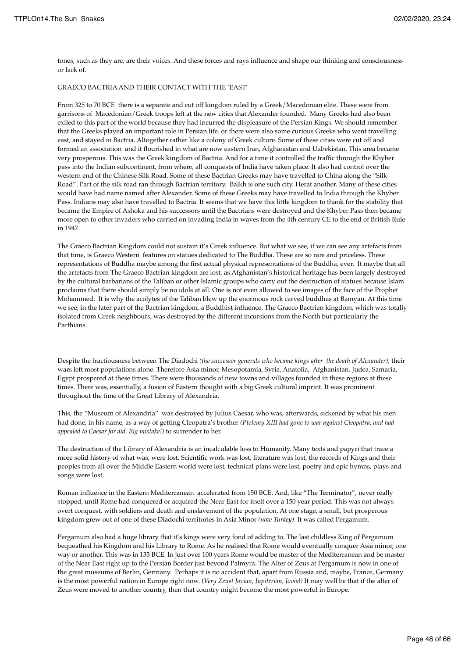tones, such as they are, are their voices. And these forces and rays influence and shape our thinking and consciousness or lack of.

#### GRAECO BACTRIA AND THEIR CONTACT WITH THE 'EAST'

From 325 to 70 BCE there is a separate and cut off kingdom ruled by a Greek/Macedonian elite. These were from garrisons of Macedonian/Greek troops left at the new cities that Alexander founded. Many Greeks had also been exiled to this part of the world because they had incurred the displeasure of the Persian Kings. We should remember that the Greeks played an important role in Persian life. or there were also some curious Greeks who went travelling east, and stayed in Bactria. Altogether rather like a colony of Greek culture. Some of these cities were cut off and formed an association and it flourished in what are now eastern Iran, Afghanistan and Uzbekistan. This area became very prosperous. This was the Greek kingdom of Bactria. And for a time it controlled the traffic through the Khyber pass into the Indian subcontinent, from where, all conquests of India have taken place. It also had control over the western end of the Chinese Silk Road. Some of these Bactrian Greeks may have travelled to China along the "Silk Road". Part of the silk road ran through Bactrian territory. Balkh is one such city. Herat another. Many of these cities would have had name named after Alexander. Some of these Greeks may have travelled to India through the Khyber Pass. Indians may also have travelled to Bactria. It seems that we have this little kingdom to thank for the stability that became the Empire of Ashoka and his successors until the Bactrians were destroyed and the Khyber Pass then became more open to other invaders who carried on invading India in waves from the 4th century CE to the end of British Rule in 1947.

The Graeco Bactrian Kingdom could not sustain it's Greek influence. But what we see, if we can see any artefacts from that time, is Graeco Western features on statues dedicated to The Buddha. These are so rare and priceless. These representations of Buddha maybe among the first actual physical representations of the Buddha, ever. It maybe that all the artefacts from The Graeco Bactrian kingdom are lost, as Afghanistan's historical heritage has been largely destroyed by the cultural barbarians of the Taliban or other Islamic groups who carry out the destruction of statues because Islam proclaims that there should simply be no idols at all. One is not even allowed to see images of the face of the Prophet Mohammed. It is why the acolytes of the Taliban blew up the enormous rock carved buddhas at Bamyan. At this time we see, in the later part of the Bactrian kingdom, a Buddhist influence. The Graeco Bactrian kingdom, which was totally isolated from Greek neighbours, was destroyed by the different incursions from the North but particularly the Parthians.

Despite the fractiousness between The Diadochi *(the successor generals who became kings after the death of Alexander)*, their wars left most populations alone. Therefore Asia minor, Mesopotamia, Syria, Anatolia, Afghanistan. Judea, Samaria, Egypt prospered at these times. There were thousands of new towns and villages founded in these regions at these times. There was, essentially, a fusion of Eastern thought with a big Greek cultural imprint. It was prominent throughout the time of the Great Library of Alexandria.

This, the "Museum of Alexandria" was destroyed by Julius Caesar, who was, afterwards, sickened by what his men had done, in his name, as a way of getting Cleopatra's brother *(Ptolemy XIII had gone to war against Cleopatra, and had appealed to Caesar for aid. Big mistake!)* to surrender to her.

The destruction of the Library of Alexandria is an incalculable loss to Humanity. Many texts and papyri that trace a more solid history of what was, were lost. Scientific work was lost, literature was lost, the records of Kings and their peoples from all over the Middle Eastern world were lost, technical plans were lost, poetry and epic hymns, plays and songs were lost.

Roman influence in the Eastern Mediterranean accelerated from 150 BCE. And, like "The Terminator", never really stopped, until Rome had conquered or acquired the Near East for itself over a 150 year period. This was not always overt conquest, with soldiers and death and enslavement of the population. At one stage, a small, but prosperous kingdom grew out of one of these Diadochi territories in Asia Minor *(now Turkey).* It was called Pergamum.

Pergamum also had a huge library that it's kings were very fond of adding to. The last childless King of Pergamum bequeathed his Kingdom and his Library to Rome. As he realised that Rome would eventually conquer Asia minor, one way or another. This was in 133 BCE. In just over 100 years Rome would be master of the Mediterranean and be master of the Near East right up to the Persian Border just beyond Palmyra. The Alter of Zeus at Pergamum is now in one of the great museums of Berlin, Germany. Perhaps it is no accident that, apart from Russia and, maybe, France, Germany is the most powerful nation in Europe right now. (*Very Zeus! Jovian, Jupiterian, Jovial)* It may well be that if the alter of Zeus were moved to another country, then that country might become the most powerful in Europe.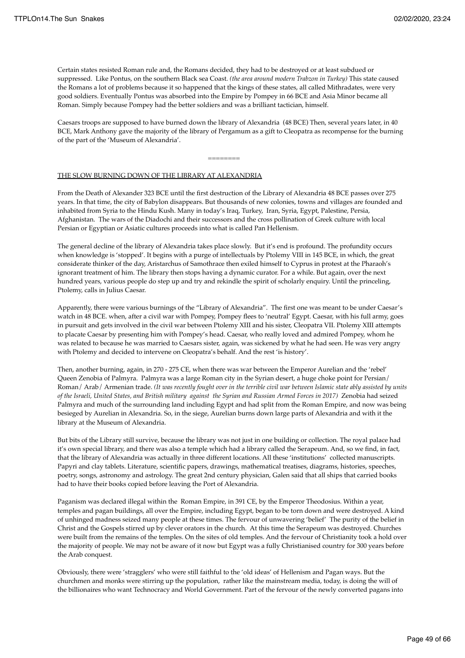Certain states resisted Roman rule and, the Romans decided, they had to be destroyed or at least subdued or suppressed. Like Pontus, on the southern Black sea Coast. *(the area around modern Trabzon in Turkey)* This state caused the Romans a lot of problems because it so happened that the kings of these states, all called Mithradates, were very good soldiers. Eventually Pontus was absorbed into the Empire by Pompey in 66 BCE and Asia Minor became all Roman. Simply because Pompey had the better soldiers and was a brilliant tactician, himself.

Caesars troops are supposed to have burned down the library of Alexandria (48 BCE) Then, several years later, in 40 BCE, Mark Anthony gave the majority of the library of Pergamum as a gift to Cleopatra as recompense for the burning of the part of the 'Museum of Alexandria'.

## THE SLOW BURNING DOWN OF THE LIBRARY AT ALEXANDRIA

========

From the Death of Alexander 323 BCE until the first destruction of the Library of Alexandria 48 BCE passes over 275 years. In that time, the city of Babylon disappears. But thousands of new colonies, towns and villages are founded and inhabited from Syria to the Hindu Kush. Many in today's Iraq, Turkey, Iran, Syria, Egypt, Palestine, Persia, Afghanistan. The wars of the Diadochi and their successors and the cross pollination of Greek culture with local Persian or Egyptian or Asiatic cultures proceeds into what is called Pan Hellenism.

The general decline of the library of Alexandria takes place slowly. But it's end is profound. The profundity occurs when knowledge is 'stopped'. It begins with a purge of intellectuals by Ptolemy VIII in 145 BCE, in which, the great considerate thinker of the day, Aristarchus of Samothrace then exiled himself to Cyprus in protest at the Pharaoh's ignorant treatment of him. The library then stops having a dynamic curator. For a while. But again, over the next hundred years, various people do step up and try and rekindle the spirit of scholarly enquiry. Until the princeling, Ptolemy, calls in Julius Caesar.

Apparently, there were various burnings of the "Library of Alexandria". The first one was meant to be under Caesar's watch in 48 BCE. when, after a civil war with Pompey, Pompey flees to 'neutral' Egypt. Caesar, with his full army, goes in pursuit and gets involved in the civil war between Ptolemy XIII and his sister, Cleopatra VII. Ptolemy XIII attempts to placate Caesar by presenting him with Pompey's head. Caesar, who really loved and admired Pompey, whom he was related to because he was married to Caesars sister, again, was sickened by what he had seen. He was very angry with Ptolemy and decided to intervene on Cleopatra's behalf. And the rest 'is history'.

Then, another burning, again, in 270 - 275 CE, when there was war between the Emperor Aurelian and the 'rebel' Queen Zenobia of Palmyra. Palmyra was a large Roman city in the Syrian desert, a huge choke point for Persian/ Roman/ Arab/ Armenian trade. *(It was recently fought over in the terrible civil war between Islamic state ably assisted by units of the Israeli, United States, and British military against the Syrian and Russian Armed Forces in 2017)* Zenobia had seized Palmyra and much of the surrounding land including Egypt and had split from the Roman Empire, and now was being besieged by Aurelian in Alexandria. So, in the siege, Aurelian burns down large parts of Alexandria and with it the library at the Museum of Alexandria.

But bits of the Library still survive, because the library was not just in one building or collection. The royal palace had it's own special library, and there was also a temple which had a library called the Serapeum. And, so we find, in fact, that the library of Alexandria was actually in three different locations. All these 'institutions' collected manuscripts. Papyri and clay tablets. Literature, scientific papers, drawings, mathematical treatises, diagrams, histories, speeches, poetry, songs, astronomy and astrology. The great 2nd century physician, Galen said that all ships that carried books had to have their books copied before leaving the Port of Alexandria.

Paganism was declared illegal within the Roman Empire, in 391 CE, by the Emperor Theodosius. Within a year, temples and pagan buildings, all over the Empire, including Egypt, began to be torn down and were destroyed. A kind of unhinged madness seized many people at these times. The fervour of unwavering 'belief' The purity of the belief in Christ and the Gospels stirred up by clever orators in the church. At this time the Serapeum was destroyed. Churches were built from the remains of the temples. On the sites of old temples. And the fervour of Christianity took a hold over the majority of people. We may not be aware of it now but Egypt was a fully Christianised country for 300 years before the Arab conquest.

Obviously, there were 'stragglers' who were still faithful to the 'old ideas' of Hellenism and Pagan ways. But the churchmen and monks were stirring up the population, rather like the mainstream media, today, is doing the will of the billionaires who want Technocracy and World Government. Part of the fervour of the newly converted pagans into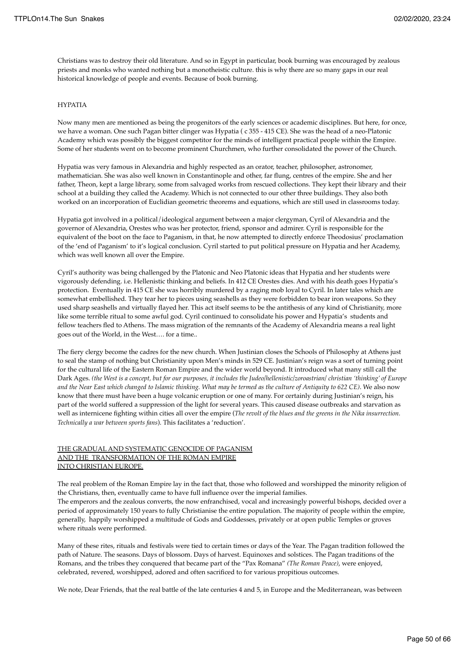Christians was to destroy their old literature. And so in Egypt in particular, book burning was encouraged by zealous priests and monks who wanted nothing but a monotheistic culture. this is why there are so many gaps in our real historical knowledge of people and events. Because of book burning.

## HYPATIA

Now many men are mentioned as being the progenitors of the early sciences or academic disciplines. But here, for once, we have a woman. One such Pagan bitter clinger was Hypatia ( c 355 - 415 CE). She was the head of a neo-Platonic Academy which was possibly the biggest competitor for the minds of intelligent practical people within the Empire. Some of her students went on to become prominent Churchmen, who further consolidated the power of the Church.

Hypatia was very famous in Alexandria and highly respected as an orator, teacher, philosopher, astronomer, mathematician. She was also well known in Constantinople and other, far flung, centres of the empire. She and her father, Theon, kept a large library, some from salvaged works from rescued collections. They kept their library and their school at a building they called the Academy. Which is not connected to our other three buildings. They also both worked on an incorporation of Euclidian geometric theorems and equations, which are still used in classrooms today.

Hypatia got involved in a political/ideological argument between a major clergyman, Cyril of Alexandria and the governor of Alexandria, Orestes who was her protector, friend, sponsor and admirer. Cyril is responsible for the equivalent of the boot on the face to Paganism, in that, he now attempted to directly enforce Theodosius' proclamation of the 'end of Paganism' to it's logical conclusion. Cyril started to put political pressure on Hypatia and her Academy, which was well known all over the Empire.

Cyril's authority was being challenged by the Platonic and Neo Platonic ideas that Hypatia and her students were vigorously defending. i.e. Hellenistic thinking and beliefs. In 412 CE Orestes dies. And with his death goes Hypatia's protection. Eventually in 415 CE she was horribly murdered by a raging mob loyal to Cyril. In later tales which are somewhat embellished. They tear her to pieces using seashells as they were forbidden to bear iron weapons. So they used sharp seashells and virtually flayed her. This act itself seems to be the antithesis of any kind of Christianity, more like some terrible ritual to some awful god. Cyril continued to consolidate his power and Hypatia's students and fellow teachers fled to Athens. The mass migration of the remnants of the Academy of Alexandria means a real light goes out of the World, in the West…. for a time..

The fiery clergy become the cadres for the new church. When Justinian closes the Schools of Philosophy at Athens just to seal the stamp of nothing but Christianity upon Men's minds in 529 CE. Justinian's reign was a sort of turning point for the cultural life of the Eastern Roman Empire and the wider world beyond. It introduced what many still call the Dark Ages. *(the West is a concept, but for our purposes, it includes the Judeo/hellenistic/zoroastrian/ christian 'thinking' of Europe and the Near East which changed to Islamic thinking. What may be termed as the culture of Antiquity to 622 CE)*. We also now know that there must have been a huge volcanic eruption or one of many. For certainly during Justinian's reign, his part of the world suffered a suppression of the light for several years. This caused disease outbreaks and starvation as well as internicene fighting within cities all over the empire (*The revolt of the blues and the greens in the Nika insurrection. Technically a war between sports fans*). This facilitates a 'reduction'.

## THE GRADUAL AND SYSTEMATIC GENOCIDE OF PAGANISM AND THE TRANSFORMATION OF THE ROMAN EMPIRE INTO CHRISTIAN EUROPE.

The real problem of the Roman Empire lay in the fact that, those who followed and worshipped the minority religion of the Christians, then, eventually came to have full influence over the imperial families. The emperors and the zealous converts, the now enfranchised, vocal and increasingly powerful bishops, decided over a period of approximately 150 years to fully Christianise the entire population. The majority of people within the empire,

generally, happily worshipped a multitude of Gods and Goddesses, privately or at open public Temples or groves where rituals were performed.

Many of these rites, rituals and festivals were tied to certain times or days of the Year. The Pagan tradition followed the path of Nature. The seasons. Days of blossom. Days of harvest. Equinoxes and solstices. The Pagan traditions of the Romans, and the tribes they conquered that became part of the "Pax Romana" *(The Roman Peace)*, were enjoyed, celebrated, revered, worshipped, adored and often sacrificed to for various propitious outcomes.

We note, Dear Friends, that the real battle of the late centuries 4 and 5, in Europe and the Mediterranean, was between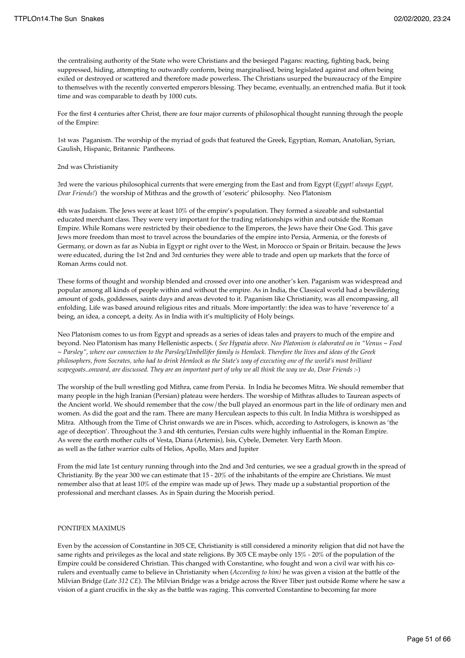the centralising authority of the State who were Christians and the besieged Pagans: reacting, fighting back, being suppressed, hiding, attempting to outwardly conform, being marginalised, being legislated against and often being exiled or destroyed or scattered and therefore made powerless. The Christians usurped the bureaucracy of the Empire to themselves with the recently converted emperors blessing. They became, eventually, an entrenched mafia. But it took time and was comparable to death by 1000 cuts.

For the first 4 centuries after Christ, there are four major currents of philosophical thought running through the people of the Empire:

1st was Paganism. The worship of the myriad of gods that featured the Greek, Egyptian, Roman, Anatolian, Syrian, Gaulish, Hispanic, Britannic Pantheons.

#### 2nd was Christianity

3rd were the various philosophical currents that were emerging from the East and from Egypt (*Egypt! always Egypt, Dear Friends!*) the worship of Mithras and the growth of 'esoteric' philosophy. Neo Platonism

4th was Judaism. The Jews were at least 10% of the empire's population. They formed a sizeable and substantial educated merchant class. They were very important for the trading relationships within and outside the Roman Empire. While Romans were restricted by their obedience to the Emperors, the Jews have their One God. This gave Jews more freedom than most to travel across the boundaries of the empire into Persia, Armenia, or the forests of Germany, or down as far as Nubia in Egypt or right over to the West, in Morocco or Spain or Britain. because the Jews were educated, during the 1st 2nd and 3rd centuries they were able to trade and open up markets that the force of Roman Arms could not.

These forms of thought and worship blended and crossed over into one another's ken. Paganism was widespread and popular among all kinds of people within and without the empire. As in India, the Classical world had a bewildering amount of gods, goddesses, saints days and areas devoted to it. Paganism like Christianity, was all encompassing, all enfolding. Life was based around religious rites and rituals. More importantly: the idea was to have 'reverence to' a being, an idea, a concept, a deity. As in India with it's multiplicity of Holy beings.

Neo Platonism comes to us from Egypt and spreads as a series of ideas tales and prayers to much of the empire and beyond. Neo Platonism has many Hellenistic aspects. ( *See Hypatia above. Neo Platonism is elaborated on in "Venus ~ Food ~ Parsley", where our connection to the Parsley/Umbellifer family is Hemlock. Therefore the lives and ideas of the Greek philosophers, from Socrates, who had to drink Hemlock as the State's way of executing one of the world's most brilliant scapegoats..onward, are discussed. They are an important part of why we all think the way we do, Dear Friends :-*)

The worship of the bull wrestling god Mithra, came from Persia. In India he becomes Mitra. We should remember that many people in the high Iranian (Persian) plateau were herders. The worship of Mithras alludes to Taurean aspects of the Ancient world. We should remember that the cow/the bull played an enormous part in the life of ordinary men and women. As did the goat and the ram. There are many Herculean aspects to this cult. In India Mithra is worshipped as Mitra. Although from the Time of Christ onwards we are in Pisces. which, according to Astrologers, is known as 'the age of deception'. Throughout the 3 and 4th centuries, Persian cults were highly influential in the Roman Empire. As were the earth mother cults of Vesta, Diana (Artemis), Isis, Cybele, Demeter. Very Earth Moon. as well as the father warrior cults of Helios, Apollo, Mars and Jupiter

From the mid late 1st century running through into the 2nd and 3rd centuries, we see a gradual growth in the spread of Christianity. By the year 300 we can estimate that 15 - 20% of the inhabitants of the empire are Christians. We must remember also that at least 10% of the empire was made up of Jews. They made up a substantial proportion of the professional and merchant classes. As in Spain during the Moorish period.

### PONTIFEX MAXIMUS

Even by the accession of Constantine in 305 CE, Christianity is still considered a minority religion that did not have the same rights and privileges as the local and state religions. By 305 CE maybe only 15% - 20% of the population of the Empire could be considered Christian. This changed with Constantine, who fought and won a civil war with his corulers and eventually came to believe in Christianity when (*According to him)* he was given a vision at the battle of the Milvian Bridge (*Late 312 CE*). The Milvian Bridge was a bridge across the River Tiber just outside Rome where he saw a vision of a giant crucifix in the sky as the battle was raging. This converted Constantine to becoming far more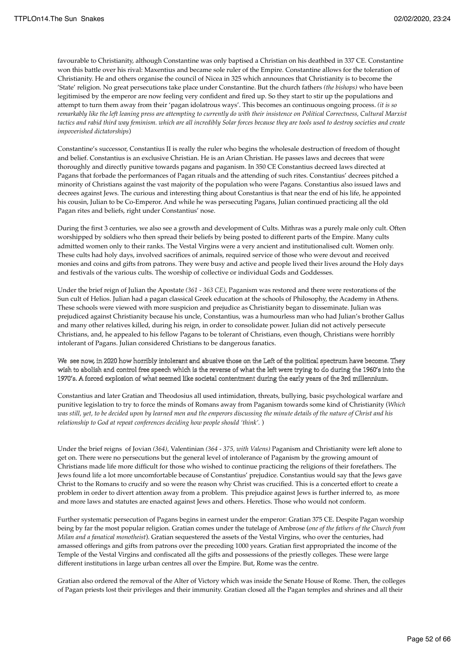favourable to Christianity, although Constantine was only baptised a Christian on his deathbed in 337 CE. Constantine won this battle over his rival: Maxentius and became sole ruler of the Empire. Constantine allows for the toleration of Christianity. He and others organise the council of Nicea in 325 which announces that Christianity is to become the 'State' religion. No great persecutions take place under Constantine. But the church fathers *(the bishops)* who have been legitimised by the emperor are now feeling very confident and fired up. So they start to stir up the populations and attempt to turn them away from their 'pagan idolatrous ways'. This becomes an continuous ongoing process. *(it is so remarkably like the left leaning press are attempting to currently do with their insistence on Political Correctness, Cultural Marxist tactics and rabid third way feminism. which are all incredibly Solar forces because they are tools used to destroy societies and create impoverished dictatorships*)

Constantine's successor, Constantius II is really the ruler who begins the wholesale destruction of freedom of thought and belief. Constantius is an exclusive Christian. He is an Arian Christian. He passes laws and decrees that were thoroughly and directly punitive towards pagans and paganism. In 350 CE Constantius decreed laws directed at Pagans that forbade the performances of Pagan rituals and the attending of such rites. Constantius' decrees pitched a minority of Christians against the vast majority of the population who were Pagans. Constantius also issued laws and decrees against Jews. The curious and interesting thing about Constantius is that near the end of his life, he appointed his cousin, Julian to be Co-Emperor. And while he was persecuting Pagans, Julian continued practicing all the old Pagan rites and beliefs, right under Constantius' nose.

During the first 3 centuries, we also see a growth and development of Cults. Mithras was a purely male only cult. Often worshipped by soldiers who then spread their beliefs by being posted to different parts of the Empire. Many cults admitted women only to their ranks. The Vestal Virgins were a very ancient and institutionalised cult. Women only. These cults had holy days, involved sacrifices of animals, required service of those who were devout and received monies and coins and gifts from patrons. They were busy and active and people lived their lives around the Holy days and festivals of the various cults. The worship of collective or individual Gods and Goddesses.

Under the brief reign of Julian the Apostate *(361 - 363 CE)*, Paganism was restored and there were restorations of the Sun cult of Helios. Julian had a pagan classical Greek education at the schools of Philosophy, the Academy in Athens. These schools were viewed with more suspicion and prejudice as Christianity began to disseminate. Julian was prejudiced against Christianity because his uncle, Constantius, was a humourless man who had Julian's brother Gallus and many other relatives killed, during his reign, in order to consolidate power. Julian did not actively persecute Christians, and, he appealed to his fellow Pagans to be tolerant of Christians, even though, Christians were horribly intolerant of Pagans. Julian considered Christians to be dangerous fanatics.

## We see now, in 2020 how horribly intolerant and abusive those on the Left of the political spectrum have become. They wish to abolish and control free speech which is the reverse of what the left were trying to do during the 1960's into the 1970's. A forced explosion of what seemed like societal contentment during the early years of the 3rd millennium.

Constantius and later Gratian and Theodosius all used intimidation, threats, bullying, basic psychological warfare and punitive legislation to try to force the minds of Romans away from Paganism towards some kind of Christianity (*Which was still, yet, to be decided upon by learned men and the emperors discussing the minute details of the nature of Christ and his relationship to God at repeat conferences deciding how people should 'think'.* )

Under the brief reigns of Jovian *(364)*, Valentinian *(364 - 375, with Valens)* Paganism and Christianity were left alone to get on. There were no persecutions but the general level of intolerance of Paganism by the growing amount of Christians made life more difficult for those who wished to continue practicing the religions of their forefathers. The Jews found life a lot more uncomfortable because of Constantius' prejudice. Constantius would say that the Jews gave Christ to the Romans to crucify and so were the reason why Christ was crucified. This is a concerted effort to create a problem in order to divert attention away from a problem. This prejudice against Jews is further inferred to, as more and more laws and statutes are enacted against Jews and others. Heretics. Those who would not conform.

Further systematic persecution of Pagans begins in earnest under the emperor: Gratian 375 CE. Despite Pagan worship being by far the most popular religion. Gratian comes under the tutelage of Ambrose (*one of the fathers of the Church from Milan and a fanatical monotheist*). Gratian sequestered the assets of the Vestal Virgins, who over the centuries, had amassed offerings and gifts from patrons over the preceding 1000 years. Gratian first appropriated the income of the Temple of the Vestal Virgins and confiscated all the gifts and possessions of the priestly colleges. These were large different institutions in large urban centres all over the Empire. But, Rome was the centre.

Gratian also ordered the removal of the Alter of Victory which was inside the Senate House of Rome. Then, the colleges of Pagan priests lost their privileges and their immunity. Gratian closed all the Pagan temples and shrines and all their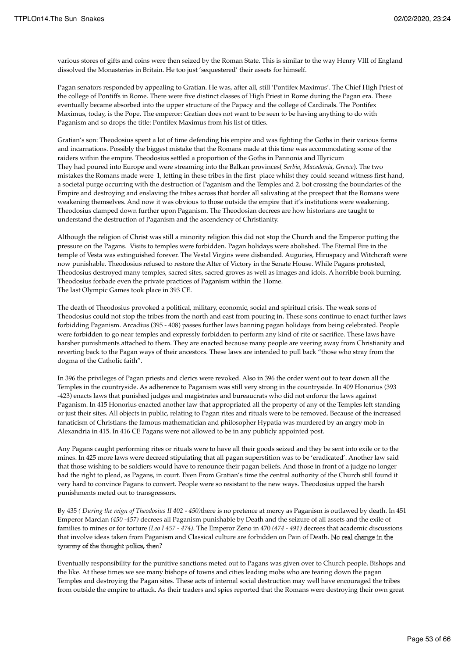various stores of gifts and coins were then seized by the Roman State. This is similar to the way Henry VIII of England dissolved the Monasteries in Britain. He too just 'sequestered' their assets for himself.

Pagan senators responded by appealing to Gratian. He was, after all, still 'Pontifex Maximus'. The Chief High Priest of the college of Pontiffs in Rome. There were five distinct classes of High Priest in Rome during the Pagan era. These eventually became absorbed into the upper structure of the Papacy and the college of Cardinals. The Pontifex Maximus, today, is the Pope. The emperor: Gratian does not want to be seen to be having anything to do with Paganism and so drops the title: Pontifex Maximus from his list of titles.

Gratian's son: Theodosius spent a lot of time defending his empire and was fighting the Goths in their various forms and incarnations. Possibly the biggest mistake that the Romans made at this time was accommodating some of the raiders within the empire. Theodosius settled a proportion of the Goths in Pannonia and Illyricum They had poured into Europe and were streaming into the Balkan provinces( *Serbia, Macedonia, Greece*). The two mistakes the Romans made were 1, letting in these tribes in the first place whilst they could seeand witness first hand, a societal purge occurring with the destruction of Paganism and the Temples and 2. bot crossing the boundaries of the Empire and destroying and enslaving the tribes across that border all salivating at the prospect that the Romans were weakening themselves. And now it was obvious to those outside the empire that it's institutions were weakening. Theodosius clamped down further upon Paganism. The Theodosian decrees are how historians are taught to understand the destruction of Paganism and the ascendency of Christianity.

Although the religion of Christ was still a minority religion this did not stop the Church and the Emperor putting the pressure on the Pagans. Visits to temples were forbidden. Pagan holidays were abolished. The Eternal Fire in the temple of Vesta was extinguished forever. The Vestal Virgins were disbanded. Auguries, Hiruspacy and Witchcraft were now punishable. Theodosius refused to restore the Alter of Victory in the Senate House. While Pagans protested, Theodosius destroyed many temples, sacred sites, sacred groves as well as images and idols. A horrible book burning. Theodosius forbade even the private practices of Paganism within the Home. The last Olympic Games took place in 393 CE.

The death of Theodosius provoked a political, military, economic, social and spiritual crisis. The weak sons of Theodosius could not stop the tribes from the north and east from pouring in. These sons continue to enact further laws forbidding Paganism. Arcadius (395 - 408) passes further laws banning pagan holidays from being celebrated. People were forbidden to go near temples and expressly forbidden to perform any kind of rite or sacrifice. These laws have harsher punishments attached to them. They are enacted because many people are veering away from Christianity and reverting back to the Pagan ways of their ancestors. These laws are intended to pull back "those who stray from the dogma of the Catholic faith".

In 396 the privileges of Pagan priests and clerics were revoked. Also in 396 the order went out to tear down all the Temples in the countryside. As adherence to Paganism was still very strong in the countryside. In 409 Honorius (393 -423) enacts laws that punished judges and magistrates and bureaucrats who did not enforce the laws against Paganism. In 415 Honorius enacted another law that appropriated all the property of any of the Temples left standing or just their sites. All objects in public, relating to Pagan rites and rituals were to be removed. Because of the increased fanaticism of Christians the famous mathematician and philosopher Hypatia was murdered by an angry mob in Alexandria in 415. In 416 CE Pagans were not allowed to be in any publicly appointed post.

Any Pagans caught performing rites or rituals were to have all their goods seized and they be sent into exile or to the mines. In 425 more laws were decreed stipulating that all pagan superstition was to be 'eradicated'. Another law said that those wishing to be soldiers would have to renounce their pagan beliefs. And those in front of a judge no longer had the right to plead, as Pagans, in court. Even From Gratian's time the central authority of the Church still found it very hard to convince Pagans to convert. People were so resistant to the new ways. Theodosius upped the harsh punishments meted out to transgressors.

By 435 *( During the reign of Theodosius II 402 - 450)*there is no pretence at mercy as Paganism is outlawed by death. In 451 Emperor Marcian *(450 -457)* decrees all Paganism punishable by Death and the seizure of all assets and the exile of families to mines or for torture *(Leo I 457 - 474)*. The Emperor Zeno in 470 *(474 - 491)* decrees that academic discussions that involve ideas taken from Paganism and Classical culture are forbidden on Pain of Death. No real change in the tyranny of the thought police, then?

Eventually responsibility for the punitive sanctions meted out to Pagans was given over to Church people. Bishops and the like. At these times we see many bishops of towns and cities leading mobs who are tearing down the pagan Temples and destroying the Pagan sites. These acts of internal social destruction may well have encouraged the tribes from outside the empire to attack. As their traders and spies reported that the Romans were destroying their own great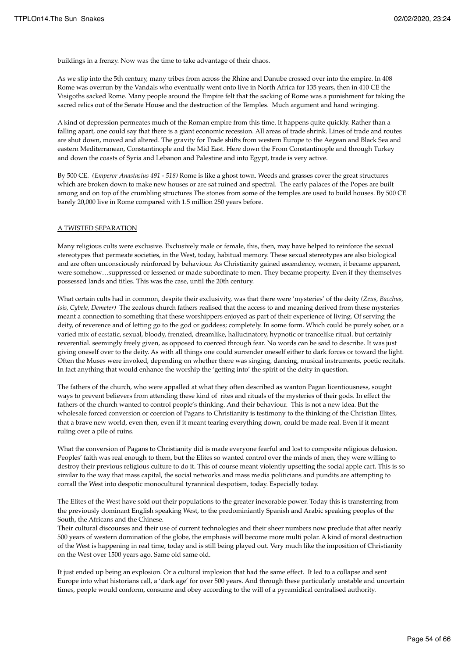buildings in a frenzy. Now was the time to take advantage of their chaos.

As we slip into the 5th century, many tribes from across the Rhine and Danube crossed over into the empire. In 408 Rome was overrun by the Vandals who eventually went onto live in North Africa for 135 years, then in 410 CE the Visigoths sacked Rome. Many people around the Empire felt that the sacking of Rome was a punishment for taking the sacred relics out of the Senate House and the destruction of the Temples. Much argument and hand wringing.

A kind of depression permeates much of the Roman empire from this time. It happens quite quickly. Rather than a falling apart, one could say that there is a giant economic recession. All areas of trade shrink. Lines of trade and routes are shut down, moved and altered. The gravity for Trade shifts from western Europe to the Aegean and Black Sea and eastern Mediterranean, Constantinople and the Mid East. Here down the From Constantinople and through Turkey and down the coasts of Syria and Lebanon and Palestine and into Egypt, trade is very active.

By 500 CE. *(Emperor Anastasius 491 - 518)* Rome is like a ghost town. Weeds and grasses cover the great structures which are broken down to make new houses or are sat ruined and spectral. The early palaces of the Popes are built among and on top of the crumbling structures The stones from some of the temples are used to build houses. By 500 CE barely 20,000 live in Rome compared with 1.5 million 250 years before.

#### A TWISTED SEPARATION

Many religious cults were exclusive. Exclusively male or female, this, then, may have helped to reinforce the sexual stereotypes that permeate societies, in the West, today, habitual memory. These sexual stereotypes are also biological and are often unconsciously reinforced by behaviour. As Christianity gained ascendency, women, it became apparent, were somehow…suppressed or lessened or made subordinate to men. They became property. Even if they themselves possessed lands and titles. This was the case, until the 20th century.

What certain cults had in common, despite their exclusivity, was that there were 'mysteries' of the deity *(Zeus, Bacchus, Isis, Cybele, Demeter)* The zealous church fathers realised that the access to and meaning derived from these mysteries meant a connection to something that these worshippers enjoyed as part of their experience of living. Of serving the deity, of reverence and of letting go to the god or goddess; completely. In some form. Which could be purely sober, or a varied mix of ecstatic, sexual, bloody, frenzied, dreamlike, hallucinatory, hypnotic or trancelike ritual. but certainly reverential. seemingly freely given, as opposed to coerced through fear. No words can be said to describe. It was just giving oneself over to the deity. As with all things one could surrender oneself either to dark forces or toward the light. Often the Muses were invoked, depending on whether there was singing, dancing, musical instruments, poetic recitals. In fact anything that would enhance the worship the 'getting into' the spirit of the deity in question.

The fathers of the church, who were appalled at what they often described as wanton Pagan licentiousness, sought ways to prevent believers from attending these kind of rites and rituals of the mysteries of their gods. In effect the fathers of the church wanted to control people's thinking. And their behaviour. This is not a new idea. But the wholesale forced conversion or coercion of Pagans to Christianity is testimony to the thinking of the Christian Elites, that a brave new world, even then, even if it meant tearing everything down, could be made real. Even if it meant ruling over a pile of ruins.

What the conversion of Pagans to Christianity did is made everyone fearful and lost to composite religious delusion. Peoples' faith was real enough to them, but the Elites so wanted control over the minds of men, they were willing to destroy their previous religious culture to do it. This of course meant violently upsetting the social apple cart. This is so similar to the way that mass capital, the social networks and mass media politicians and pundits are attempting to corrall the West into despotic monocultural tyrannical despotism, today. Especially today.

The Elites of the West have sold out their populations to the greater inexorable power. Today this is transferring from the previously dominant English speaking West, to the predominiantly Spanish and Arabic speaking peoples of the South, the Africans and the Chinese.

Their cultural discourses and their use of current technologies and their sheer numbers now preclude that after nearly 500 years of western domination of the globe, the emphasis will become more multi polar. A kind of moral destruction of the West is happening in real time, today and is still being played out. Very much like the imposition of Christianity on the West over 1500 years ago. Same old same old.

It just ended up being an explosion. Or a cultural implosion that had the same effect. It led to a collapse and sent Europe into what historians call, a 'dark age' for over 500 years. And through these particularly unstable and uncertain times, people would conform, consume and obey according to the will of a pyramidical centralised authority.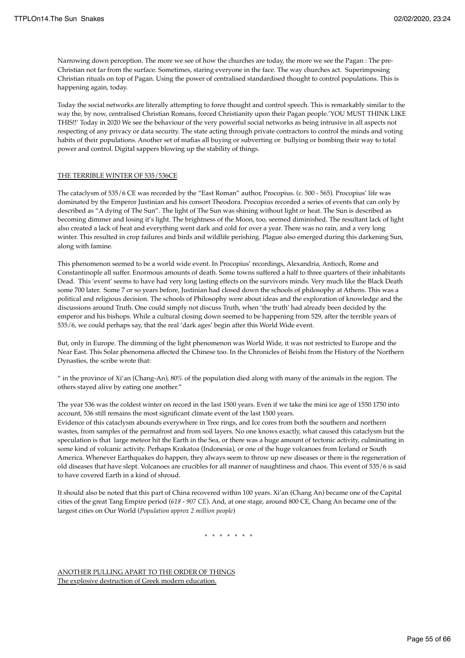Narrowing down perception. The more we see of how the churches are today, the more we see the Pagan : The pre-Christian not far from the surface. Sometimes, staring everyone in the face. The way churches act. Superimposing Christian rituals on top of Pagan. Using the power of centralised standardised thought to control populations. This is happening again, today.

Today the social networks are literally attempting to force thought and control speech. This is remarkably similar to the way the, by now, centralised Christian Romans, forced Christianity upon their Pagan people.'YOU MUST THINK LIKE THIS!!' Today in 2020 We see the behaviour of the very powerful social networks as being intrusive in all aspects not respecting of any privacy or data security. The state acting through private contractors to control the minds and voting habits of their populations. Another set of mafias all buying or subverting or bullying or bombing their way to total power and control. Digital sappers blowing up the stability of things.

## THE TERRIBLE WINTER OF 535/536CE

The cataclysm of 535/6 CE was recorded by the "East Roman" author, Procopius. (c. 500 - 565). Procopius' life was dominated by the Emperor Justinian and his consort Theodora. Procopius recorded a series of events that can only by described as "A dying of The Sun". The light of The Sun was shining without light or heat. The Sun is described as becoming dimmer and losing it's light. The brightness of the Moon, too, seemed diminished. The resultant lack of light also created a lack of heat and everything went dark and cold for over a year. There was no rain, and a very long winter. This resulted in crop failures and birds and wildlife perishing. Plague also emerged during this darkening Sun, along with famine.

This phenomenon seemed to be a world wide event. In Procopius' recordings, Alexandria, Antioch, Rome and Constantinople all suffer. Enormous amounts of death. Some towns suffered a half to three quarters of their inhabitants Dead. This 'event' seems to have had very long lasting effects on the survivors minds. Very much like the Black Death some 700 later. Some 7 or so years before, Justinian had closed down the schools of philosophy at Athens. This was a political and religious decision. The schools of Philosophy were about ideas and the exploration of knowledge and the discussions around Truth. One could simply not discuss Truth, when 'the truth' had already been decided by the emperor and his bishops. While a cultural closing down seemed to be happening from 529, after the terrible years of 535/6, we could perhaps say, that the real 'dark ages' begin after this World Wide event.

But, only in Europe. The dimming of the light phenomenon was World Wide, it was not restricted to Europe and the Near East. This Solar phenomena affected the Chinese too. In the Chronicles of Beishi from the History of the Northern Dynasties, the scribe wrote that:

" in the province of Xi'an (Chang-An), 80% of the population died along with many of the animals in the region. The others stayed alive by eating one another."

The year 536 was the coldest winter on record in the last 1500 years. Even if we take the mini ice age of 1550 1750 into account, 536 still remains the most significant climate event of the last 1500 years.

Evidence of this cataclysm abounds everywhere in Tree rings, and Ice cores from both the southern and northern wastes, from samples of the permafrost and from soil layers. No one knows exactly, what caused this cataclysm but the speculation is that large meteor hit the Earth in the Sea, or there was a huge amount of tectonic activity, culminating in some kind of volcanic activity. Perhaps Krakatoa (Indonesia), or one of the huge volcanoes from Iceland or South America. Whenever Earthquakes do happen, they always seem to throw up new diseases or there is the regeneration of old diseases that have slept. Volcanoes are crucibles for all manner of naughtiness and chaos. This event of 535/6 is said to have covered Earth in a kind of shroud.

It should also be noted that this part of China recovered within 100 years. Xi'an (Chang An) became one of the Capital cities of the great Tang Empire period (*618 - 907 CE*). And, at one stage, around 800 CE, Chang An became one of the largest cities on Our World (*Population approx 2 million people*)

\* \* \* \* \* \* \*

ANOTHER PULLING APART TO THE ORDER OF THINGS The explosive destruction of Greek modern education.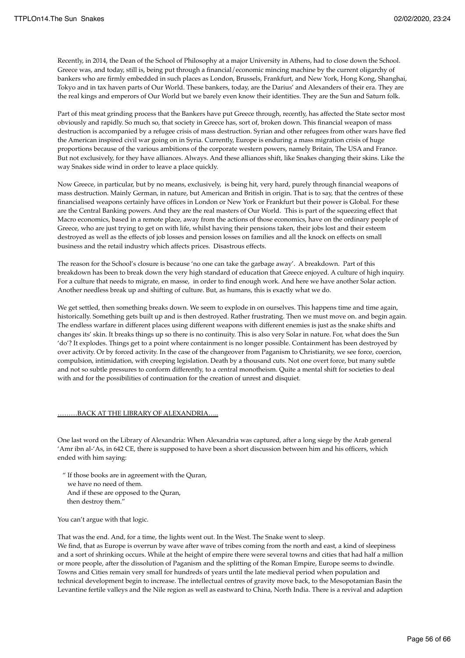Recently, in 2014, the Dean of the School of Philosophy at a major University in Athens, had to close down the School. Greece was, and today, still is, being put through a financial/economic mincing machine by the current oligarchy of bankers who are firmly embedded in such places as London, Brussels, Frankfurt, and New York, Hong Kong, Shanghai, Tokyo and in tax haven parts of Our World. These bankers, today, are the Darius' and Alexanders of their era. They are the real kings and emperors of Our World but we barely even know their identities. They are the Sun and Saturn folk.

Part of this meat grinding process that the Bankers have put Greece through, recently, has affected the State sector most obviously and rapidly. So much so, that society in Greece has, sort of, broken down. This financial weapon of mass destruction is accompanied by a refugee crisis of mass destruction. Syrian and other refugees from other wars have fled the American inspired civil war going on in Syria. Currently, Europe is enduring a mass migration crisis of huge proportions because of the various ambitions of the corporate western powers, namely Britain, The USA and France. But not exclusively, for they have alliances. Always. And these alliances shift, like Snakes changing their skins. Like the way Snakes side wind in order to leave a place quickly.

Now Greece, in particular, but by no means, exclusively, is being hit, very hard, purely through financial weapons of mass destruction. Mainly German, in nature, but American and British in origin. That is to say, that the centres of these financialised weapons certainly have offices in London or New York or Frankfurt but their power is Global. For these are the Central Banking powers. And they are the real masters of Our World. This is part of the squeezing effect that Macro economics, based in a remote place, away from the actions of those economics, have on the ordinary people of Greece, who are just trying to get on with life, whilst having their pensions taken, their jobs lost and their esteem destroyed as well as the effects of job losses and pension losses on families and all the knock on effects on small business and the retail industry which affects prices. Disastrous effects.

The reason for the School's closure is because 'no one can take the garbage away'. A breakdown. Part of this breakdown has been to break down the very high standard of education that Greece enjoyed. A culture of high inquiry. For a culture that needs to migrate, en masse, in order to find enough work. And here we have another Solar action. Another needless break up and shifting of culture. But, as humans, this is exactly what we do.

We get settled, then something breaks down. We seem to explode in on ourselves. This happens time and time again, historically. Something gets built up and is then destroyed. Rather frustrating. Then we must move on. and begin again. The endless warfare in different places using different weapons with different enemies is just as the snake shifts and changes its' skin. It breaks things up so there is no continuity. This is also very Solar in nature. For, what does the Sun 'do'? It explodes. Things get to a point where containment is no longer possible. Containment has been destroyed by over activity. Or by forced activity. In the case of the changeover from Paganism to Christianity, we see force, coercion, compulsion, intimidation, with creeping legislation. Death by a thousand cuts. Not one overt force, but many subtle and not so subtle pressures to conform differently, to a central monotheism. Quite a mental shift for societies to deal with and for the possibilities of continuation for the creation of unrest and disquiet.

#### **.BACK AT THE LIBRARY OF ALEXANDRIA**

One last word on the Library of Alexandria: When Alexandria was captured, after a long siege by the Arab general 'Amr ibn al-'As, in 642 CE, there is supposed to have been a short discussion between him and his officers, which ended with him saying:

 " If those books are in agreement with the Quran, we have no need of them. And if these are opposed to the Quran, then destroy them."

You can't argue with that logic.

That was the end. And, for a time, the lights went out. In the West. The Snake went to sleep.

We find, that as Europe is overrun by wave after wave of tribes coming from the north and east, a kind of sleepiness and a sort of shrinking occurs. While at the height of empire there were several towns and cities that had half a million or more people, after the dissolution of Paganism and the splitting of the Roman Empire, Europe seems to dwindle. Towns and Cities remain very small for hundreds of years until the late medieval period when population and technical development begin to increase. The intellectual centres of gravity move back, to the Mesopotamian Basin the Levantine fertile valleys and the Nile region as well as eastward to China, North India. There is a revival and adaption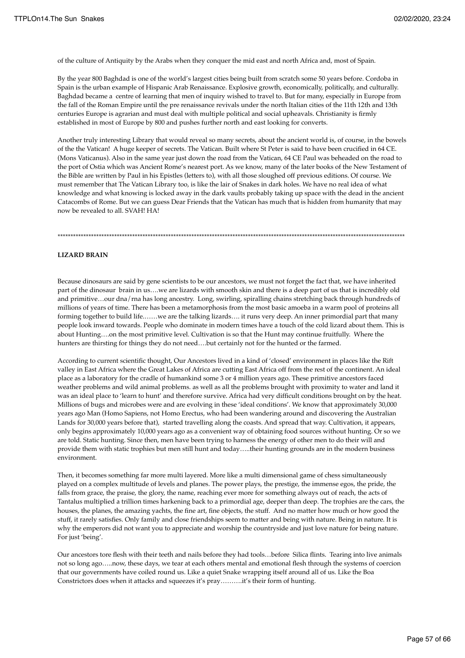of the culture of Antiquity by the Arabs when they conquer the mid east and north Africa and, most of Spain.

By the year 800 Baghdad is one of the world's largest cities being built from scratch some 50 years before. Cordoba in Spain is the urban example of Hispanic Arab Renaissance. Explosive growth, economically, politically, and culturally. Baghdad became a centre of learning that men of inquiry wished to travel to. But for many, especially in Europe from the fall of the Roman Empire until the pre renaissance revivals under the north Italian cities of the 11th 12th and 13th centuries Europe is agrarian and must deal with multiple political and social upheavals. Christianity is firmly established in most of Europe by 800 and pushes further north and east looking for converts.

Another truly interesting Library that would reveal so many secrets, about the ancient world is, of course, in the bowels of the the Vatican! A huge keeper of secrets. The Vatican. Built where St Peter is said to have been crucified in 64 CE. (Mons Vaticanus). Also in the same year just down the road from the Vatican, 64 CE Paul was beheaded on the road to the port of Ostia which was Ancient Rome's nearest port. As we know, many of the later books of the New Testament of the Bible are written by Paul in his Epistles (letters to), with all those sloughed off previous editions. Of course. We must remember that The Vatican Library too, is like the lair of Snakes in dark holes. We have no real idea of what knowledge and what knowing is locked away in the dark vaults probably taking up space with the dead in the ancient Catacombs of Rome. But we can guess Dear Friends that the Vatican has much that is hidden from humanity that may now be revealed to all. SVAH! HA!

\*\*\*\*\*\*\*\*\*\*\*\*\*\*\*\*\*\*\*\*\*\*\*\*\*\*\*\*\*\*\*\*\*\*\*\*\*\*\*\*\*\*\*\*\*\*\*\*\*\*\*\*\*\*\*\*\*\*\*\*\*\*\*\*\*\*\*\*\*\*\*\*\*\*\*\*\*\*\*\*\*\*\*\*\*\*\*\*\*\*\*\*\*\*\*\*\*\*\*\*\*\*\*\*\*\*\*\*\*\*\*\*\*\*\*\*\*\*\*\*\*\*\*\*\*\*\*\*\*\*\*\*\*\*\*

#### **LIZARD BRAIN**

Because dinosaurs are said by gene scientists to be our ancestors, we must not forget the fact that, we have inherited part of the dinosaur brain in us….we are lizards with smooth skin and there is a deep part of us that is incredibly old and primitive…our dna/rna has long ancestry. Long, swirling, spiralling chains stretching back through hundreds of millions of years of time. There has been a metamorphosis from the most basic amoeba in a warm pool of proteins all forming together to build life......we are the talking lizards.... it runs very deep. An inner primordial part that many people look inward towards. People who dominate in modern times have a touch of the cold lizard about them. This is about Hunting….on the most primitive level. Cultivation is so that the Hunt may continue fruitfully. Where the hunters are thirsting for things they do not need....but certainly not for the hunted or the farmed.

According to current scientific thought, Our Ancestors lived in a kind of 'closed' environment in places like the Rift valley in East Africa where the Great Lakes of Africa are cutting East Africa off from the rest of the continent. An ideal place as a laboratory for the cradle of humankind some 3 or 4 million years ago. These primitive ancestors faced weather problems and wild animal problems. as well as all the problems brought with proximity to water and land it was an ideal place to 'learn to hunt' and therefore survive. Africa had very difficult conditions brought on by the heat. Millions of bugs and microbes were and are evolving in these 'ideal conditions'. We know that approximately 30,000 years ago Man (Homo Sapiens, not Homo Erectus, who had been wandering around and discovering the Australian Lands for 30,000 years before that), started travelling along the coasts. And spread that way. Cultivation, it appears, only begins approximately 10,000 years ago as a convenient way of obtaining food sources without hunting. Or so we are told. Static hunting. Since then, men have been trying to harness the energy of other men to do their will and provide them with static trophies but men still hunt and today…..their hunting grounds are in the modern business environment.

Then, it becomes something far more multi layered. More like a multi dimensional game of chess simultaneously played on a complex multitude of levels and planes. The power plays, the prestige, the immense egos, the pride, the falls from grace, the praise, the glory, the name, reaching ever more for something always out of reach, the acts of Tantalus multiplied a trillion times harkening back to a primordial age, deeper than deep. The trophies are the cars, the houses, the planes, the amazing yachts, the fine art, fine objects, the stuff. And no matter how much or how good the stuff, it rarely satisfies. Only family and close friendships seem to matter and being with nature. Being in nature. It is why the emperors did not want you to appreciate and worship the countryside and just love nature for being nature. For just 'being'.

Our ancestors tore flesh with their teeth and nails before they had tools…before Silica flints. Tearing into live animals not so long ago…..now, these days, we tear at each others mental and emotional flesh through the systems of coercion that our governments have coiled round us. Like a quiet Snake wrapping itself around all of us. Like the Boa Constrictors does when it attacks and squeezes it's pray……….it's their form of hunting.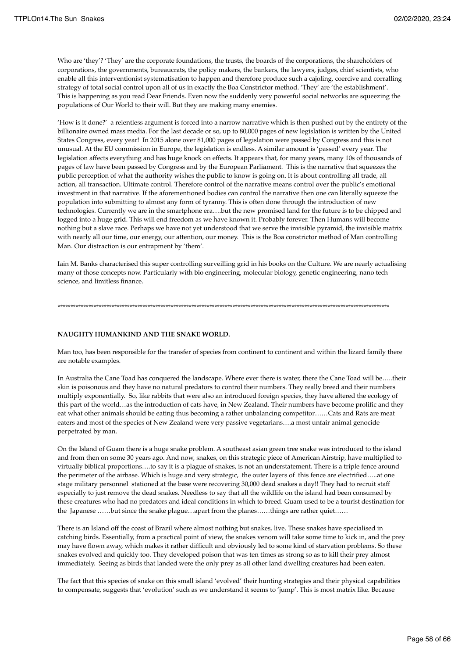Who are 'they'? 'They' are the corporate foundations, the trusts, the boards of the corporations, the shareholders of corporations, the governments, bureaucrats, the policy makers, the bankers, the lawyers, judges, chief scientists, who enable all this interventionist systematisation to happen and therefore produce such a cajoling, coercive and corralling strategy of total social control upon all of us in exactly the Boa Constrictor method. 'They' are 'the establishment'. This is happening as you read Dear Friends. Even now the suddenly very powerful social networks are squeezing the populations of Our World to their will. But they are making many enemies.

'How is it done?' a relentless argument is forced into a narrow narrative which is then pushed out by the entirety of the billionaire owned mass media. For the last decade or so, up to 80,000 pages of new legislation is written by the United States Congress, every year! In 2015 alone over 81,000 pages of legislation were passed by Congress and this is not unusual. At the EU commission in Europe, the legislation is endless. A similar amount is 'passed' every year. The legislation affects everything and has huge knock on effects. It appears that, for many years, many 10s of thousands of pages of law have been passed by Congress and by the European Parliament. This is the narrative that squeezes the public perception of what the authority wishes the public to know is going on. It is about controlling all trade, all action, all transaction. Ultimate control. Therefore control of the narrative means control over the public's emotional investment in that narrative. If the aforementioned bodies can control the narrative then one can literally squeeze the population into submitting to almost any form of tyranny. This is often done through the introduction of new technologies. Currently we are in the smartphone era….but the new promised land for the future is to be chipped and logged into a huge grid. This will end freedom as we have known it. Probably forever. Then Humans will become nothing but a slave race. Perhaps we have not yet understood that we serve the invisible pyramid, the invisible matrix with nearly all our time, our energy, our attention, our money. This is the Boa constrictor method of Man controlling Man. Our distraction is our entrapment by 'them'.

Iain M. Banks characterised this super controlling surveilling grid in his books on the Culture. We are nearly actualising many of those concepts now. Particularly with bio engineering, molecular biology, genetic engineering, nano tech science, and limitless finance.

\*\*\*\*\*\*\*\*\*\*\*\*\*\*\*\*\*\*\*\*\*\*\*\*\*\*\*\*\*\*\*\*\*\*\*\*\*\*\*\*\*\*\*\*\*\*\*\*\*\*\*\*\*\*\*\*\*\*\*\*\*\*\*\*\*\*\*\*\*\*\*\*\*\*\*\*\*\*\*\*\*\*\*\*\*\*\*\*\*\*\*\*\*\*\*\*\*\*\*\*\*\*\*\*\*\*\*\*\*\*\*\*\*\*\*\*\*\*\*\*\*\*\*\*\*\*\*\*\*

#### **NAUGHTY HUMANKIND AND THE SNAKE WORLD.**

Man too, has been responsible for the transfer of species from continent to continent and within the lizard family there are notable examples.

In Australia the Cane Toad has conquered the landscape. Where ever there is water, there the Cane Toad will be…..their skin is poisonous and they have no natural predators to control their numbers. They really breed and their numbers multiply exponentially. So, like rabbits that were also an introduced foreign species, they have altered the ecology of this part of the world…as the introduction of cats have, in New Zealand. Their numbers have become prolific and they eat what other animals should be eating thus becoming a rather unbalancing competitor……Cats and Rats are meat eaters and most of the species of New Zealand were very passive vegetarians….a most unfair animal genocide perpetrated by man.

On the Island of Guam there is a huge snake problem. A southeast asian green tree snake was introduced to the island and from then on some 30 years ago. And now, snakes, on this strategic piece of American Airstrip, have multiplied to virtually biblical proportions….to say it is a plague of snakes, is not an understatement. There is a triple fence around the perimeter of the airbase. Which is huge and very strategic, the outer layers of this fence are electrified…..at one stage military personnel stationed at the base were recovering 30,000 dead snakes a day!! They had to recruit staff especially to just remove the dead snakes. Needless to say that all the wildlife on the island had been consumed by these creatures who had no predators and ideal conditions in which to breed. Guam used to be a tourist destination for the Japanese ……but since the snake plague…apart from the planes……things are rather quiet……

There is an Island off the coast of Brazil where almost nothing but snakes, live. These snakes have specialised in catching birds. Essentially, from a practical point of view, the snakes venom will take some time to kick in, and the prey may have flown away, which makes it rather difficult and obviously led to some kind of starvation problems. So these snakes evolved and quickly too. They developed poison that was ten times as strong so as to kill their prey almost immediately. Seeing as birds that landed were the only prey as all other land dwelling creatures had been eaten.

The fact that this species of snake on this small island 'evolved' their hunting strategies and their physical capabilities to compensate, suggests that 'evolution' such as we understand it seems to 'jump'. This is most matrix like. Because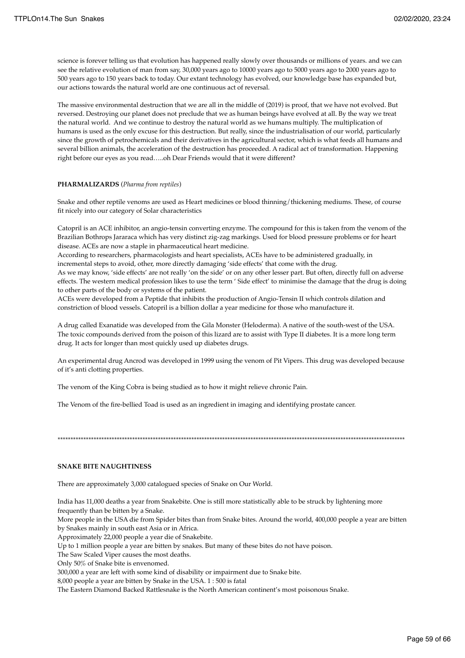science is forever telling us that evolution has happened really slowly over thousands or millions of years. and we can see the relative evolution of man from say, 30,000 years ago to 10000 years ago to 5000 years ago to 2000 years ago to 500 years ago to 150 years back to today. Our extant technology has evolved, our knowledge base has expanded but, our actions towards the natural world are one continuous act of reversal.

The massive environmental destruction that we are all in the middle of (2019) is proof, that we have not evolved. But reversed. Destroying our planet does not preclude that we as human beings have evolved at all. By the way we treat the natural world. And we continue to destroy the natural world as we humans multiply. The multiplication of humans is used as the only excuse for this destruction. But really, since the industrialisation of our world, particularly since the growth of petrochemicals and their derivatives in the agricultural sector, which is what feeds all humans and several billion animals, the acceleration of the destruction has proceeded. A radical act of transformation. Happening right before our eyes as you read…..oh Dear Friends would that it were different?

#### **PHARMALIZARDS** (*Pharma from reptiles*)

Snake and other reptile venoms are used as Heart medicines or blood thinning/thickening mediums. These, of course fit nicely into our category of Solar characteristics

Catopril is an ACE inhibitor, an angio-tensin converting enzyme. The compound for this is taken from the venom of the Brazilian Bothrops Jararaca which has very distinct zig-zag markings. Used for blood pressure problems or for heart disease. ACEs are now a staple in pharmaceutical heart medicine.

According to researchers, pharmacologists and heart specialists, ACEs have to be administered gradually, in incremental steps to avoid, other, more directly damaging 'side effects' that come with the drug.

As we may know, 'side effects' are not really 'on the side' or on any other lesser part. But often, directly full on adverse effects. The western medical profession likes to use the term ' Side effect' to minimise the damage that the drug is doing to other parts of the body or systems of the patient.

ACEs were developed from a Peptide that inhibits the production of Angio-Tensin II which controls dilation and constriction of blood vessels. Catopril is a billion dollar a year medicine for those who manufacture it.

A drug called Exanatide was developed from the Gila Monster (Heloderma). A native of the south-west of the USA. The toxic compounds derived from the poison of this lizard are to assist with Type II diabetes. It is a more long term drug. It acts for longer than most quickly used up diabetes drugs.

An experimental drug Ancrod was developed in 1999 using the venom of Pit Vipers. This drug was developed because of it's anti clotting properties.

The venom of the King Cobra is being studied as to how it might relieve chronic Pain.

The Venom of the fire-bellied Toad is used as an ingredient in imaging and identifying prostate cancer.

\*\*\*\*\*\*\*\*\*\*\*\*\*\*\*\*\*\*\*\*\*\*\*\*\*\*\*\*\*\*\*\*\*\*\*\*\*\*\*\*\*\*\*\*\*\*\*\*\*\*\*\*\*\*\*\*\*\*\*\*\*\*\*\*\*\*\*\*\*\*\*\*\*\*\*\*\*\*\*\*\*\*\*\*\*\*\*\*\*\*\*\*\*\*\*\*\*\*\*\*\*\*\*\*\*\*\*\*\*\*\*\*\*\*\*\*\*\*\*\*\*\*\*\*\*\*\*\*\*\*\*\*\*\*\*

## **SNAKE BITE NAUGHTINESS**

There are approximately 3,000 catalogued species of Snake on Our World.

India has 11,000 deaths a year from Snakebite. One is still more statistically able to be struck by lightening more frequently than be bitten by a Snake.

More people in the USA die from Spider bites than from Snake bites. Around the world, 400,000 people a year are bitten by Snakes mainly in south east Asia or in Africa.

Approximately 22,000 people a year die of Snakebite.

Up to 1 million people a year are bitten by snakes. But many of these bites do not have poison.

The Saw Scaled Viper causes the most deaths.

Only 50% of Snake bite is envenomed.

300,000 a year are left with some kind of disability or impairment due to Snake bite.

8,000 people a year are bitten by Snake in the USA. 1 : 500 is fatal

The Eastern Diamond Backed Rattlesnake is the North American continent's most poisonous Snake.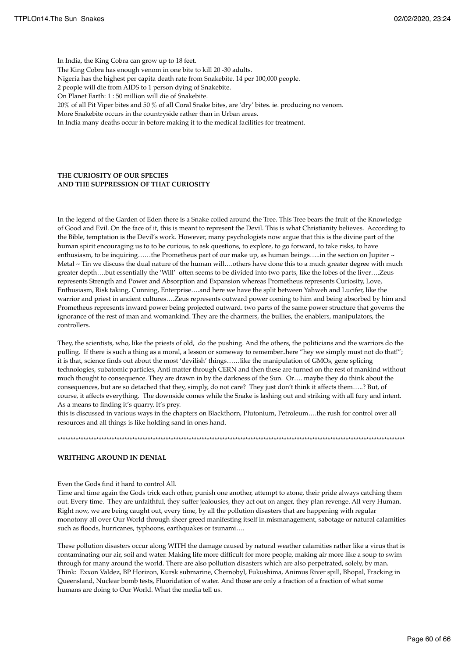In India, the King Cobra can grow up to 18 feet.

The King Cobra has enough venom in one bite to kill 20 -30 adults.

Nigeria has the highest per capita death rate from Snakebite. 14 per 100,000 people.

2 people will die from AIDS to 1 person dying of Snakebite.

On Planet Earth: 1 : 50 million will die of Snakebite.

20% of all Pit Viper bites and 50 % of all Coral Snake bites, are 'dry' bites. ie. producing no venom.

More Snakebite occurs in the countryside rather than in Urban areas.

In India many deaths occur in before making it to the medical facilities for treatment.

### **THE CURIOSITY OF OUR SPECIES AND THE SUPPRESSION OF THAT CURIOSITY**

In the legend of the Garden of Eden there is a Snake coiled around the Tree. This Tree bears the fruit of the Knowledge of Good and Evil. On the face of it, this is meant to represent the Devil. This is what Christianity believes. According to the Bible, temptation is the Devil's work. However, many psychologists now argue that this is the divine part of the human spirit encouraging us to to be curious, to ask questions, to explore, to go forward, to take risks, to have enthusiasm, to be inquiring……the Prometheus part of our make up, as human beings…..in the section on Jupiter ~ Metal ~ Tin we discuss the dual nature of the human will....others have done this to a much greater degree with much greater depth….but essentially the 'Will' often seems to be divided into two parts, like the lobes of the liver….Zeus represents Strength and Power and Absorption and Expansion whereas Prometheus represents Curiosity, Love, Enthusiasm, Risk taking, Cunning, Enterprise….and here we have the split between Yahweh and Lucifer, like the warrior and priest in ancient cultures….Zeus represents outward power coming to him and being absorbed by him and Prometheus represents inward power being projected outward. two parts of the same power structure that governs the ignorance of the rest of man and womankind. They are the charmers, the bullies, the enablers, manipulators, the controllers.

They, the scientists, who, like the priests of old, do the pushing. And the others, the politicians and the warriors do the pulling. If there is such a thing as a moral, a lesson or someway to remember..here "hey we simply must not do that!"; it is that, science finds out about the most 'devilish' things……like the manipulation of GMOs, gene splicing technologies, subatomic particles, Anti matter through CERN and then these are turned on the rest of mankind without much thought to consequence. They are drawn in by the darkness of the Sun. Or…. maybe they do think about the consequences, but are so detached that they, simply, do not care? They just don't think it affects them…..? But, of course, it affects everything. The downside comes while the Snake is lashing out and striking with all fury and intent. As a means to finding it's quarry. It's prey.

this is discussed in various ways in the chapters on Blackthorn, Plutonium, Petroleum….the rush for control over all resources and all things is like holding sand in ones hand.

\*\*\*\*\*\*\*\*\*\*\*\*\*\*\*\*\*\*\*\*\*\*\*\*\*\*\*\*\*\*\*\*\*\*\*\*\*\*\*\*\*\*\*\*\*\*\*\*\*\*\*\*\*\*\*\*\*\*\*\*\*\*\*\*\*\*\*\*\*\*\*\*\*\*\*\*\*\*\*\*\*\*\*\*\*\*\*\*\*\*\*\*\*\*\*\*\*\*\*\*\*\*\*\*\*\*\*\*\*\*\*\*\*\*\*\*\*\*\*\*\*\*\*\*\*\*\*\*\*\*\*\*\*\*\*

# **WRITHING AROUND IN DENIAL**

# Even the Gods find it hard to control All.

Time and time again the Gods trick each other, punish one another, attempt to atone, their pride always catching them out. Every time. They are unfaithful, they suffer jealousies, they act out on anger, they plan revenge. All very Human. Right now, we are being caught out, every time, by all the pollution disasters that are happening with regular monotony all over Our World through sheer greed manifesting itself in mismanagement, sabotage or natural calamities such as floods, hurricanes, typhoons, earthquakes or tsunami....

These pollution disasters occur along WITH the damage caused by natural weather calamities rather like a virus that is contaminating our air, soil and water. Making life more difficult for more people, making air more like a soup to swim through for many around the world. There are also pollution disasters which are also perpetrated, solely, by man. Think: Exxon Valdez, BP Horizon, Kursk submarine, Chernobyl, Fukushima, Animus River spill, Bhopal, Fracking in Queensland, Nuclear bomb tests, Fluoridation of water. And those are only a fraction of a fraction of what some humans are doing to Our World. What the media tell us.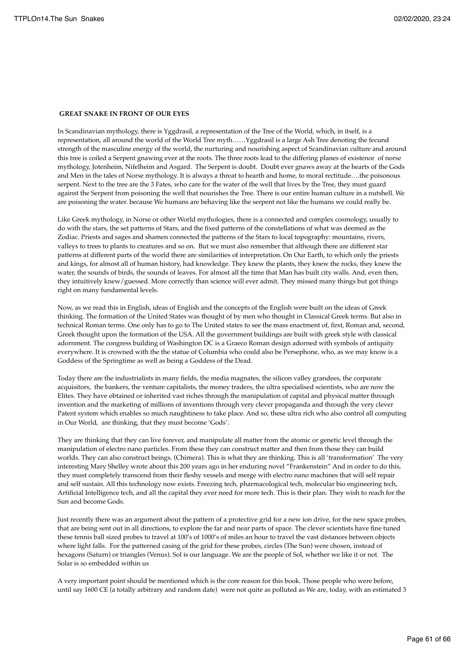### **GREAT SNAKE IN FRONT OF OUR EYES**

In Scandinavian mythology, there is Yggdrasil, a representation of the Tree of the World, which, in itself, is a representation, all around the world of the World Tree myth……Yggdrasil is a large Ash Tree denoting the fecund strength of the masculine energy of the world, the nurturing and nourishing aspect of Scandinavian culture and around this tree is coiled a Serpent gnawing ever at the roots. The three roots lead to the differing planes of existence of norse mythology, Jotenheim, Nifelheim and Asgard. The Serpent is doubt. Doubt ever gnaws away at the hearts of the Gods and Men in the tales of Norse mythology. It is always a threat to hearth and home, to moral rectitude….the poisonous serpent. Next to the tree are the 3 Fates, who care for the water of the well that lives by the Tree, they must guard against the Serpent from poisoning the well that nourishes the Tree. There is our entire human culture in a nutshell. We are poisoning the water. because We humans are behaving like the serpent not like the humans we could really be.

Like Greek mythology, in Norse or other World mythologies, there is a connected and complex cosmology, usually to do with the stars, the set patterns of Stars, and the fixed patterns of the constellations of what was deemed as the Zodiac. Priests and sages and shamen connected the patterns of the Stars to local topography: mountains, rivers, valleys to trees to plants to creatures and so on. But we must also remember that although there are different star patterns at different parts of the world there are similarities of interpretation. On Our Earth, to which only the priests and kings, for almost all of human history, had knowledge. They knew the plants, they knew the rocks, they knew the water, the sounds of birds, the sounds of leaves. For almost all the time that Man has built city walls. And, even then, they intuitively knew/guessed. More correctly than science will ever admit. They missed many things but got things right on many fundamental levels.

Now, as we read this in English, ideas of English and the concepts of the English were built on the ideas of Greek thinking. The formation of the United States was thought of by men who thought in Classical Greek terms. But also in technical Roman terms. One only has to go to The United states to see the mass enactment of, first, Roman and, second, Greek thought upon the formation of the USA. All the government buildings are built with greek style with classical adornment. The congress building of Washington DC is a Graeco Roman design adorned with symbols of antiquity everywhere. It is crowned with the the statue of Columbia who could also be Persephone, who, as we may know is a Goddess of the Springtime as well as being a Goddess of the Dead.

Today there are the industrialists in many fields, the media magnates, the silicon valley grandees, the corporate acquisitors, the bankers, the venture capitalists, the money traders, the ultra specialised scientists, who are now the Elites. They have obtained or inherited vast riches through the manipulation of capital and physical matter through invention and the marketing of millions of inventions through very clever propaganda and through the very clever Patent system which enables so much naughtiness to take place. And so, these ultra rich who also control all computing in Our World, are thinking, that they must become 'Gods'.

They are thinking that they can live forever, and manipulate all matter from the atomic or genetic level through the manipulation of electro nano particles. From these they can construct matter and then from those they can build worlds. They can also construct beings. (Chimera). This is what they are thinking. This is all 'transformation' The very interesting Mary Shelley wrote about this 200 years ago in her enduring novel "Frankenstein" And in order to do this, they must completely transcend from their fleshy vessels and merge with electro nano machines that will self repair and self sustain. All this technology now exists. Freezing tech, pharmacological tech, molecular bio engineering tech, Artificial Intelligence tech, and all the capital they ever need for more tech. This is their plan. They wish to reach for the Sun and become Gods.

Just recently there was an argument about the pattern of a protective grid for a new ion drive, for the new space probes, that are being sent out in all directions, to explore the far and near parts of space. The clever scientists have fine tuned these tennis ball sized probes to travel at 100's of 1000's of miles an hour to travel the vast distances between objects where light falls. For the patterned casing of the grid for these probes, circles (The Sun) were chosen, instead of hexagons (Saturn) or triangles (Venus). Sol is our language. We are the people of Sol, whether we like it or not. The Solar is so embedded within us

A very important point should be mentioned which is the core reason for this book. Those people who were before, until say 1600 CE (a totally arbitrary and random date) were not quite as polluted as We are, today, with an estimated 3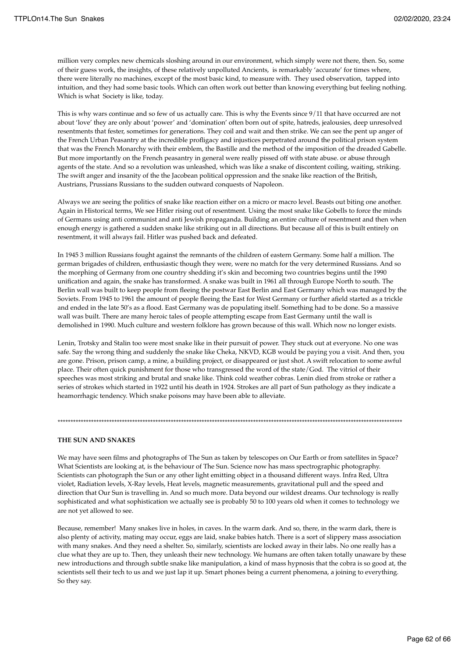million very complex new chemicals sloshing around in our environment, which simply were not there, then. So, some of their guess work, the insights, of these relatively unpolluted Ancients, is remarkably 'accurate' for times where, there were literally no machines, except of the most basic kind, to measure with. They used observation, tapped into intuition, and they had some basic tools. Which can often work out better than knowing everything but feeling nothing. Which is what Society is like, today.

This is why wars continue and so few of us actually care. This is why the Events since 9/11 that have occurred are not about 'love' they are only about 'power' and 'domination' often born out of spite, hatreds, jealousies, deep unresolved resentments that fester, sometimes for generations. They coil and wait and then strike. We can see the pent up anger of the French Urban Peasantry at the incredible profligacy and injustices perpetrated around the political prison system that was the French Monarchy with their emblem, the Bastille and the method of the imposition of the dreaded Gabelle. But more importantly on the French peasantry in general were really pissed off with state abuse. or abuse through agents of the state. And so a revolution was unleashed, which was like a snake of discontent coiling, waiting, striking. The swift anger and insanity of the the Jacobean political oppression and the snake like reaction of the British, Austrians, Prussians Russians to the sudden outward conquests of Napoleon.

Always we are seeing the politics of snake like reaction either on a micro or macro level. Beasts out biting one another. Again in Historical terms, We see Hitler rising out of resentment. Using the most snake like Gobells to force the minds of Germans using anti communist and anti Jewish propaganda. Building an entire culture of resentment and then when enough energy is gathered a sudden snake like striking out in all directions. But because all of this is built entirely on resentment, it will always fail. Hitler was pushed back and defeated.

In 1945 3 million Russians fought against the remnants of the children of eastern Germany. Some half a million. The german brigades of children, enthusiastic though they were, were no match for the very determined Russians. And so the morphing of Germany from one country shedding it's skin and becoming two countries begins until the 1990 unification and again, the snake has transformed. A snake was built in 1961 all through Europe North to south. The Berlin wall was built to keep people from fleeing the postwar East Berlin and East Germany which was managed by the Soviets. From 1945 to 1961 the amount of people fleeing the East for West Germany or further afield started as a trickle and ended in the late 50's as a flood. East Germany was de populating itself. Something had to be done. So a massive wall was built. There are many heroic tales of people attempting escape from East Germany until the wall is demolished in 1990. Much culture and western folklore has grown because of this wall. Which now no longer exists.

Lenin, Trotsky and Stalin too were most snake like in their pursuit of power. They stuck out at everyone. No one was safe. Say the wrong thing and suddenly the snake like Cheka, NKVD, KGB would be paying you a visit. And then, you are gone. Prison, prison camp, a mine, a building project, or disappeared or just shot. A swift relocation to some awful place. Their often quick punishment for those who transgressed the word of the state/God. The vitriol of their speeches was most striking and brutal and snake like. Think cold weather cobras. Lenin died from stroke or rather a series of strokes which started in 1922 until his death in 1924. Strokes are all part of Sun pathology as they indicate a heamorrhagic tendency. Which snake poisons may have been able to alleviate.

\*\*\*\*\*\*\*\*\*\*\*\*\*\*\*\*\*\*\*\*\*\*\*\*\*\*\*\*\*\*\*\*\*\*\*\*\*\*\*\*\*\*\*\*\*\*\*\*\*\*\*\*\*\*\*\*\*\*\*\*\*\*\*\*\*\*\*\*\*\*\*\*\*\*\*\*\*\*\*\*\*\*\*\*\*\*\*\*\*\*\*\*\*\*\*\*\*\*\*\*\*\*\*\*\*\*\*\*\*\*\*\*\*\*\*\*\*\*\*\*\*\*\*\*\*\*\*\*\*\*\*\*\*\*

### **THE SUN AND SNAKES**

We may have seen films and photographs of The Sun as taken by telescopes on Our Earth or from satellites in Space? What Scientists are looking at, is the behaviour of The Sun. Science now has mass spectrographic photography. Scientists can photograph the Sun or any other light emitting object in a thousand different ways. Infra Red, Ultra violet, Radiation levels, X-Ray levels, Heat levels, magnetic measurements, gravitational pull and the speed and direction that Our Sun is travelling in. And so much more. Data beyond our wildest dreams. Our technology is really sophisticated and what sophistication we actually see is probably 50 to 100 years old when it comes to technology we are not yet allowed to see.

Because, remember! Many snakes live in holes, in caves. In the warm dark. And so, there, in the warm dark, there is also plenty of activity, mating may occur, eggs are laid, snake babies hatch. There is a sort of slippery mass association with many snakes. And they need a shelter. So, similarly, scientists are locked away in their labs. No one really has a clue what they are up to. Then, they unleash their new technology. We humans are often taken totally unaware by these new introductions and through subtle snake like manipulation, a kind of mass hypnosis that the cobra is so good at, the scientists sell their tech to us and we just lap it up. Smart phones being a current phenomena, a joining to everything. So they say.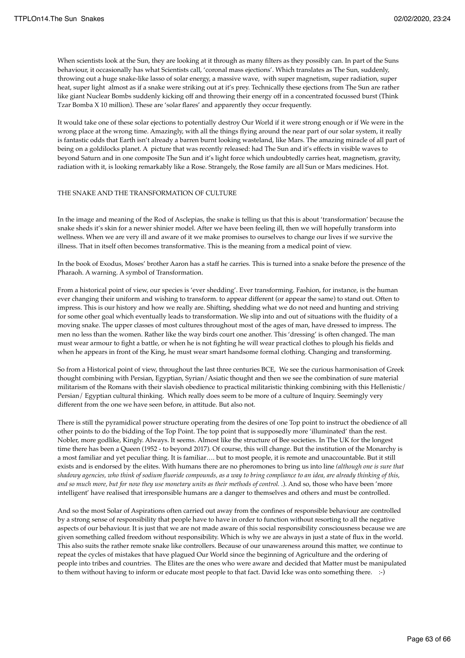When scientists look at the Sun, they are looking at it through as many filters as they possibly can. In part of the Suns behaviour, it occasionally has what Scientists call, 'coronal mass ejections'. Which translates as The Sun, suddenly, throwing out a huge snake-like lasso of solar energy, a massive wave, with super magnetism, super radiation, super heat, super light almost as if a snake were striking out at it's prey. Technically these ejections from The Sun are rather like giant Nuclear Bombs suddenly kicking off and throwing their energy off in a concentrated focussed burst (Think Tzar Bomba X 10 million). These are 'solar flares' and apparently they occur frequently.

It would take one of these solar ejections to potentially destroy Our World if it were strong enough or if We were in the wrong place at the wrong time. Amazingly, with all the things flying around the near part of our solar system, it really is fantastic odds that Earth isn't already a barren burnt looking wasteland, like Mars. The amazing miracle of all part of being on a goldilocks planet. A picture that was recently released: had The Sun and it's effects in visible waves to beyond Saturn and in one composite The Sun and it's light force which undoubtedly carries heat, magnetism, gravity, radiation with it, is looking remarkably like a Rose. Strangely, the Rose family are all Sun or Mars medicines. Hot.

### THE SNAKE AND THE TRANSFORMATION OF CULTURE

In the image and meaning of the Rod of Asclepias, the snake is telling us that this is about 'transformation' because the snake sheds it's skin for a newer shinier model. After we have been feeling ill, then we will hopefully transform into wellness. When we are very ill and aware of it we make promises to ourselves to change our lives if we survive the illness. That in itself often becomes transformative. This is the meaning from a medical point of view.

In the book of Exodus, Moses' brother Aaron has a staff he carries. This is turned into a snake before the presence of the Pharaoh. A warning. A symbol of Transformation.

From a historical point of view, our species is 'ever shedding'. Ever transforming. Fashion, for instance, is the human ever changing their uniform and wishing to transform. to appear different (or appear the same) to stand out. Often to impress. This is our history and how we really are. Shifting, shedding what we do not need and hunting and striving for some other goal which eventually leads to transformation. We slip into and out of situations with the fluidity of a moving snake. The upper classes of most cultures throughout most of the ages of man, have dressed to impress. The men no less than the women. Rather like the way birds court one another. This 'dressing' is often changed. The man must wear armour to fight a battle, or when he is not fighting he will wear practical clothes to plough his fields and when he appears in front of the King, he must wear smart handsome formal clothing. Changing and transforming.

So from a Historical point of view, throughout the last three centuries BCE, We see the curious harmonisation of Greek thought combining with Persian, Egyptian, Syrian/Asiatic thought and then we see the combination of sure material militarism of the Romans with their slavish obedience to practical militaristic thinking combining with this Hellenistic/ Persian/ Egyptian cultural thinking. Which really does seem to be more of a culture of Inquiry. Seemingly very different from the one we have seen before, in attitude. But also not.

There is still the pyramidical power structure operating from the desires of one Top point to instruct the obedience of all other points to do the bidding of the Top Point. The top point that is supposedly more 'illuminated' than the rest. Nobler, more godlike, Kingly. Always. It seems. Almost like the structure of Bee societies. In The UK for the longest time there has been a Queen (1952 - to beyond 2017). Of course, this will change. But the institution of the Monarchy is a most familiar and yet peculiar thing. It is familiar…. but to most people, it is remote and unaccountable. But it still exists and is endorsed by the elites. With humans there are no pheromones to bring us into line *(although one is sure that shadowy agencies, who think of sodium fluoride compounds, as a way to bring compliance to an idea, are already thinking of this, and so much more, but for now they use monetary units as their methods of control. .*). And so, those who have been 'more intelligent' have realised that irresponsible humans are a danger to themselves and others and must be controlled.

And so the most Solar of Aspirations often carried out away from the confines of responsible behaviour are controlled by a strong sense of responsibility that people have to have in order to function without resorting to all the negative aspects of our behaviour. It is just that we are not made aware of this social responsibility consciousness because we are given something called freedom without responsibility. Which is why we are always in just a state of flux in the world. This also suits the rather remote snake like controllers. Because of our unawareness around this matter, we continue to repeat the cycles of mistakes that have plagued Our World since the beginning of Agriculture and the ordering of people into tribes and countries. The Elites are the ones who were aware and decided that Matter must be manipulated to them without having to inform or educate most people to that fact. David Icke was onto something there. :-)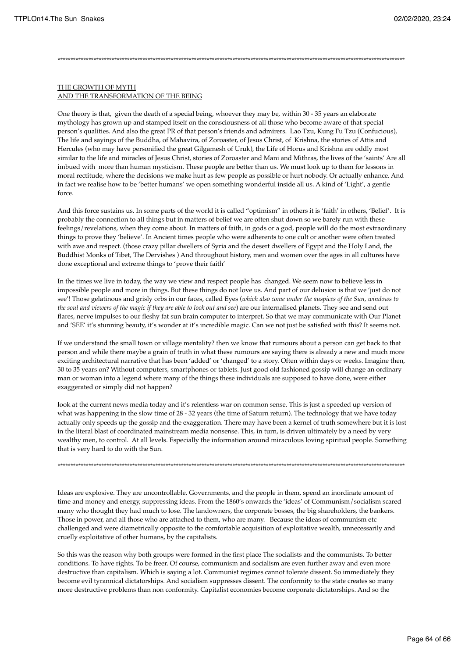## \*\*\*\*\*\*\*\*\*\*\*\*\*\*\*\*\*\*\*\*\*\*\*\*\*\*\*\*\*\*\*\*\*\*\*\*\*\*\*\*\*\*\*\*\*\*\*\*\*\*\*\*\*\*\*\*\*\*\*\*\*\*\*\*\*\*\*\*\*\*\*\*\*\*\*\*\*\*\*\*\*\*\*\*\*\*\*\*\*\*\*\*\*\*\*\*\*\*\*\*\*\*\*\*\*\*\*\*\*\*\*\*\*\*\*\*\*\*\*\*\*\*\*\*\*\*\*\*\*\*\*\*\*\*\*

#### THE GROWTH OF MYTH AND THE TRANSFORMATION OF THE BEING

One theory is that, given the death of a special being, whoever they may be, within 30 - 35 years an elaborate mythology has grown up and stamped itself on the consciousness of all those who become aware of that special person's qualities. And also the great PR of that person's friends and admirers. Lao Tzu, Kung Fu Tzu (Confucious), The life and sayings of the Buddha, of Mahavira, of Zoroaster, of Jesus Christ, of Krishna, the stories of Attis and Hercules (who may have personified the great Gilgamesh of Uruk), the Life of Horus and Krishna are oddly most similar to the life and miracles of Jesus Christ, stories of Zoroaster and Mani and Mithras, the lives of the 'saints' Are all imbued with more than human mysticism. These people are better than us. We must look up to them for lessons in moral rectitude, where the decisions we make hurt as few people as possible or hurt nobody. Or actually enhance. And in fact we realise how to be 'better humans' we open something wonderful inside all us. A kind of 'Light', a gentle force.

And this force sustains us. In some parts of the world it is called "optimism" in others it is 'faith' in others, 'Belief'. It is probably the connection to all things but in matters of belief we are often shut down so we barely run with these feelings/revelations, when they come about. In matters of faith, in gods or a god, people will do the most extraordinary things to prove they 'believe'. In Ancient times people who were adherents to one cult or another were often treated with awe and respect. (those crazy pillar dwellers of Syria and the desert dwellers of Egypt and the Holy Land, the Buddhist Monks of Tibet, The Dervishes ) And throughout history, men and women over the ages in all cultures have done exceptional and extreme things to 'prove their faith'

In the times we live in today, the way we view and respect people has changed. We seem now to believe less in impossible people and more in things. But these things do not love us. And part of our delusion is that we 'just do not see'! Those gelatinous and grisly orbs in our faces, called Eyes (*which also come under the auspices of the Sun, windows to the soul and viewers of the magic if they are able to look out and see*) are our internalised planets. They see and send out flares, nerve impulses to our fleshy fat sun brain computer to interpret. So that we may communicate with Our Planet and 'SEE' it's stunning beauty, it's wonder at it's incredible magic. Can we not just be satisfied with this? It seems not.

If we understand the small town or village mentality? then we know that rumours about a person can get back to that person and while there maybe a grain of truth in what these rumours are saying there is already a new and much more exciting architectural narrative that has been 'added' or 'changed' to a story. Often within days or weeks. Imagine then, 30 to 35 years on? Without computers, smartphones or tablets. Just good old fashioned gossip will change an ordinary man or woman into a legend where many of the things these individuals are supposed to have done, were either exaggerated or simply did not happen?

look at the current news media today and it's relentless war on common sense. This is just a speeded up version of what was happening in the slow time of 28 - 32 years (the time of Saturn return). The technology that we have today actually only speeds up the gossip and the exaggeration. There may have been a kernel of truth somewhere but it is lost in the literal blast of coordinated mainstream media nonsense. This, in turn, is driven ultimately by a need by very wealthy men, to control. At all levels. Especially the information around miraculous loving spiritual people. Something that is very hard to do with the Sun.

Ideas are explosive. They are uncontrollable. Governments, and the people in them, spend an inordinate amount of time and money and energy, suppressing ideas. From the 1860's onwards the 'ideas' of Communism/socialism scared many who thought they had much to lose. The landowners, the corporate bosses, the big shareholders, the bankers. Those in power, and all those who are attached to them, who are many. Because the ideas of communism etc challenged and were diametrically opposite to the comfortable acquisition of exploitative wealth, unnecessarily and cruelly exploitative of other humans, by the capitalists.

\*\*\*\*\*\*\*\*\*\*\*\*\*\*\*\*\*\*\*\*\*\*\*\*\*\*\*\*\*\*\*\*\*\*\*\*\*\*\*\*\*\*\*\*\*\*\*\*\*\*\*\*\*\*\*\*\*\*\*\*\*\*\*\*\*\*\*\*\*\*\*\*\*\*\*\*\*\*\*\*\*\*\*\*\*\*\*\*\*\*\*\*\*\*\*\*\*\*\*\*\*\*\*\*\*\*\*\*\*\*\*\*\*\*\*\*\*\*\*\*\*\*\*\*\*\*\*\*\*\*\*\*\*\*\*

So this was the reason why both groups were formed in the first place The socialists and the communists. To better conditions. To have rights. To be freer. Of course, communism and socialism are even further away and even more destructive than capitalism. Which is saying a lot. Communist regimes cannot tolerate dissent. So immediately they become evil tyrannical dictatorships. And socialism suppresses dissent. The conformity to the state creates so many more destructive problems than non conformity. Capitalist economies become corporate dictatorships. And so the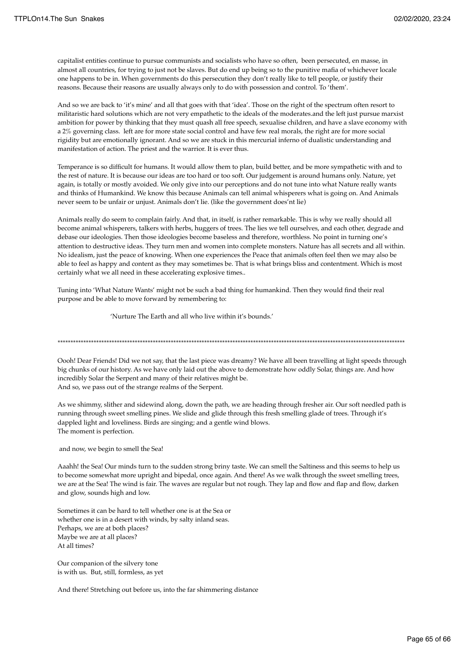capitalist entities continue to pursue communists and socialists who have so often, been persecuted, en masse, in almost all countries, for trying to just not be slaves. But do end up being so to the punitive mafia of whichever locale one happens to be in. When governments do this persecution they don't really like to tell people, or justify their reasons. Because their reasons are usually always only to do with possession and control. To 'them'.

And so we are back to 'it's mine' and all that goes with that 'idea'. Those on the right of the spectrum often resort to militaristic hard solutions which are not very empathetic to the ideals of the moderates.and the left just pursue marxist ambition for power by thinking that they must quash all free speech, sexualise children, and have a slave economy with a 2% governing class. left are for more state social control and have few real morals, the right are for more social rigidity but are emotionally ignorant. And so we are stuck in this mercurial inferno of dualistic understanding and manifestation of action. The priest and the warrior. It is ever thus.

Temperance is so difficult for humans. It would allow them to plan, build better, and be more sympathetic with and to the rest of nature. It is because our ideas are too hard or too soft. Our judgement is around humans only. Nature, yet again, is totally or mostly avoided. We only give into our perceptions and do not tune into what Nature really wants and thinks of Humankind. We know this because Animals can tell animal whisperers what is going on. And Animals never seem to be unfair or unjust. Animals don't lie. (like the government does'nt lie)

Animals really do seem to complain fairly. And that, in itself, is rather remarkable. This is why we really should all become animal whisperers, talkers with herbs, huggers of trees. The lies we tell ourselves, and each other, degrade and debase our ideologies. Then those ideologies become baseless and therefore, worthless. No point in turning one's attention to destructive ideas. They turn men and women into complete monsters. Nature has all secrets and all within. No idealism, just the peace of knowing. When one experiences the Peace that animals often feel then we may also be able to feel as happy and content as they may sometimes be. That is what brings bliss and contentment. Which is most certainly what we all need in these accelerating explosive times..

Tuning into 'What Nature Wants' might not be such a bad thing for humankind. Then they would find their real purpose and be able to move forward by remembering to:

'Nurture The Earth and all who live within it's bounds.'

Oooh! Dear Friends! Did we not say, that the last piece was dreamy? We have all been travelling at light speeds through

\*\*\*\*\*\*\*\*\*\*\*\*\*\*\*\*\*\*\*\*\*\*\*\*\*\*\*\*\*\*\*\*\*\*\*\*\*\*\*\*\*\*\*\*\*\*\*\*\*\*\*\*\*\*\*\*\*\*\*\*\*\*\*\*\*\*\*\*\*\*\*\*\*\*\*\*\*\*\*\*\*\*\*\*\*\*\*\*\*\*\*\*\*\*\*\*\*\*\*\*\*\*\*\*\*\*\*\*\*\*\*\*\*\*\*\*\*\*\*\*\*\*\*\*\*\*\*\*\*\*\*\*\*\*\*

big chunks of our history. As we have only laid out the above to demonstrate how oddly Solar, things are. And how incredibly Solar the Serpent and many of their relatives might be. And so, we pass out of the strange realms of the Serpent.

As we shimmy, slither and sidewind along, down the path, we are heading through fresher air. Our soft needled path is running through sweet smelling pines. We slide and glide through this fresh smelling glade of trees. Through it's dappled light and loveliness. Birds are singing; and a gentle wind blows. The moment is perfection.

and now, we begin to smell the Sea!

Aaahh! the Sea! Our minds turn to the sudden strong briny taste. We can smell the Saltiness and this seems to help us to become somewhat more upright and bipedal, once again. And there! As we walk through the sweet smelling trees, we are at the Sea! The wind is fair. The waves are regular but not rough. They lap and flow and flap and flow, darken and glow, sounds high and low.

Sometimes it can be hard to tell whether one is at the Sea or whether one is in a desert with winds, by salty inland seas. Perhaps, we are at both places? Maybe we are at all places? At all times?

Our companion of the silvery tone is with us. But, still, formless, as yet

And there! Stretching out before us, into the far shimmering distance